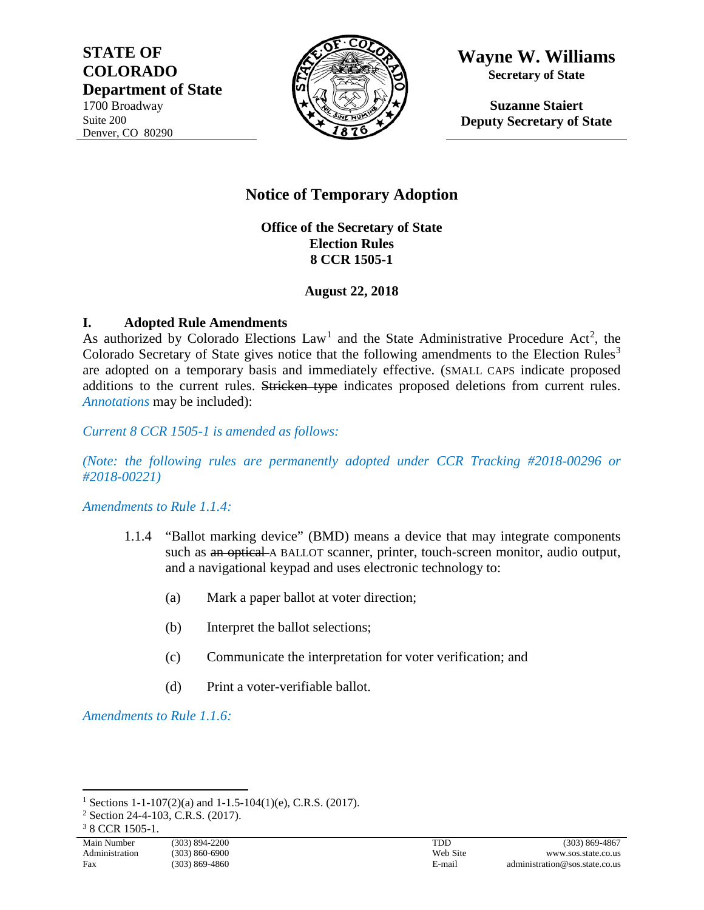**STATE OF COLORADO Department of State** 1700 Broadway Suite 200 Denver, CO 80290



**Wayne W. Williams Secretary of State**

**Suzanne Staiert Deputy Secretary of State**

# **Notice of Temporary Adoption**

**Office of the Secretary of State Election Rules 8 CCR 1505-1**

**August 22, 2018**

## **I. Adopted Rule Amendments**

As authorized by Colorado Elections  $Law<sup>1</sup>$  $Law<sup>1</sup>$  $Law<sup>1</sup>$  and the State Administrative Procedure Act<sup>[2](#page-0-1)</sup>, the Colorado Secretary of State gives notice that the following amendments to the Election Rules<sup>[3](#page-0-2)</sup> are adopted on a temporary basis and immediately effective. (SMALL CAPS indicate proposed additions to the current rules. Stricken type indicates proposed deletions from current rules. *Annotations* may be included):

*Current 8 CCR 1505-1 is amended as follows:*

*(Note: the following rules are permanently adopted under CCR Tracking #2018-00296 or #2018-00221)*

*Amendments to Rule 1.1.4:*

- 1.1.4 "Ballot marking device" (BMD) means a device that may integrate components such as an optical A BALLOT scanner, printer, touch-screen monitor, audio output, and a navigational keypad and uses electronic technology to:
	- (a) Mark a paper ballot at voter direction;
	- (b) Interpret the ballot selections;
	- (c) Communicate the interpretation for voter verification; and
	- (d) Print a voter-verifiable ballot.

*Amendments to Rule 1.1.6:*

<span id="page-0-0"></span><sup>&</sup>lt;sup>1</sup> Sections 1-1-107(2)(a) and 1-1.5-104(1)(e), C.R.S. (2017).

<span id="page-0-1"></span><sup>2</sup> Section 24-4-103, C.R.S. (2017).

<span id="page-0-2"></span><sup>3</sup> 8 CCR 1505-1.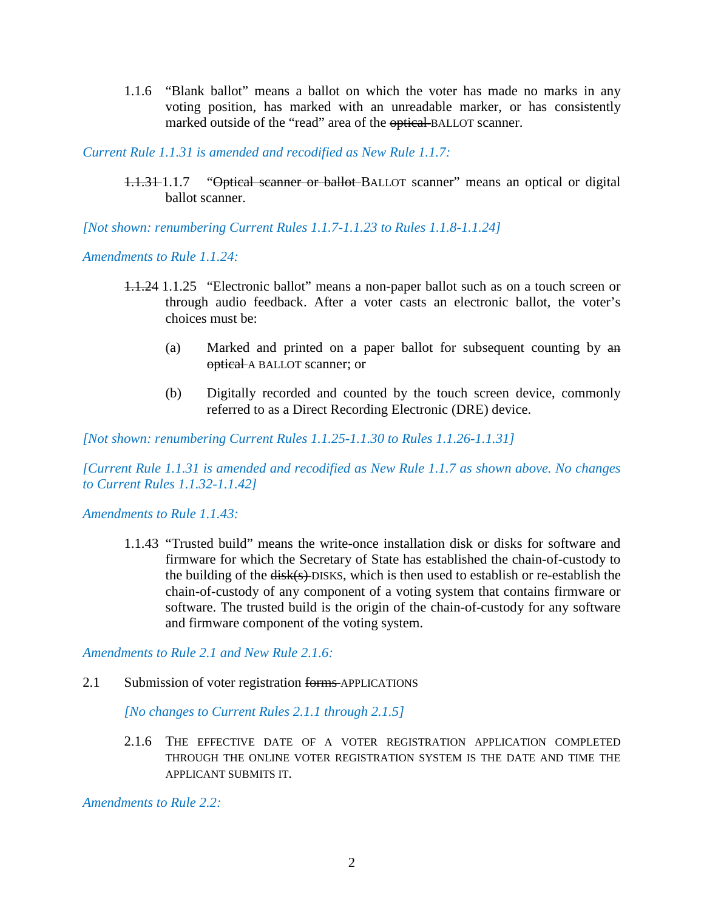1.1.6 "Blank ballot" means a ballot on which the voter has made no marks in any voting position, has marked with an unreadable marker, or has consistently marked outside of the "read" area of the optical BALLOT scanner.

*Current Rule 1.1.31 is amended and recodified as New Rule 1.1.7:*

1.1.31 1.1.7 "Optical scanner or ballot BALLOT scanner" means an optical or digital ballot scanner.

*[Not shown: renumbering Current Rules 1.1.7-1.1.23 to Rules 1.1.8-1.1.24]*

*Amendments to Rule 1.1.24:*

- 1.1.24 1.1.25 "Electronic ballot" means a non-paper ballot such as on a touch screen or through audio feedback. After a voter casts an electronic ballot, the voter's choices must be:
	- (a) Marked and printed on a paper ballot for subsequent counting by an optical A BALLOT scanner; or
	- (b) Digitally recorded and counted by the touch screen device, commonly referred to as a Direct Recording Electronic (DRE) device.

*[Not shown: renumbering Current Rules 1.1.25-1.1.30 to Rules 1.1.26-1.1.31]*

*[Current Rule 1.1.31 is amended and recodified as New Rule 1.1.7 as shown above. No changes to Current Rules 1.1.32-1.1.42]*

*Amendments to Rule 1.1.43:*

1.1.43 "Trusted build" means the write-once installation disk or disks for software and firmware for which the Secretary of State has established the chain-of-custody to the building of the  $\frac{disk(s)}{DISKS}$ , which is then used to establish or re-establish the chain-of-custody of any component of a voting system that contains firmware or software. The trusted build is the origin of the chain-of-custody for any software and firmware component of the voting system.

*Amendments to Rule 2.1 and New Rule 2.1.6:*

2.1 Submission of voter registration forms APPLICATIONS

*[No changes to Current Rules 2.1.1 through 2.1.5]*

2.1.6 THE EFFECTIVE DATE OF A VOTER REGISTRATION APPLICATION COMPLETED THROUGH THE ONLINE VOTER REGISTRATION SYSTEM IS THE DATE AND TIME THE APPLICANT SUBMITS IT.

*Amendments to Rule 2.2:*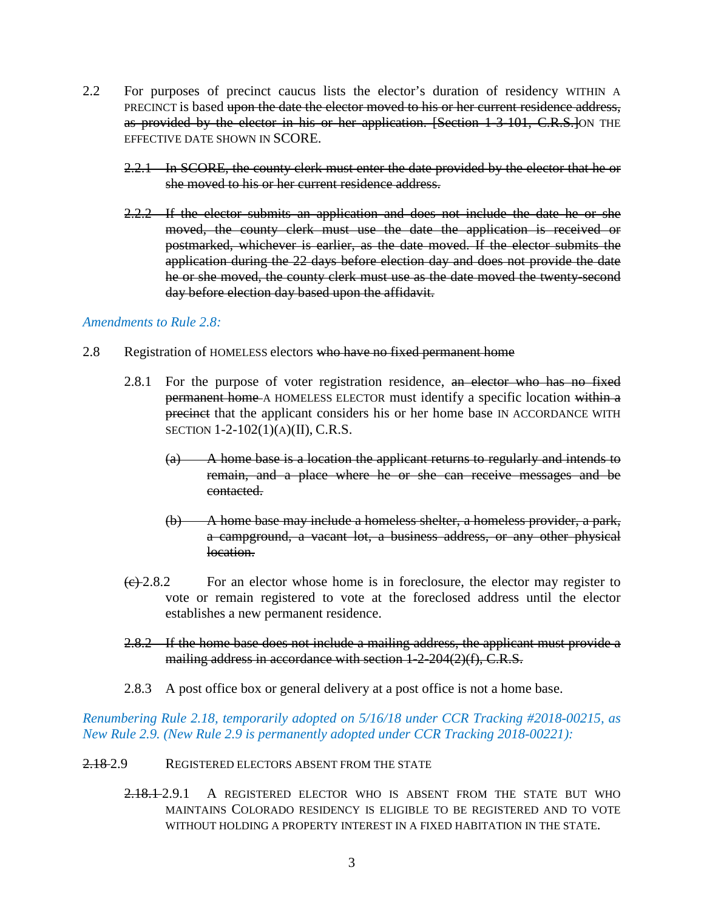- 2.2 For purposes of precinct caucus lists the elector's duration of residency WITHIN A PRECINCT is based upon the date the elector moved to his or her current residence address, as provided by the elector in his or her application. [Section 1-3-101, C.R.S.]ON THE EFFECTIVE DATE SHOWN IN SCORE.
	- 2.2.1 In SCORE, the county clerk must enter the date provided by the elector that he or she moved to his or her current residence address.
	- 2.2.2 If the elector submits an application and does not include the date he or she moved, the county clerk must use the date the application is received or postmarked, whichever is earlier, as the date moved. If the elector submits the application during the 22 days before election day and does not provide the date he or she moved, the county clerk must use as the date moved the twenty-second day before election day based upon the affidavit.

#### *Amendments to Rule 2.8:*

- 2.8 Registration of HOMELESS electors who have no fixed permanent home
	- 2.8.1 For the purpose of voter registration residence, an elector who has no fixed permanent home A HOMELESS ELECTOR must identify a specific location within a precinct that the applicant considers his or her home base IN ACCORDANCE WITH SECTION 1-2-102(1)(A)(II), C.R.S.
		- (a) A home base is a location the applicant returns to regularly and intends to remain, and a place where he or she can receive messages and be contacted.
		- (b) A home base may include a homeless shelter, a homeless provider, a park, a campground, a vacant lot, a business address, or any other physical location.
	- $\left(\frac{c}{2}, 2.8.2\right)$  For an elector whose home is in foreclosure, the elector may register to vote or remain registered to vote at the foreclosed address until the elector establishes a new permanent residence.
	- 2.8.2 If the home base does not include a mailing address, the applicant must provide a mailing address in accordance with section 1-2-204(2)(f), C.R.S.
	- 2.8.3 A post office box or general delivery at a post office is not a home base.

*Renumbering Rule 2.18, temporarily adopted on 5/16/18 under CCR Tracking #2018-00215, as New Rule 2.9. (New Rule 2.9 is permanently adopted under CCR Tracking 2018-00221):*

#### 2.18-2.9 REGISTERED ELECTORS ABSENT FROM THE STATE

2.18.1 2.9.1 A REGISTERED ELECTOR WHO IS ABSENT FROM THE STATE BUT WHO MAINTAINS COLORADO RESIDENCY IS ELIGIBLE TO BE REGISTERED AND TO VOTE WITHOUT HOLDING A PROPERTY INTEREST IN A FIXED HABITATION IN THE STATE.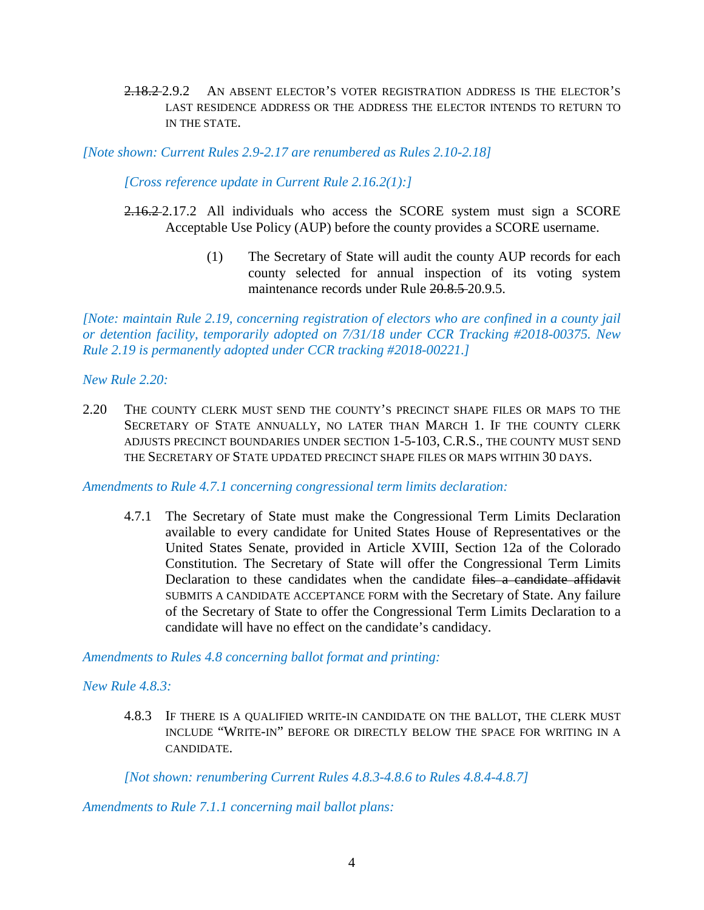2.18.2 2.9.2 AN ABSENT ELECTOR'S VOTER REGISTRATION ADDRESS IS THE ELECTOR'S LAST RESIDENCE ADDRESS OR THE ADDRESS THE ELECTOR INTENDS TO RETURN TO IN THE STATE.

*[Note shown: Current Rules 2.9-2.17 are renumbered as Rules 2.10-2.18]*

*[Cross reference update in Current Rule 2.16.2(1):]*

- 2.16.2.2.17.2 All individuals who access the SCORE system must sign a SCORE Acceptable Use Policy (AUP) before the county provides a SCORE username.
	- (1) The Secretary of State will audit the county AUP records for each county selected for annual inspection of its voting system maintenance records under Rule 20.8.5 20.9.5.

*[Note: maintain Rule 2.19, concerning registration of electors who are confined in a county jail or detention facility, temporarily adopted on 7/31/18 under CCR Tracking #2018-00375. New Rule 2.19 is permanently adopted under CCR tracking #2018-00221.]*

*New Rule 2.20:*

2.20 THE COUNTY CLERK MUST SEND THE COUNTY'S PRECINCT SHAPE FILES OR MAPS TO THE SECRETARY OF STATE ANNUALLY, NO LATER THAN MARCH 1. IF THE COUNTY CLERK ADJUSTS PRECINCT BOUNDARIES UNDER SECTION 1-5-103, C.R.S., THE COUNTY MUST SEND THE SECRETARY OF STATE UPDATED PRECINCT SHAPE FILES OR MAPS WITHIN 30 DAYS.

*Amendments to Rule 4.7.1 concerning congressional term limits declaration:*

4.7.1 The Secretary of State must make the Congressional Term Limits Declaration available to every candidate for United States House of Representatives or the United States Senate, provided in Article XVIII, Section 12a of the Colorado Constitution. The Secretary of State will offer the Congressional Term Limits Declaration to these candidates when the candidate files a candidate affidavit SUBMITS A CANDIDATE ACCEPTANCE FORM with the Secretary of State. Any failure of the Secretary of State to offer the Congressional Term Limits Declaration to a candidate will have no effect on the candidate's candidacy.

*Amendments to Rules 4.8 concerning ballot format and printing:*

*New Rule 4.8.3:*

4.8.3 IF THERE IS A QUALIFIED WRITE-IN CANDIDATE ON THE BALLOT, THE CLERK MUST INCLUDE "WRITE-IN" BEFORE OR DIRECTLY BELOW THE SPACE FOR WRITING IN A CANDIDATE.

*[Not shown: renumbering Current Rules 4.8.3-4.8.6 to Rules 4.8.4-4.8.7]*

*Amendments to Rule 7.1.1 concerning mail ballot plans:*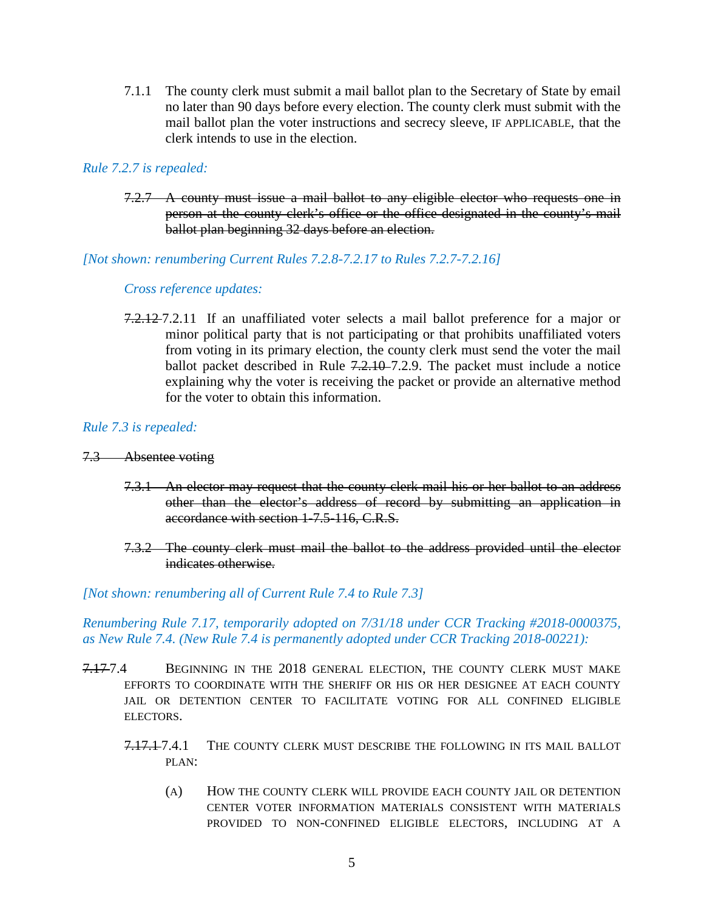7.1.1 The county clerk must submit a mail ballot plan to the Secretary of State by email no later than 90 days before every election. The county clerk must submit with the mail ballot plan the voter instructions and secrecy sleeve, IF APPLICABLE, that the clerk intends to use in the election.

## *Rule 7.2.7 is repealed:*

7.2.7 A county must issue a mail ballot to any eligible elector who requests one in person at the county clerk's office or the office designated in the county's mail ballot plan beginning 32 days before an election.

## *[Not shown: renumbering Current Rules 7.2.8-7.2.17 to Rules 7.2.7-7.2.16]*

## *Cross reference updates:*

7.2.12 7.2.11 If an unaffiliated voter selects a mail ballot preference for a major or minor political party that is not participating or that prohibits unaffiliated voters from voting in its primary election, the county clerk must send the voter the mail ballot packet described in Rule 7.2.10–7.2.9. The packet must include a notice explaining why the voter is receiving the packet or provide an alternative method for the voter to obtain this information.

## *Rule 7.3 is repealed:*

## 7.3 Absentee voting

- 7.3.1 An elector may request that the county clerk mail his or her ballot to an address other than the elector's address of record by submitting an application in accordance with section 1-7.5-116, C.R.S.
- 7.3.2 The county clerk must mail the ballot to the address provided until the elector indicates otherwise.

## *[Not shown: renumbering all of Current Rule 7.4 to Rule 7.3]*

## *Renumbering Rule 7.17, temporarily adopted on 7/31/18 under CCR Tracking #2018-0000375, as New Rule 7.4. (New Rule 7.4 is permanently adopted under CCR Tracking 2018-00221):*

- 7.17-7.4 BEGINNING IN THE 2018 GENERAL ELECTION, THE COUNTY CLERK MUST MAKE EFFORTS TO COORDINATE WITH THE SHERIFF OR HIS OR HER DESIGNEE AT EACH COUNTY JAIL OR DETENTION CENTER TO FACILITATE VOTING FOR ALL CONFINED ELIGIBLE ELECTORS.
	- 7.17.1-7.4.1 THE COUNTY CLERK MUST DESCRIBE THE FOLLOWING IN ITS MAIL BALLOT PLAN:
		- (A) HOW THE COUNTY CLERK WILL PROVIDE EACH COUNTY JAIL OR DETENTION CENTER VOTER INFORMATION MATERIALS CONSISTENT WITH MATERIALS PROVIDED TO NON-CONFINED ELIGIBLE ELECTORS, INCLUDING AT A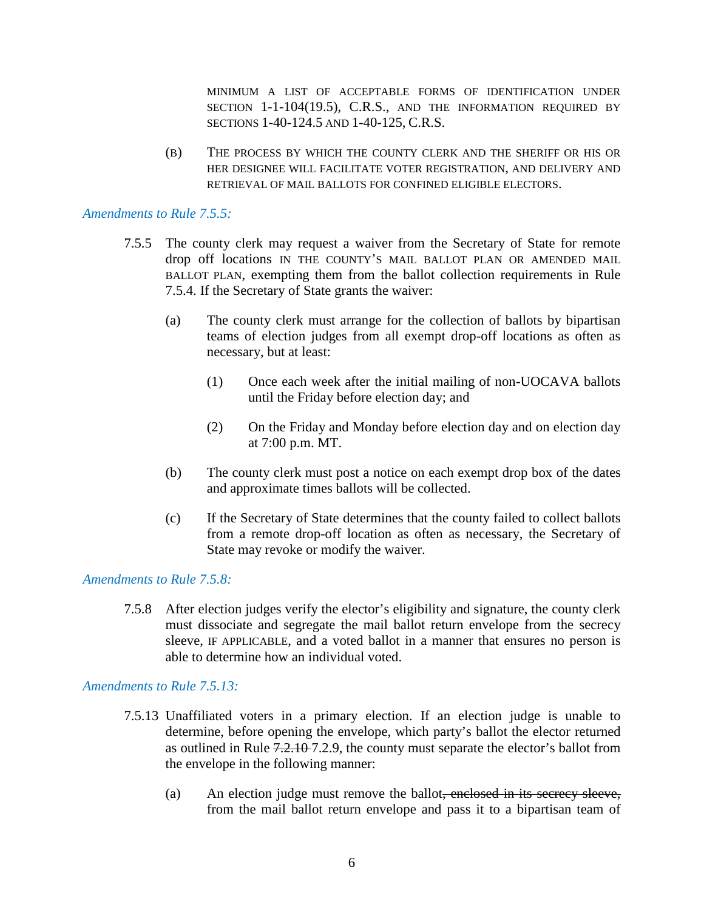MINIMUM A LIST OF ACCEPTABLE FORMS OF IDENTIFICATION UNDER SECTION 1-1-104(19.5), C.R.S., AND THE INFORMATION REQUIRED BY SECTIONS 1-40-124.5 AND 1-40-125, C.R.S.

(B) THE PROCESS BY WHICH THE COUNTY CLERK AND THE SHERIFF OR HIS OR HER DESIGNEE WILL FACILITATE VOTER REGISTRATION, AND DELIVERY AND RETRIEVAL OF MAIL BALLOTS FOR CONFINED ELIGIBLE ELECTORS.

#### *Amendments to Rule 7.5.5:*

- 7.5.5 The county clerk may request a waiver from the Secretary of State for remote drop off locations IN THE COUNTY'S MAIL BALLOT PLAN OR AMENDED MAIL BALLOT PLAN, exempting them from the ballot collection requirements in Rule 7.5.4. If the Secretary of State grants the waiver:
	- (a) The county clerk must arrange for the collection of ballots by bipartisan teams of election judges from all exempt drop-off locations as often as necessary, but at least:
		- (1) Once each week after the initial mailing of non-UOCAVA ballots until the Friday before election day; and
		- (2) On the Friday and Monday before election day and on election day at 7:00 p.m. MT.
	- (b) The county clerk must post a notice on each exempt drop box of the dates and approximate times ballots will be collected.
	- (c) If the Secretary of State determines that the county failed to collect ballots from a remote drop-off location as often as necessary, the Secretary of State may revoke or modify the waiver.

#### *Amendments to Rule 7.5.8:*

7.5.8 After election judges verify the elector's eligibility and signature, the county clerk must dissociate and segregate the mail ballot return envelope from the secrecy sleeve, IF APPLICABLE, and a voted ballot in a manner that ensures no person is able to determine how an individual voted.

#### *Amendments to Rule 7.5.13:*

- 7.5.13 Unaffiliated voters in a primary election. If an election judge is unable to determine, before opening the envelope, which party's ballot the elector returned as outlined in Rule 7.2.10 7.2.9, the county must separate the elector's ballot from the envelope in the following manner:
	- (a) An election judge must remove the ballot<del>, enclosed in its secrecy sleeve,</del> from the mail ballot return envelope and pass it to a bipartisan team of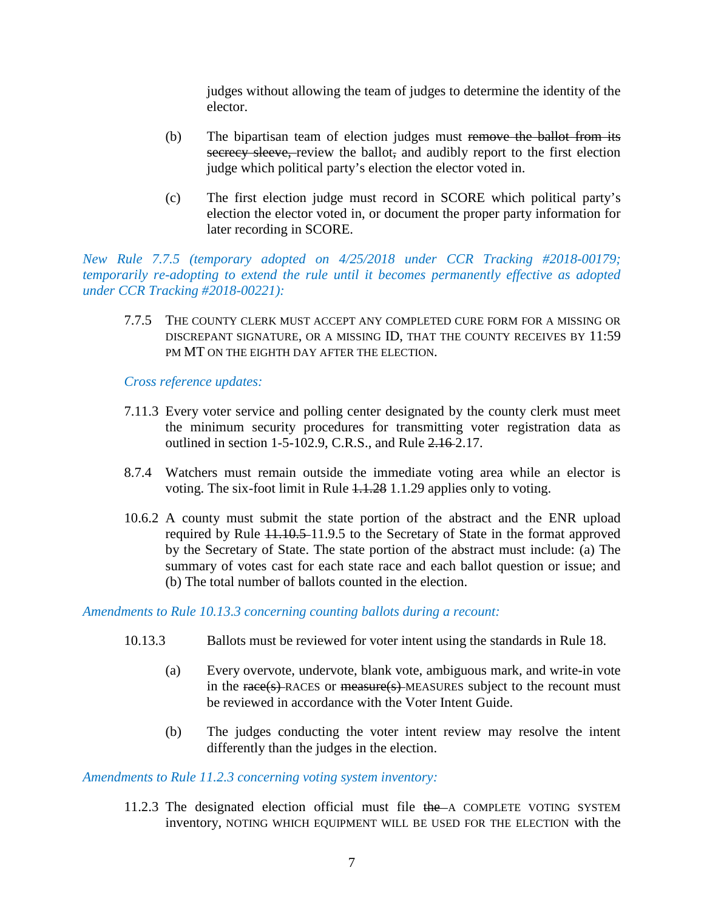judges without allowing the team of judges to determine the identity of the elector.

- (b) The bipartisan team of election judges must remove the ballot from its secrecy sleeve, review the ballot, and audibly report to the first election judge which political party's election the elector voted in.
- (c) The first election judge must record in SCORE which political party's election the elector voted in, or document the proper party information for later recording in SCORE.

*New Rule 7.7.5 (temporary adopted on 4/25/2018 under CCR Tracking #2018-00179; temporarily re-adopting to extend the rule until it becomes permanently effective as adopted under CCR Tracking #2018-00221):*

7.7.5 THE COUNTY CLERK MUST ACCEPT ANY COMPLETED CURE FORM FOR A MISSING OR DISCREPANT SIGNATURE, OR A MISSING ID, THAT THE COUNTY RECEIVES BY 11:59 PM MT ON THE EIGHTH DAY AFTER THE ELECTION.

*Cross reference updates:*

- 7.11.3 Every voter service and polling center designated by the county clerk must meet the minimum security procedures for transmitting voter registration data as outlined in section 1-5-102.9, C.R.S., and Rule 2.16 2.17.
- 8.7.4 Watchers must remain outside the immediate voting area while an elector is voting. The six-foot limit in Rule 1.1.28 1.1.29 applies only to voting.
- 10.6.2 A county must submit the state portion of the abstract and the ENR upload required by Rule 11.10.5 11.9.5 to the Secretary of State in the format approved by the Secretary of State. The state portion of the abstract must include: (a) The summary of votes cast for each state race and each ballot question or issue; and (b) The total number of ballots counted in the election.

*Amendments to Rule 10.13.3 concerning counting ballots during a recount:*

- 10.13.3 Ballots must be reviewed for voter intent using the standards in Rule 18.
	- (a) Every overvote, undervote, blank vote, ambiguous mark, and write-in vote in the race(s) RACES or measure(s) MEASURES subject to the recount must be reviewed in accordance with the Voter Intent Guide.
	- (b) The judges conducting the voter intent review may resolve the intent differently than the judges in the election.

*Amendments to Rule 11.2.3 concerning voting system inventory:* 

11.2.3 The designated election official must file the A COMPLETE VOTING SYSTEM inventory, NOTING WHICH EQUIPMENT WILL BE USED FOR THE ELECTION with the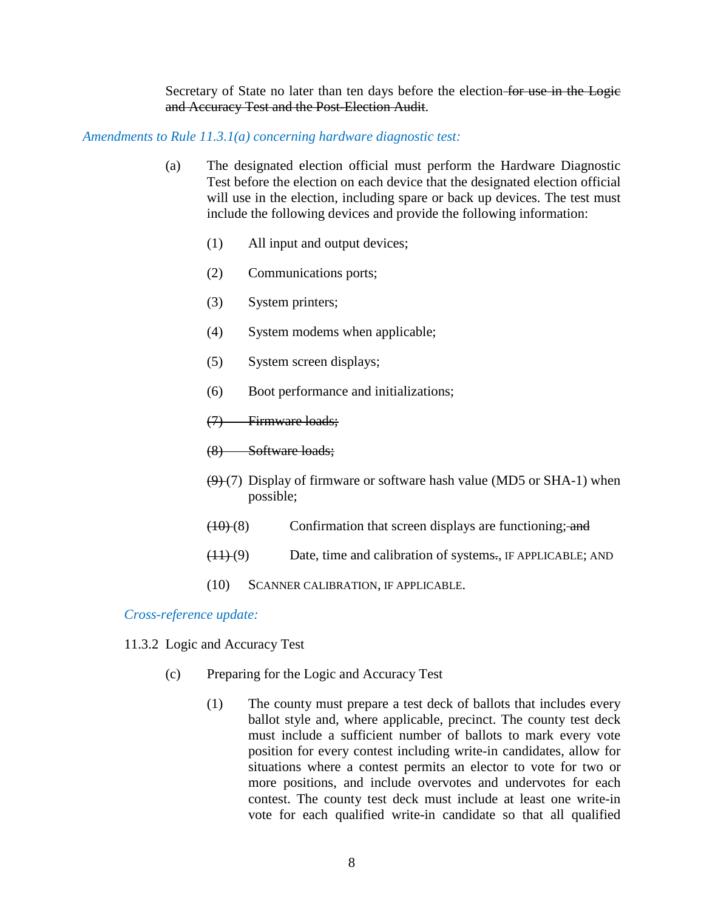Secretary of State no later than ten days before the election for use in the Logie and Accuracy Test and the Post-Election Audit.

#### *Amendments to Rule 11.3.1(a) concerning hardware diagnostic test:*

- (a) The designated election official must perform the Hardware Diagnostic Test before the election on each device that the designated election official will use in the election, including spare or back up devices. The test must include the following devices and provide the following information:
	- (1) All input and output devices;
	- (2) Communications ports;
	- (3) System printers;
	- (4) System modems when applicable;
	- (5) System screen displays;
	- (6) Boot performance and initializations;
	- (7) Firmware loads;
	- (8) Software loads;
	- $(9)$  (7) Display of firmware or software hash value (MD5 or SHA-1) when possible;
	- $(10)(8)$  Confirmation that screen displays are functioning; and
	- $(11)(9)$  Date, time and calibration of systems., IF APPLICABLE; AND
	- (10) SCANNER CALIBRATION, IF APPLICABLE.

*Cross-reference update:*

- 11.3.2 Logic and Accuracy Test
	- (c) Preparing for the Logic and Accuracy Test
		- (1) The county must prepare a test deck of ballots that includes every ballot style and, where applicable, precinct. The county test deck must include a sufficient number of ballots to mark every vote position for every contest including write-in candidates, allow for situations where a contest permits an elector to vote for two or more positions, and include overvotes and undervotes for each contest. The county test deck must include at least one write-in vote for each qualified write-in candidate so that all qualified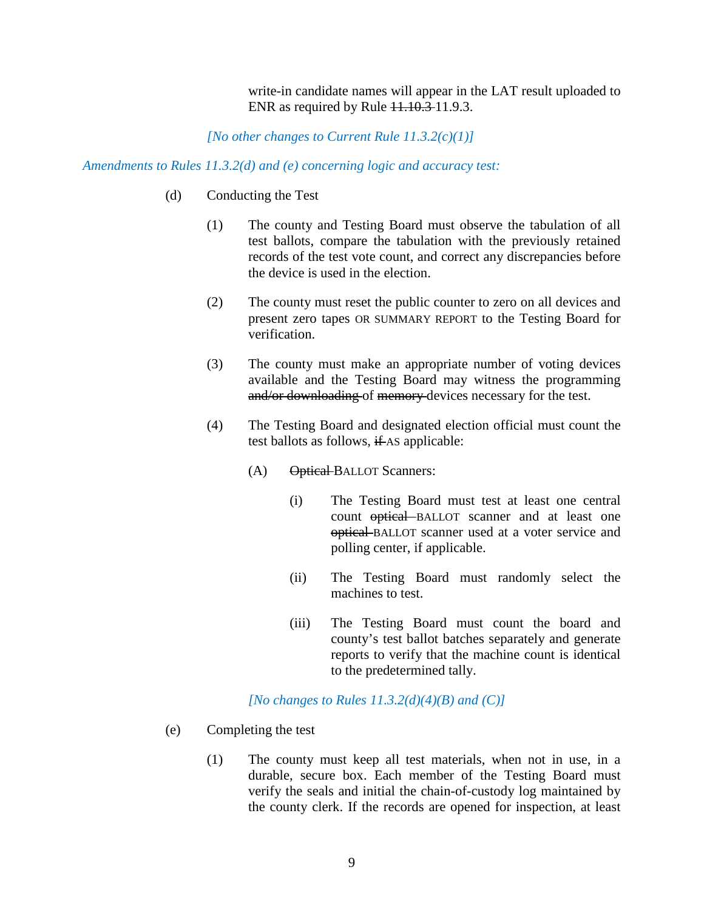write-in candidate names will appear in the LAT result uploaded to ENR as required by Rule 11.10.3-11.9.3.

*[No other changes to Current Rule 11.3.2(c)(1)]*

#### *Amendments to Rules 11.3.2(d) and (e) concerning logic and accuracy test:*

- (d) Conducting the Test
	- (1) The county and Testing Board must observe the tabulation of all test ballots, compare the tabulation with the previously retained records of the test vote count, and correct any discrepancies before the device is used in the election.
	- (2) The county must reset the public counter to zero on all devices and present zero tapes OR SUMMARY REPORT to the Testing Board for verification.
	- (3) The county must make an appropriate number of voting devices available and the Testing Board may witness the programming and/or downloading of memory devices necessary for the test.
	- (4) The Testing Board and designated election official must count the test ballots as follows,  $\frac{if}{f}$  AS applicable:
		- (A) Optical BALLOT Scanners:
			- (i) The Testing Board must test at least one central count optical BALLOT scanner and at least one optical BALLOT scanner used at a voter service and polling center, if applicable.
			- (ii) The Testing Board must randomly select the machines to test.
			- (iii) The Testing Board must count the board and county's test ballot batches separately and generate reports to verify that the machine count is identical to the predetermined tally.

#### *[No changes to Rules 11.3.2(d)(4)(B) and (C)]*

- (e) Completing the test
	- (1) The county must keep all test materials, when not in use, in a durable, secure box. Each member of the Testing Board must verify the seals and initial the chain-of-custody log maintained by the county clerk. If the records are opened for inspection, at least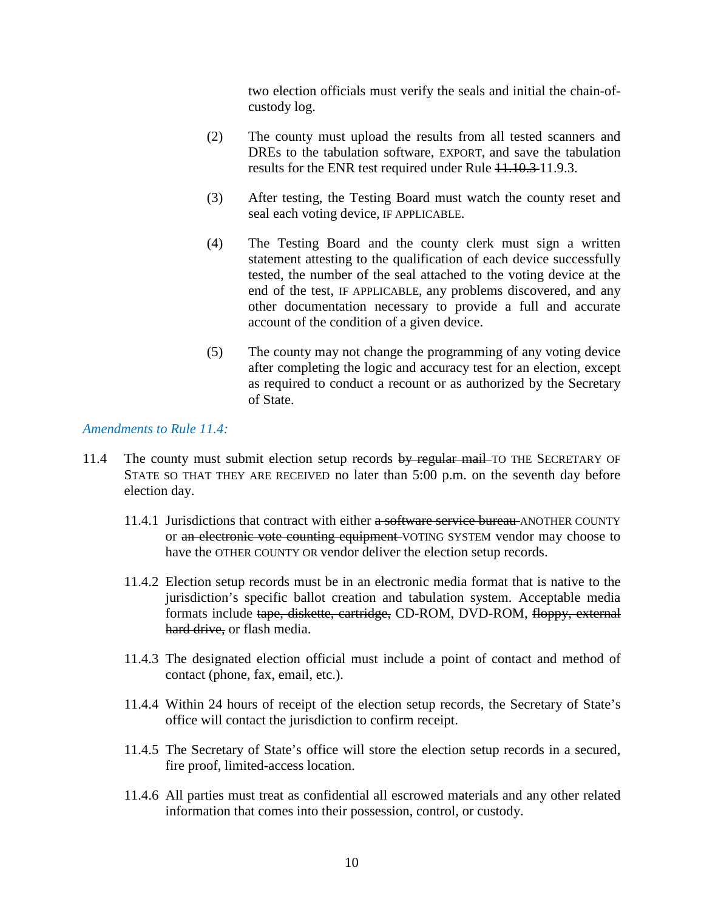two election officials must verify the seals and initial the chain-ofcustody log.

- (2) The county must upload the results from all tested scanners and DREs to the tabulation software, EXPORT, and save the tabulation results for the ENR test required under Rule  $11.10.311.9.3$ .
- (3) After testing, the Testing Board must watch the county reset and seal each voting device, IF APPLICABLE.
- (4) The Testing Board and the county clerk must sign a written statement attesting to the qualification of each device successfully tested, the number of the seal attached to the voting device at the end of the test, IF APPLICABLE, any problems discovered, and any other documentation necessary to provide a full and accurate account of the condition of a given device.
- (5) The county may not change the programming of any voting device after completing the logic and accuracy test for an election, except as required to conduct a recount or as authorized by the Secretary of State.

## *Amendments to Rule 11.4:*

- 11.4 The county must submit election setup records by regular mail TO THE SECRETARY OF STATE SO THAT THEY ARE RECEIVED no later than 5:00 p.m. on the seventh day before election day.
	- 11.4.1 Jurisdictions that contract with either a software service bureau ANOTHER COUNTY or an electronic vote counting equipment VOTING SYSTEM vendor may choose to have the OTHER COUNTY OR vendor deliver the election setup records.
	- 11.4.2 Election setup records must be in an electronic media format that is native to the jurisdiction's specific ballot creation and tabulation system. Acceptable media formats include tape, diskette, cartridge, CD-ROM, DVD-ROM, floppy, external hard drive, or flash media.
	- 11.4.3 The designated election official must include a point of contact and method of contact (phone, fax, email, etc.).
	- 11.4.4 Within 24 hours of receipt of the election setup records, the Secretary of State's office will contact the jurisdiction to confirm receipt.
	- 11.4.5 The Secretary of State's office will store the election setup records in a secured, fire proof, limited-access location.
	- 11.4.6 All parties must treat as confidential all escrowed materials and any other related information that comes into their possession, control, or custody.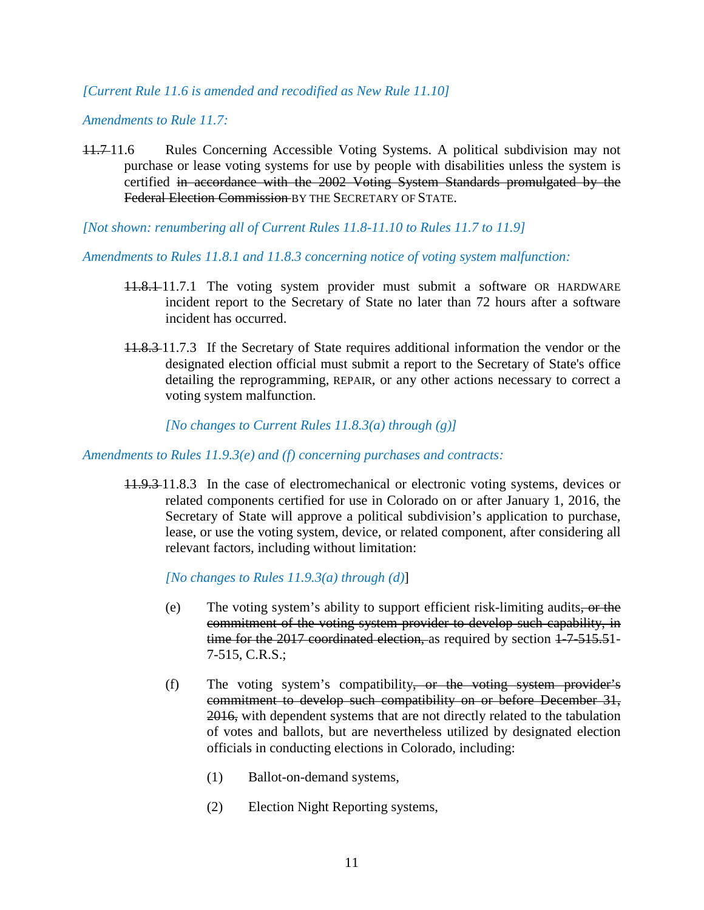## *[Current Rule 11.6 is amended and recodified as New Rule 11.10]*

## *Amendments to Rule 11.7:*

- 11.7 11.6 Rules Concerning Accessible Voting Systems. A political subdivision may not purchase or lease voting systems for use by people with disabilities unless the system is certified in accordance with the 2002 Voting System Standards promulgated by the Federal Election Commission BY THE SECRETARY OF STATE.
- *[Not shown: renumbering all of Current Rules 11.8-11.10 to Rules 11.7 to 11.9]*

*Amendments to Rules 11.8.1 and 11.8.3 concerning notice of voting system malfunction:*

- 11.8.1 11.7.1 The voting system provider must submit a software OR HARDWARE incident report to the Secretary of State no later than 72 hours after a software incident has occurred.
- 11.8.3 11.7.3 If the Secretary of State requires additional information the vendor or the designated election official must submit a report to the Secretary of State's office detailing the reprogramming, REPAIR, or any other actions necessary to correct a voting system malfunction.

*[No changes to Current Rules 11.8.3(a) through (g)]*

*Amendments to Rules 11.9.3(e) and (f) concerning purchases and contracts:*

11.9.3 11.8.3 In the case of electromechanical or electronic voting systems, devices or related components certified for use in Colorado on or after January 1, 2016, the Secretary of State will approve a political subdivision's application to purchase, lease, or use the voting system, device, or related component, after considering all relevant factors, including without limitation:

*[No changes to Rules 11.9.3(a) through (d)*]

- (e) The voting system's ability to support efficient risk-limiting audits, or the commitment of the voting system provider to develop such capability, in time for the 2017 coordinated election, as required by section 1-7-515.51-7-515, C.R.S.;
- (f) The voting system's compatibility, or the voting system provider's commitment to develop such compatibility on or before December 31, 2016, with dependent systems that are not directly related to the tabulation of votes and ballots, but are nevertheless utilized by designated election officials in conducting elections in Colorado, including:
	- (1) Ballot-on-demand systems,
	- (2) Election Night Reporting systems,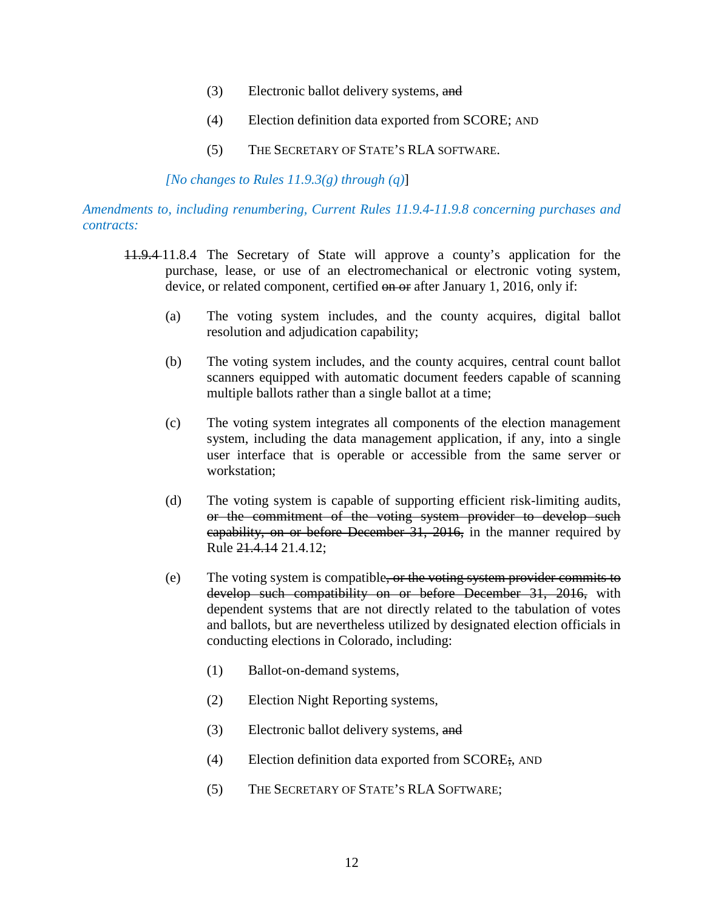- (3) Electronic ballot delivery systems, and
- (4) Election definition data exported from SCORE; AND
- (5) THE SECRETARY OF STATE'S RLA SOFTWARE.

*[No changes to Rules 11.9.3(g) through (q)*]

*Amendments to, including renumbering, Current Rules 11.9.4-11.9.8 concerning purchases and contracts:*

- 11.9.4 11.8.4 The Secretary of State will approve a county's application for the purchase, lease, or use of an electromechanical or electronic voting system, device, or related component, certified on or after January 1, 2016, only if:
	- (a) The voting system includes, and the county acquires, digital ballot resolution and adjudication capability;
	- (b) The voting system includes, and the county acquires, central count ballot scanners equipped with automatic document feeders capable of scanning multiple ballots rather than a single ballot at a time;
	- (c) The voting system integrates all components of the election management system, including the data management application, if any, into a single user interface that is operable or accessible from the same server or workstation;
	- (d) The voting system is capable of supporting efficient risk-limiting audits, or the commitment of the voting system provider to develop such capability, on or before December 31, 2016, in the manner required by Rule 21.4.14 21.4.12;
	- (e) The voting system is compatible, or the voting system provider commits to develop such compatibility on or before December 31, 2016, with dependent systems that are not directly related to the tabulation of votes and ballots, but are nevertheless utilized by designated election officials in conducting elections in Colorado, including:
		- (1) Ballot-on-demand systems,
		- (2) Election Night Reporting systems,
		- (3) Electronic ballot delivery systems, and
		- (4) Election definition data exported from SCORE;, AND
		- (5) THE SECRETARY OF STATE'S RLA SOFTWARE;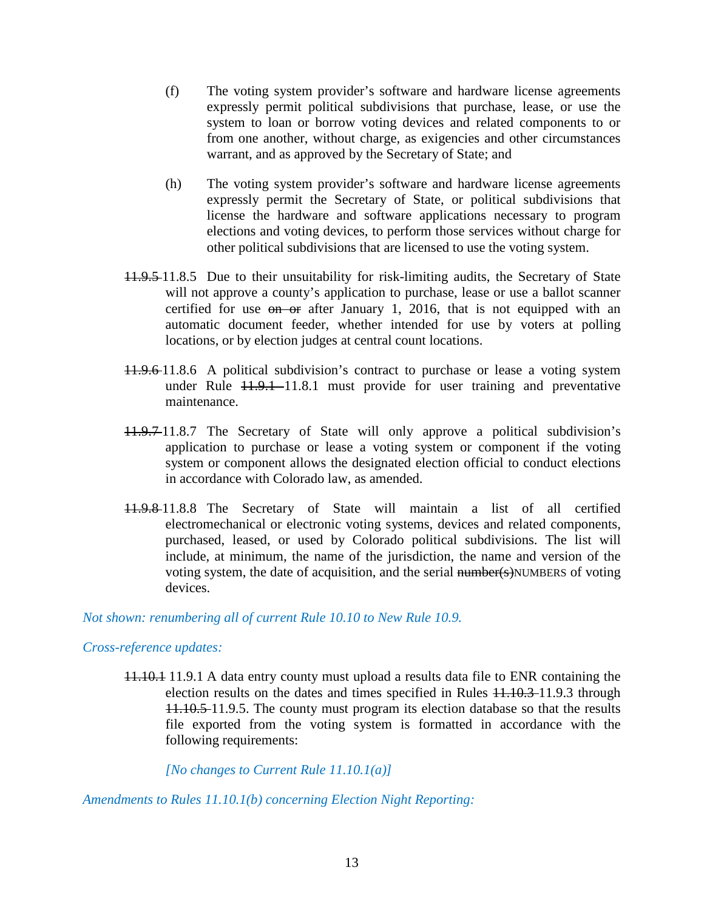- (f) The voting system provider's software and hardware license agreements expressly permit political subdivisions that purchase, lease, or use the system to loan or borrow voting devices and related components to or from one another, without charge, as exigencies and other circumstances warrant, and as approved by the Secretary of State; and
- (h) The voting system provider's software and hardware license agreements expressly permit the Secretary of State, or political subdivisions that license the hardware and software applications necessary to program elections and voting devices, to perform those services without charge for other political subdivisions that are licensed to use the voting system.
- 11.9.5 11.8.5 Due to their unsuitability for risk-limiting audits, the Secretary of State will not approve a county's application to purchase, lease or use a ballot scanner certified for use on or after January 1, 2016, that is not equipped with an automatic document feeder, whether intended for use by voters at polling locations, or by election judges at central count locations.
- 11.9.6 11.8.6 A political subdivision's contract to purchase or lease a voting system under Rule  $11.9.1$  -11.8.1 must provide for user training and preventative maintenance.
- 11.9.7 11.8.7 The Secretary of State will only approve a political subdivision's application to purchase or lease a voting system or component if the voting system or component allows the designated election official to conduct elections in accordance with Colorado law, as amended.
- 11.9.8 11.8.8 The Secretary of State will maintain a list of all certified electromechanical or electronic voting systems, devices and related components, purchased, leased, or used by Colorado political subdivisions. The list will include, at minimum, the name of the jurisdiction, the name and version of the voting system, the date of acquisition, and the serial number(s)NUMBERS of voting devices.

#### *Not shown: renumbering all of current Rule 10.10 to New Rule 10.9.*

#### *Cross-reference updates:*

11.10.1 11.9.1 A data entry county must upload a results data file to ENR containing the election results on the dates and times specified in Rules 11.10.3 11.9.3 through 11.10.5 11.9.5. The county must program its election database so that the results file exported from the voting system is formatted in accordance with the following requirements:

*[No changes to Current Rule 11.10.1(a)]*

*Amendments to Rules 11.10.1(b) concerning Election Night Reporting:*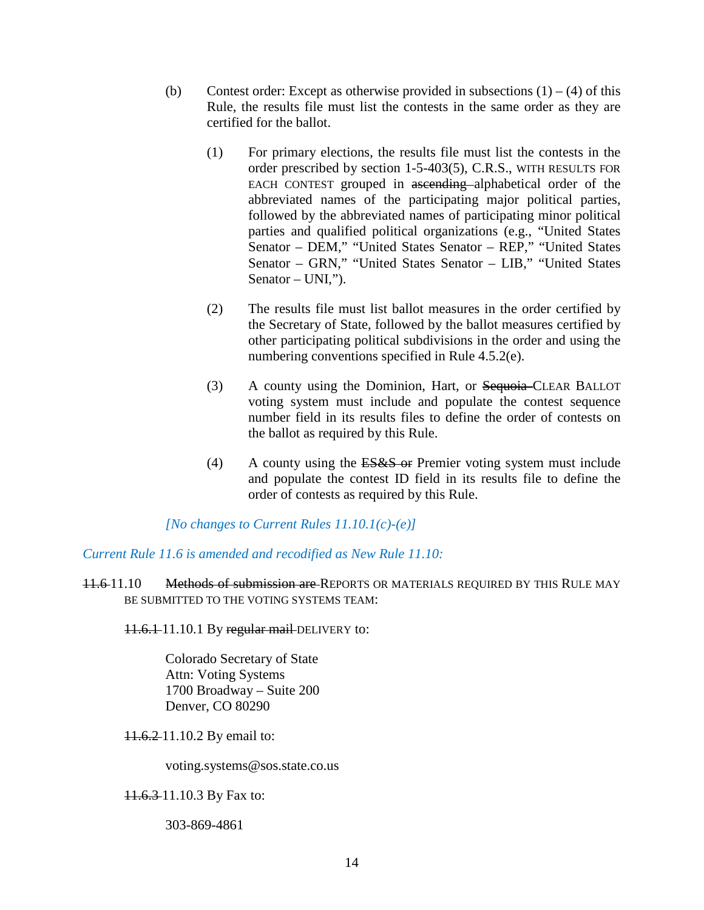- (b) Contest order: Except as otherwise provided in subsections  $(1) (4)$  of this Rule, the results file must list the contests in the same order as they are certified for the ballot.
	- (1) For primary elections, the results file must list the contests in the order prescribed by section 1-5-403(5), C.R.S., WITH RESULTS FOR EACH CONTEST grouped in ascending alphabetical order of the abbreviated names of the participating major political parties, followed by the abbreviated names of participating minor political parties and qualified political organizations (e.g., "United States Senator – DEM," "United States Senator – REP," "United States Senator – GRN," "United States Senator – LIB," "United States Senator – UNI,").
	- (2) The results file must list ballot measures in the order certified by the Secretary of State, followed by the ballot measures certified by other participating political subdivisions in the order and using the numbering conventions specified in Rule 4.5.2(e).
	- (3) A county using the Dominion, Hart, or Sequoia–CLEAR BALLOT voting system must include and populate the contest sequence number field in its results files to define the order of contests on the ballot as required by this Rule.
	- (4) A county using the ES&S or Premier voting system must include and populate the contest ID field in its results file to define the order of contests as required by this Rule.

*[No changes to Current Rules 11.10.1(c)-(e)]*

*Current Rule 11.6 is amended and recodified as New Rule 11.10:*

11.6 11.10 Methods of submission are REPORTS OR MATERIALS REQUIRED BY THIS RULE MAY BE SUBMITTED TO THE VOTING SYSTEMS TEAM:

11.6.1 11.10.1 By regular mail DELIVERY to:

Colorado Secretary of State Attn: Voting Systems 1700 Broadway – Suite 200 Denver, CO 80290

11.6.2 11.10.2 By email to:

voting.systems@sos.state.co.us

11.6.3 11.10.3 By Fax to:

303-869-4861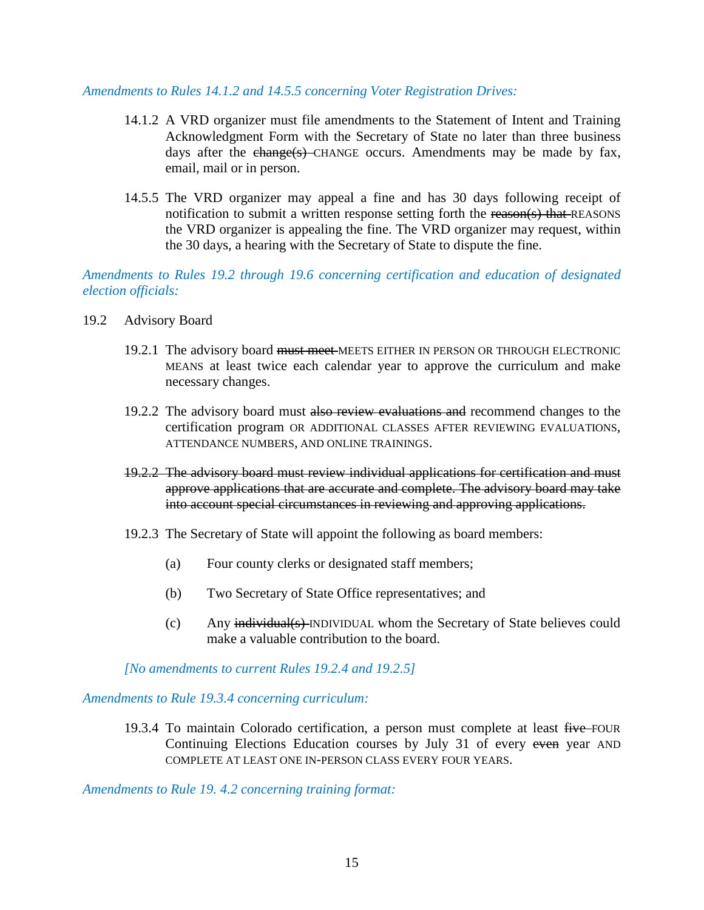#### *Amendments to Rules 14.1.2 and 14.5.5 concerning Voter Registration Drives:*

- 14.1.2 A VRD organizer must file amendments to the Statement of Intent and Training Acknowledgment Form with the Secretary of State no later than three business days after the  $ehange(s)$ -CHANGE occurs. Amendments may be made by fax, email, mail or in person.
- 14.5.5 The VRD organizer may appeal a fine and has 30 days following receipt of notification to submit a written response setting forth the reason(s) that REASONS the VRD organizer is appealing the fine. The VRD organizer may request, within the 30 days, a hearing with the Secretary of State to dispute the fine.

*Amendments to Rules 19.2 through 19.6 concerning certification and education of designated election officials:*

- 19.2 Advisory Board
	- 19.2.1 The advisory board must meet MEETS EITHER IN PERSON OR THROUGH ELECTRONIC MEANS at least twice each calendar year to approve the curriculum and make necessary changes.
	- 19.2.2 The advisory board must also review evaluations and recommend changes to the certification program OR ADDITIONAL CLASSES AFTER REVIEWING EVALUATIONS, ATTENDANCE NUMBERS, AND ONLINE TRAININGS.
	- 19.2.2 The advisory board must review individual applications for certification and must approve applications that are accurate and complete. The advisory board may take into account special circumstances in reviewing and approving applications.
	- 19.2.3 The Secretary of State will appoint the following as board members:
		- (a) Four county clerks or designated staff members;
		- (b) Two Secretary of State Office representatives; and
		- (c) Any individual(s) INDIVIDUAL whom the Secretary of State believes could make a valuable contribution to the board.

*[No amendments to current Rules 19.2.4 and 19.2.5]* 

*Amendments to Rule 19.3.4 concerning curriculum:* 

19.3.4 To maintain Colorado certification, a person must complete at least five FOUR Continuing Elections Education courses by July 31 of every even year AND COMPLETE AT LEAST ONE IN-PERSON CLASS EVERY FOUR YEARS.

*Amendments to Rule 19. 4.2 concerning training format:*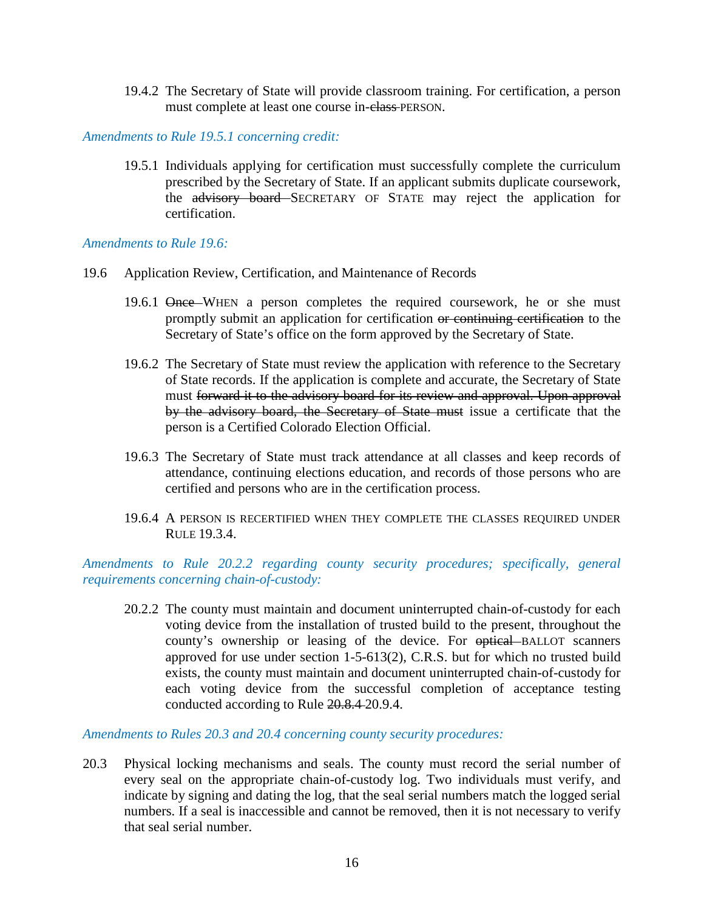19.4.2 The Secretary of State will provide classroom training. For certification, a person must complete at least one course in-class PERSON.

*Amendments to Rule 19.5.1 concerning credit:* 

19.5.1 Individuals applying for certification must successfully complete the curriculum prescribed by the Secretary of State. If an applicant submits duplicate coursework, the advisory board SECRETARY OF STATE may reject the application for certification.

*Amendments to Rule 19.6:* 

- 19.6 Application Review, Certification, and Maintenance of Records
	- 19.6.1 Once WHEN a person completes the required coursework, he or she must promptly submit an application for certification or continuing certification to the Secretary of State's office on the form approved by the Secretary of State.
	- 19.6.2 The Secretary of State must review the application with reference to the Secretary of State records. If the application is complete and accurate, the Secretary of State must forward it to the advisory board for its review and approval. Upon approval by the advisory board, the Secretary of State must issue a certificate that the person is a Certified Colorado Election Official.
	- 19.6.3 The Secretary of State must track attendance at all classes and keep records of attendance, continuing elections education, and records of those persons who are certified and persons who are in the certification process.
	- 19.6.4 A PERSON IS RECERTIFIED WHEN THEY COMPLETE THE CLASSES REQUIRED UNDER RULE 19.3.4.

*Amendments to Rule 20.2.2 regarding county security procedures; specifically, general requirements concerning chain-of-custody:*

20.2.2 The county must maintain and document uninterrupted chain-of-custody for each voting device from the installation of trusted build to the present, throughout the county's ownership or leasing of the device. For  $\theta$  optical BALLOT scanners approved for use under section 1-5-613(2), C.R.S. but for which no trusted build exists, the county must maintain and document uninterrupted chain-of-custody for each voting device from the successful completion of acceptance testing conducted according to Rule 20.8.4 20.9.4.

*Amendments to Rules 20.3 and 20.4 concerning county security procedures:*

20.3 Physical locking mechanisms and seals. The county must record the serial number of every seal on the appropriate chain-of-custody log. Two individuals must verify, and indicate by signing and dating the log, that the seal serial numbers match the logged serial numbers. If a seal is inaccessible and cannot be removed, then it is not necessary to verify that seal serial number.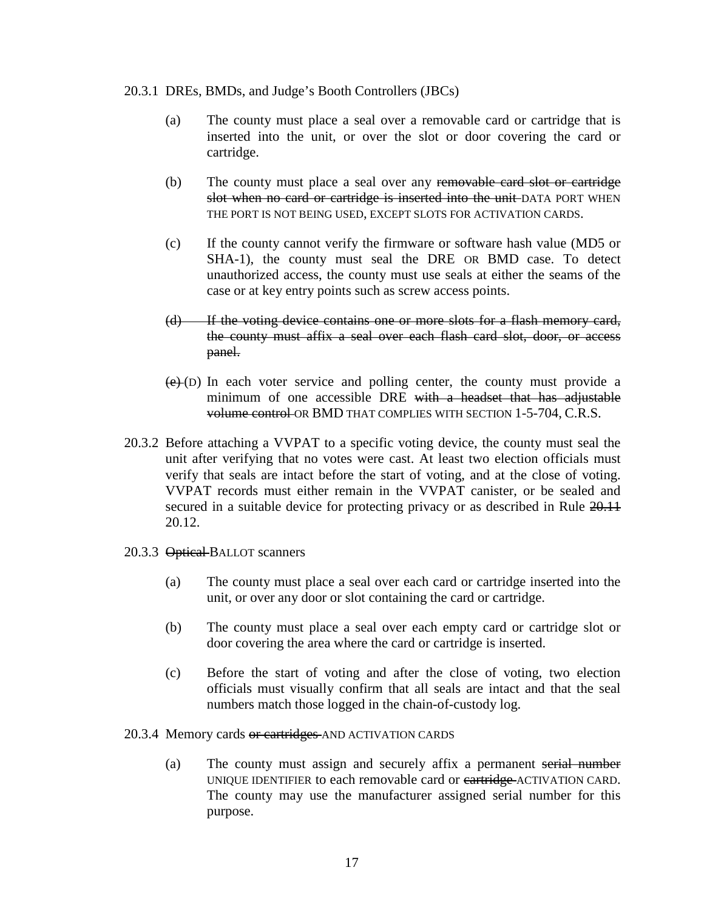#### 20.3.1 DREs, BMDs, and Judge's Booth Controllers (JBCs)

- (a) The county must place a seal over a removable card or cartridge that is inserted into the unit, or over the slot or door covering the card or cartridge.
- (b) The county must place a seal over any removable card slot or cartridge slot when no card or cartridge is inserted into the unit-DATA PORT WHEN THE PORT IS NOT BEING USED, EXCEPT SLOTS FOR ACTIVATION CARDS.
- (c) If the county cannot verify the firmware or software hash value (MD5 or SHA-1), the county must seal the DRE OR BMD case. To detect unauthorized access, the county must use seals at either the seams of the case or at key entry points such as screw access points.
- (d) If the voting device contains one or more slots for a flash memory card, the county must affix a seal over each flash card slot, door, or access panel.
- $(e)(D)$  In each voter service and polling center, the county must provide a minimum of one accessible DRE with a headset that has adjustable volume control OR BMD THAT COMPLIES WITH SECTION 1-5-704, C.R.S.
- 20.3.2 Before attaching a VVPAT to a specific voting device, the county must seal the unit after verifying that no votes were cast. At least two election officials must verify that seals are intact before the start of voting, and at the close of voting. VVPAT records must either remain in the VVPAT canister, or be sealed and secured in a suitable device for protecting privacy or as described in Rule  $20.11$ 20.12.
- 20.3.3 Optical BALLOT scanners
	- (a) The county must place a seal over each card or cartridge inserted into the unit, or over any door or slot containing the card or cartridge.
	- (b) The county must place a seal over each empty card or cartridge slot or door covering the area where the card or cartridge is inserted.
	- (c) Before the start of voting and after the close of voting, two election officials must visually confirm that all seals are intact and that the seal numbers match those logged in the chain-of-custody log.

#### 20.3.4 Memory cards or cartridges AND ACTIVATION CARDS

(a) The county must assign and securely affix a permanent serial number UNIQUE IDENTIFIER to each removable card or cartridge ACTIVATION CARD. The county may use the manufacturer assigned serial number for this purpose.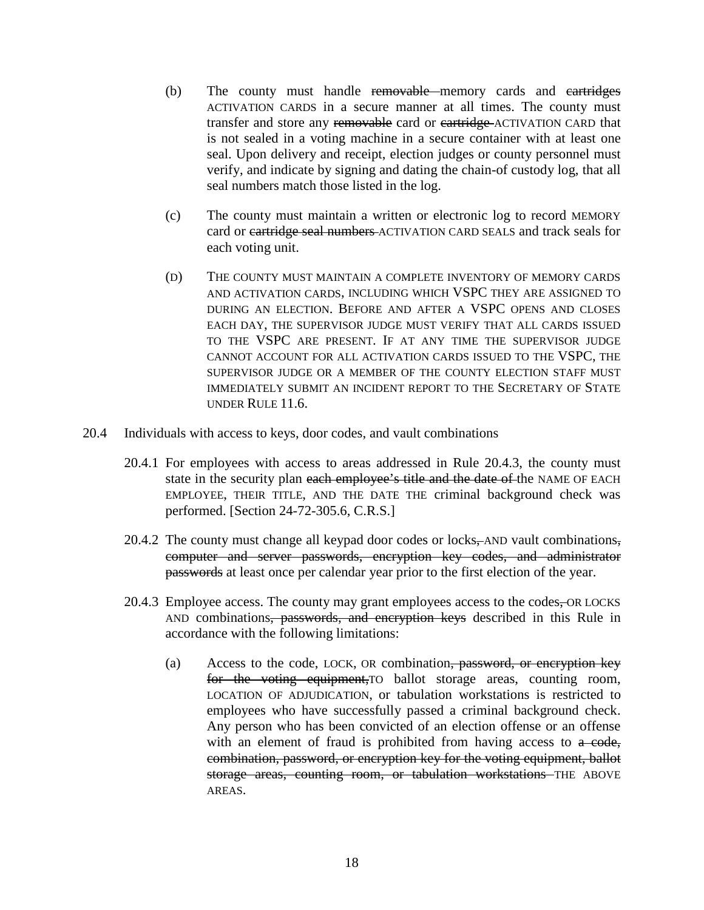- (b) The county must handle removable memory cards and cartridges ACTIVATION CARDS in a secure manner at all times. The county must transfer and store any removable card or cartridge ACTIVATION CARD that is not sealed in a voting machine in a secure container with at least one seal. Upon delivery and receipt, election judges or county personnel must verify, and indicate by signing and dating the chain-of custody log, that all seal numbers match those listed in the log.
- (c) The county must maintain a written or electronic log to record MEMORY card or cartridge seal numbers ACTIVATION CARD SEALS and track seals for each voting unit.
- (D) THE COUNTY MUST MAINTAIN A COMPLETE INVENTORY OF MEMORY CARDS AND ACTIVATION CARDS, INCLUDING WHICH VSPC THEY ARE ASSIGNED TO DURING AN ELECTION. BEFORE AND AFTER A VSPC OPENS AND CLOSES EACH DAY, THE SUPERVISOR JUDGE MUST VERIFY THAT ALL CARDS ISSUED TO THE VSPC ARE PRESENT. IF AT ANY TIME THE SUPERVISOR JUDGE CANNOT ACCOUNT FOR ALL ACTIVATION CARDS ISSUED TO THE VSPC, THE SUPERVISOR JUDGE OR A MEMBER OF THE COUNTY ELECTION STAFF MUST IMMEDIATELY SUBMIT AN INCIDENT REPORT TO THE SECRETARY OF STATE UNDER RULE 11.6.
- 20.4 Individuals with access to keys, door codes, and vault combinations
	- 20.4.1 For employees with access to areas addressed in Rule 20.4.3, the county must state in the security plan each employee's title and the date of the NAME OF EACH EMPLOYEE, THEIR TITLE, AND THE DATE THE criminal background check was performed. [Section 24-72-305.6, C.R.S.]
	- 20.4.2 The county must change all keypad door codes or locks, AND vault combinations, computer and server passwords, encryption key codes, and administrator passwords at least once per calendar year prior to the first election of the year.
	- 20.4.3 Employee access. The county may grant employees access to the codes, OR LOCKS AND combinations, passwords, and encryption keys described in this Rule in accordance with the following limitations:
		- (a) Access to the code, LOCK, OR combination, password, or encryption key for the voting equipment,TO ballot storage areas, counting room, LOCATION OF ADJUDICATION, or tabulation workstations is restricted to employees who have successfully passed a criminal background check. Any person who has been convicted of an election offense or an offense with an element of fraud is prohibited from having access to a code, combination, password, or encryption key for the voting equipment, ballot storage areas, counting room, or tabulation workstations THE ABOVE AREAS.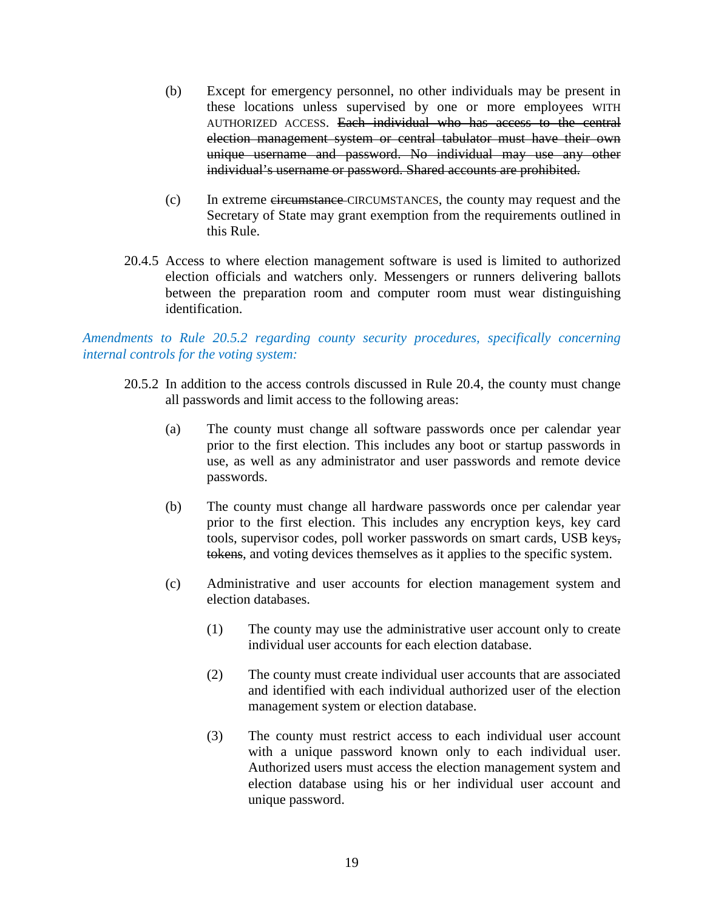- (b) Except for emergency personnel, no other individuals may be present in these locations unless supervised by one or more employees WITH AUTHORIZED ACCESS. Each individual who has access to the central election management system or central tabulator must have their own unique username and password. No individual may use any other individual's username or password. Shared accounts are prohibited.
- (c) In extreme circumstance CIRCUMSTANCES, the county may request and the Secretary of State may grant exemption from the requirements outlined in this Rule.
- 20.4.5 Access to where election management software is used is limited to authorized election officials and watchers only. Messengers or runners delivering ballots between the preparation room and computer room must wear distinguishing identification.

*Amendments to Rule 20.5.2 regarding county security procedures, specifically concerning internal controls for the voting system:*

- 20.5.2 In addition to the access controls discussed in Rule 20.4, the county must change all passwords and limit access to the following areas:
	- (a) The county must change all software passwords once per calendar year prior to the first election. This includes any boot or startup passwords in use, as well as any administrator and user passwords and remote device passwords.
	- (b) The county must change all hardware passwords once per calendar year prior to the first election. This includes any encryption keys, key card tools, supervisor codes, poll worker passwords on smart cards, USB keys, tokens, and voting devices themselves as it applies to the specific system.
	- (c) Administrative and user accounts for election management system and election databases.
		- (1) The county may use the administrative user account only to create individual user accounts for each election database.
		- (2) The county must create individual user accounts that are associated and identified with each individual authorized user of the election management system or election database.
		- (3) The county must restrict access to each individual user account with a unique password known only to each individual user. Authorized users must access the election management system and election database using his or her individual user account and unique password.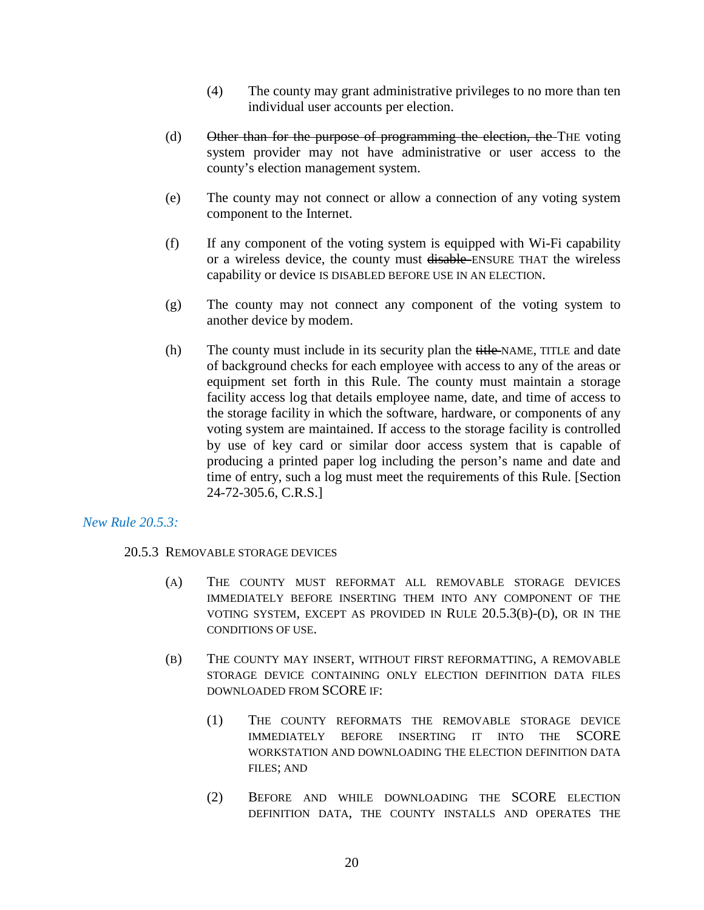- (4) The county may grant administrative privileges to no more than ten individual user accounts per election.
- (d) Other than for the purpose of programming the election, the THE voting system provider may not have administrative or user access to the county's election management system.
- (e) The county may not connect or allow a connection of any voting system component to the Internet.
- (f) If any component of the voting system is equipped with Wi-Fi capability or a wireless device, the county must disable ENSURE THAT the wireless capability or device IS DISABLED BEFORE USE IN AN ELECTION.
- (g) The county may not connect any component of the voting system to another device by modem.
- (h) The county must include in its security plan the title-NAME, TITLE and date of background checks for each employee with access to any of the areas or equipment set forth in this Rule. The county must maintain a storage facility access log that details employee name, date, and time of access to the storage facility in which the software, hardware, or components of any voting system are maintained. If access to the storage facility is controlled by use of key card or similar door access system that is capable of producing a printed paper log including the person's name and date and time of entry, such a log must meet the requirements of this Rule. [Section 24-72-305.6, C.R.S.]

## *New Rule 20.5.3:*

## 20.5.3 REMOVABLE STORAGE DEVICES

- (A) THE COUNTY MUST REFORMAT ALL REMOVABLE STORAGE DEVICES IMMEDIATELY BEFORE INSERTING THEM INTO ANY COMPONENT OF THE VOTING SYSTEM, EXCEPT AS PROVIDED IN RULE 20.5.3(B)-(D), OR IN THE CONDITIONS OF USE.
- (B) THE COUNTY MAY INSERT, WITHOUT FIRST REFORMATTING, A REMOVABLE STORAGE DEVICE CONTAINING ONLY ELECTION DEFINITION DATA FILES DOWNLOADED FROM SCORE IF:
	- (1) THE COUNTY REFORMATS THE REMOVABLE STORAGE DEVICE IMMEDIATELY BEFORE INSERTING IT INTO THE SCORE WORKSTATION AND DOWNLOADING THE ELECTION DEFINITION DATA FILES; AND
	- (2) BEFORE AND WHILE DOWNLOADING THE SCORE ELECTION DEFINITION DATA, THE COUNTY INSTALLS AND OPERATES THE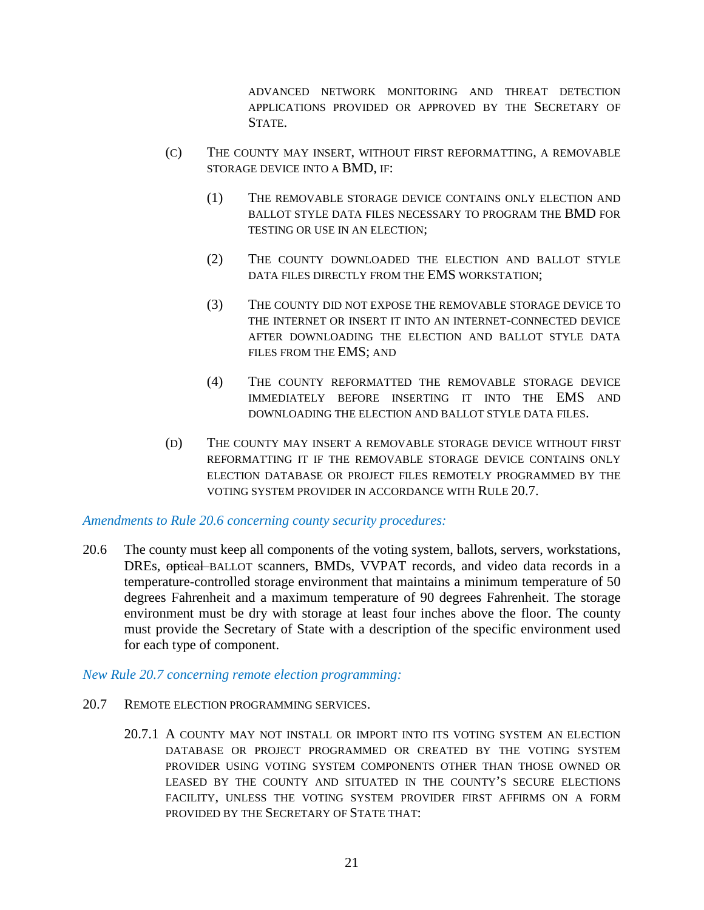ADVANCED NETWORK MONITORING AND THREAT DETECTION APPLICATIONS PROVIDED OR APPROVED BY THE SECRETARY OF STATE.

- (C) THE COUNTY MAY INSERT, WITHOUT FIRST REFORMATTING, A REMOVABLE STORAGE DEVICE INTO A BMD, IF:
	- (1) THE REMOVABLE STORAGE DEVICE CONTAINS ONLY ELECTION AND BALLOT STYLE DATA FILES NECESSARY TO PROGRAM THE BMD FOR TESTING OR USE IN AN ELECTION;
	- (2) THE COUNTY DOWNLOADED THE ELECTION AND BALLOT STYLE DATA FILES DIRECTLY FROM THE EMS WORKSTATION;
	- (3) THE COUNTY DID NOT EXPOSE THE REMOVABLE STORAGE DEVICE TO THE INTERNET OR INSERT IT INTO AN INTERNET-CONNECTED DEVICE AFTER DOWNLOADING THE ELECTION AND BALLOT STYLE DATA FILES FROM THE EMS; AND
	- (4) THE COUNTY REFORMATTED THE REMOVABLE STORAGE DEVICE IMMEDIATELY BEFORE INSERTING IT INTO THE EMS AND DOWNLOADING THE ELECTION AND BALLOT STYLE DATA FILES.
- (D) THE COUNTY MAY INSERT A REMOVABLE STORAGE DEVICE WITHOUT FIRST REFORMATTING IT IF THE REMOVABLE STORAGE DEVICE CONTAINS ONLY ELECTION DATABASE OR PROJECT FILES REMOTELY PROGRAMMED BY THE VOTING SYSTEM PROVIDER IN ACCORDANCE WITH RULE 20.7.

#### *Amendments to Rule 20.6 concerning county security procedures:*

20.6 The county must keep all components of the voting system, ballots, servers, workstations, DREs, optical BALLOT scanners, BMDs, VVPAT records, and video data records in a temperature-controlled storage environment that maintains a minimum temperature of 50 degrees Fahrenheit and a maximum temperature of 90 degrees Fahrenheit. The storage environment must be dry with storage at least four inches above the floor. The county must provide the Secretary of State with a description of the specific environment used for each type of component.

#### *New Rule 20.7 concerning remote election programming:*

- 20.7 REMOTE ELECTION PROGRAMMING SERVICES.
	- 20.7.1 A COUNTY MAY NOT INSTALL OR IMPORT INTO ITS VOTING SYSTEM AN ELECTION DATABASE OR PROJECT PROGRAMMED OR CREATED BY THE VOTING SYSTEM PROVIDER USING VOTING SYSTEM COMPONENTS OTHER THAN THOSE OWNED OR LEASED BY THE COUNTY AND SITUATED IN THE COUNTY'S SECURE ELECTIONS FACILITY, UNLESS THE VOTING SYSTEM PROVIDER FIRST AFFIRMS ON A FORM PROVIDED BY THE SECRETARY OF STATE THAT: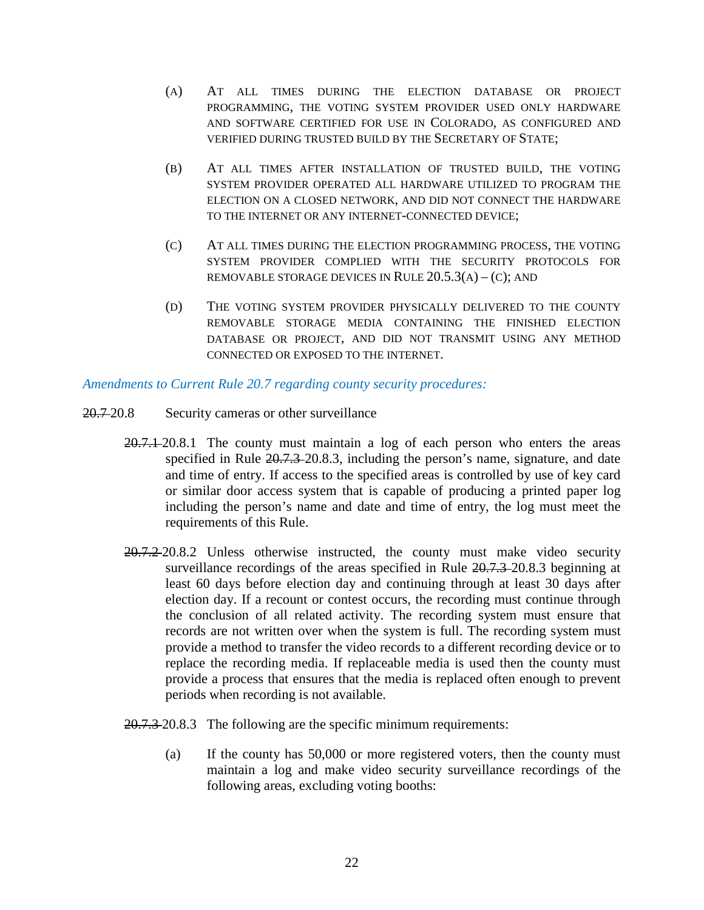- (A) AT ALL TIMES DURING THE ELECTION DATABASE OR PROJECT PROGRAMMING, THE VOTING SYSTEM PROVIDER USED ONLY HARDWARE AND SOFTWARE CERTIFIED FOR USE IN COLORADO, AS CONFIGURED AND VERIFIED DURING TRUSTED BUILD BY THE SECRETARY OF STATE;
- (B) AT ALL TIMES AFTER INSTALLATION OF TRUSTED BUILD, THE VOTING SYSTEM PROVIDER OPERATED ALL HARDWARE UTILIZED TO PROGRAM THE ELECTION ON A CLOSED NETWORK, AND DID NOT CONNECT THE HARDWARE TO THE INTERNET OR ANY INTERNET-CONNECTED DEVICE;
- (C) AT ALL TIMES DURING THE ELECTION PROGRAMMING PROCESS, THE VOTING SYSTEM PROVIDER COMPLIED WITH THE SECURITY PROTOCOLS FOR REMOVABLE STORAGE DEVICES IN RULE  $20.5.3(A) - (C)$ ; AND
- (D) THE VOTING SYSTEM PROVIDER PHYSICALLY DELIVERED TO THE COUNTY REMOVABLE STORAGE MEDIA CONTAINING THE FINISHED ELECTION DATABASE OR PROJECT, AND DID NOT TRANSMIT USING ANY METHOD CONNECTED OR EXPOSED TO THE INTERNET.

*Amendments to Current Rule 20.7 regarding county security procedures:*

- 20.7 20.8 Security cameras or other surveillance
	- 20.7.1 20.8.1 The county must maintain a log of each person who enters the areas specified in Rule  $20.7.3$ -20.8.3, including the person's name, signature, and date and time of entry. If access to the specified areas is controlled by use of key card or similar door access system that is capable of producing a printed paper log including the person's name and date and time of entry, the log must meet the requirements of this Rule.
	- 20.7.2 20.8.2 Unless otherwise instructed, the county must make video security surveillance recordings of the areas specified in Rule 20.7.3-20.8.3 beginning at least 60 days before election day and continuing through at least 30 days after election day. If a recount or contest occurs, the recording must continue through the conclusion of all related activity. The recording system must ensure that records are not written over when the system is full. The recording system must provide a method to transfer the video records to a different recording device or to replace the recording media. If replaceable media is used then the county must provide a process that ensures that the media is replaced often enough to prevent periods when recording is not available.
	- 20.7.3-20.8.3 The following are the specific minimum requirements:
		- (a) If the county has 50,000 or more registered voters, then the county must maintain a log and make video security surveillance recordings of the following areas, excluding voting booths: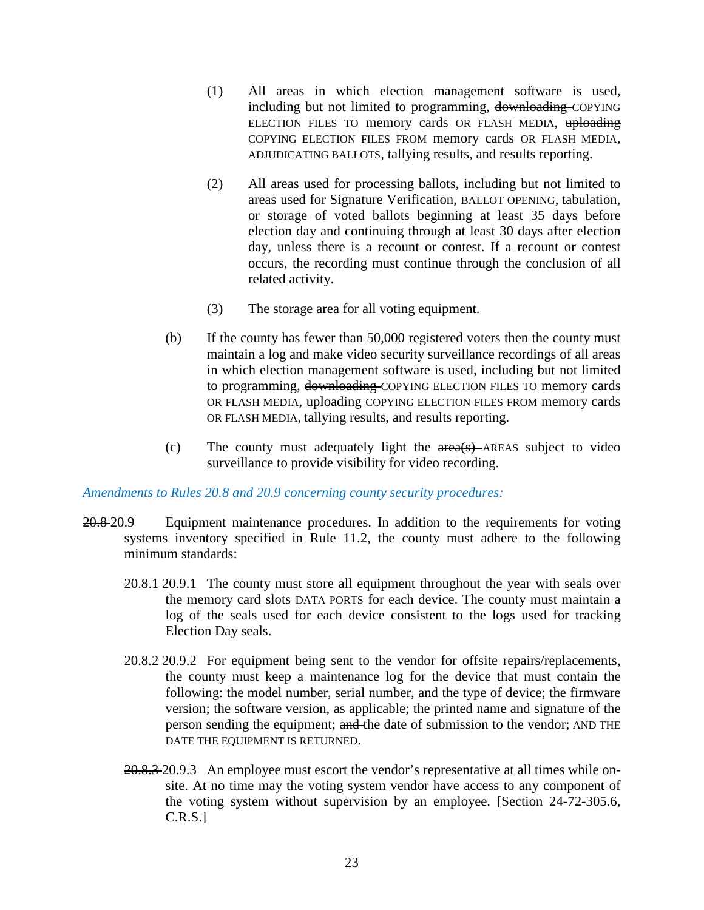- (1) All areas in which election management software is used, including but not limited to programming, downloading COPYING ELECTION FILES TO memory cards OR FLASH MEDIA, uploading COPYING ELECTION FILES FROM memory cards OR FLASH MEDIA, ADJUDICATING BALLOTS, tallying results, and results reporting.
- (2) All areas used for processing ballots, including but not limited to areas used for Signature Verification, BALLOT OPENING, tabulation, or storage of voted ballots beginning at least 35 days before election day and continuing through at least 30 days after election day, unless there is a recount or contest. If a recount or contest occurs, the recording must continue through the conclusion of all related activity.
- (3) The storage area for all voting equipment.
- (b) If the county has fewer than 50,000 registered voters then the county must maintain a log and make video security surveillance recordings of all areas in which election management software is used, including but not limited to programming, downloading COPYING ELECTION FILES TO memory cards OR FLASH MEDIA, uploading COPYING ELECTION FILES FROM memory cards OR FLASH MEDIA, tallying results, and results reporting.
- (c) The county must adequately light the area(s) AREAS subject to video surveillance to provide visibility for video recording.

#### *Amendments to Rules 20.8 and 20.9 concerning county security procedures:*

- 20.8 20.9 Equipment maintenance procedures. In addition to the requirements for voting systems inventory specified in Rule 11.2, the county must adhere to the following minimum standards:
	- 20.8.1 20.9.1 The county must store all equipment throughout the year with seals over the memory card slots DATA PORTS for each device. The county must maintain a log of the seals used for each device consistent to the logs used for tracking Election Day seals.
	- 20.8.2 20.9.2 For equipment being sent to the vendor for offsite repairs/replacements, the county must keep a maintenance log for the device that must contain the following: the model number, serial number, and the type of device; the firmware version; the software version, as applicable; the printed name and signature of the person sending the equipment; and the date of submission to the vendor; AND THE DATE THE EQUIPMENT IS RETURNED.
	- 20.8.3 20.9.3 An employee must escort the vendor's representative at all times while onsite. At no time may the voting system vendor have access to any component of the voting system without supervision by an employee. [Section 24-72-305.6, C.R.S.]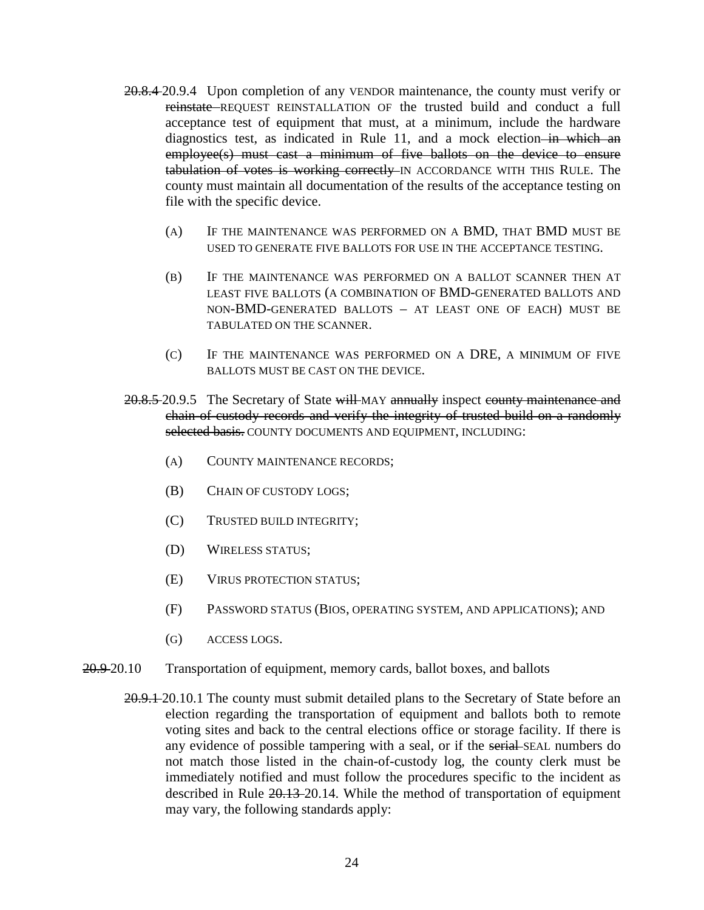- 20.8.4-20.9.4 Upon completion of any VENDOR maintenance, the county must verify or reinstate REQUEST REINSTALLATION OF the trusted build and conduct a full acceptance test of equipment that must, at a minimum, include the hardware diagnostics test, as indicated in Rule 11, and a mock election in which an employee(s) must cast a minimum of five ballots on the device to ensure tabulation of votes is working correctly IN ACCORDANCE WITH THIS RULE. The county must maintain all documentation of the results of the acceptance testing on file with the specific device.
	- (A) IF THE MAINTENANCE WAS PERFORMED ON A BMD, THAT BMD MUST BE USED TO GENERATE FIVE BALLOTS FOR USE IN THE ACCEPTANCE TESTING.
	- (B) IF THE MAINTENANCE WAS PERFORMED ON A BALLOT SCANNER THEN AT LEAST FIVE BALLOTS (A COMBINATION OF BMD-GENERATED BALLOTS AND NON-BMD-GENERATED BALLOTS – AT LEAST ONE OF EACH) MUST BE TABULATED ON THE SCANNER.
	- (C) IF THE MAINTENANCE WAS PERFORMED ON A DRE, A MINIMUM OF FIVE BALLOTS MUST BE CAST ON THE DEVICE.
- 20.8.5-20.9.5 The Secretary of State will MAY annually inspect county maintenance and chain-of-custody records and verify the integrity of trusted build on a randomly selected basis. COUNTY DOCUMENTS AND EQUIPMENT, INCLUDING:
	- (A) COUNTY MAINTENANCE RECORDS;
	- (B) CHAIN OF CUSTODY LOGS;
	- (C) TRUSTED BUILD INTEGRITY;
	- (D) WIRELESS STATUS;
	- (E) VIRUS PROTECTION STATUS;
	- (F) PASSWORD STATUS (BIOS, OPERATING SYSTEM, AND APPLICATIONS); AND
	- (G) ACCESS LOGS.
- 20.9 20.10 Transportation of equipment, memory cards, ballot boxes, and ballots
	- 20.9.1 20.10.1 The county must submit detailed plans to the Secretary of State before an election regarding the transportation of equipment and ballots both to remote voting sites and back to the central elections office or storage facility. If there is any evidence of possible tampering with a seal, or if the serial-SEAL numbers do not match those listed in the chain-of-custody log, the county clerk must be immediately notified and must follow the procedures specific to the incident as described in Rule 20.13 20.14. While the method of transportation of equipment may vary, the following standards apply: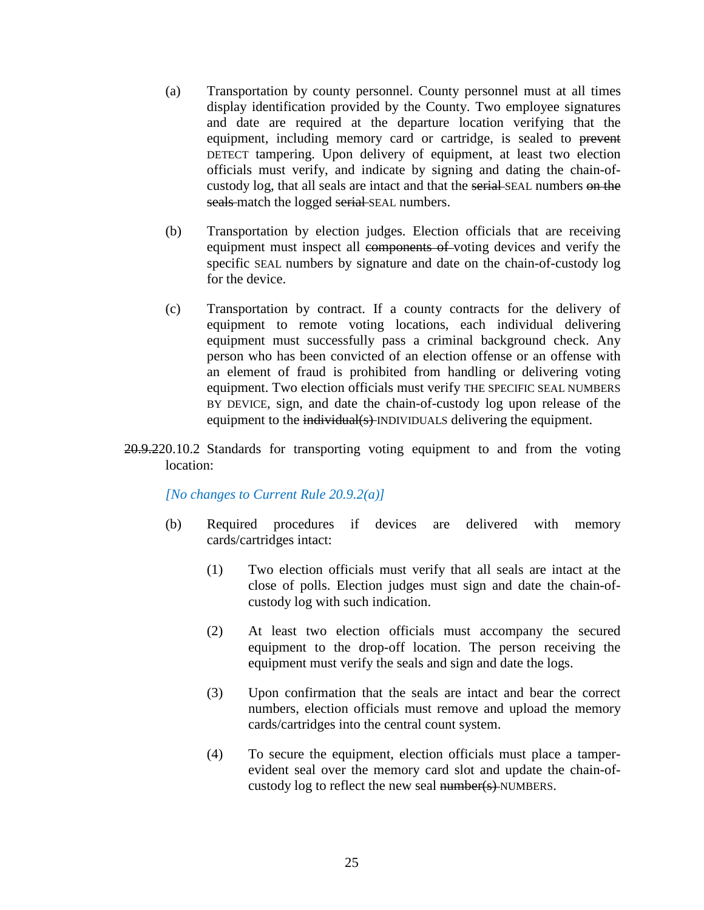- (a) Transportation by county personnel. County personnel must at all times display identification provided by the County. Two employee signatures and date are required at the departure location verifying that the equipment, including memory card or cartridge, is sealed to prevent DETECT tampering. Upon delivery of equipment, at least two election officials must verify, and indicate by signing and dating the chain-ofcustody log, that all seals are intact and that the serial SEAL numbers on the seals match the logged serial SEAL numbers.
- (b) Transportation by election judges. Election officials that are receiving equipment must inspect all components of voting devices and verify the specific SEAL numbers by signature and date on the chain-of-custody log for the device.
- (c) Transportation by contract. If a county contracts for the delivery of equipment to remote voting locations, each individual delivering equipment must successfully pass a criminal background check. Any person who has been convicted of an election offense or an offense with an element of fraud is prohibited from handling or delivering voting equipment. Two election officials must verify THE SPECIFIC SEAL NUMBERS BY DEVICE, sign, and date the chain-of-custody log upon release of the equipment to the individual(s) INDIVIDUALS delivering the equipment.
- 20.9.220.10.2 Standards for transporting voting equipment to and from the voting location:

*[No changes to Current Rule 20.9.2(a)]*

- (b) Required procedures if devices are delivered with memory cards/cartridges intact:
	- (1) Two election officials must verify that all seals are intact at the close of polls. Election judges must sign and date the chain-ofcustody log with such indication.
	- (2) At least two election officials must accompany the secured equipment to the drop-off location. The person receiving the equipment must verify the seals and sign and date the logs.
	- (3) Upon confirmation that the seals are intact and bear the correct numbers, election officials must remove and upload the memory cards/cartridges into the central count system.
	- (4) To secure the equipment, election officials must place a tamperevident seal over the memory card slot and update the chain-ofcustody log to reflect the new seal number(s)-NUMBERS.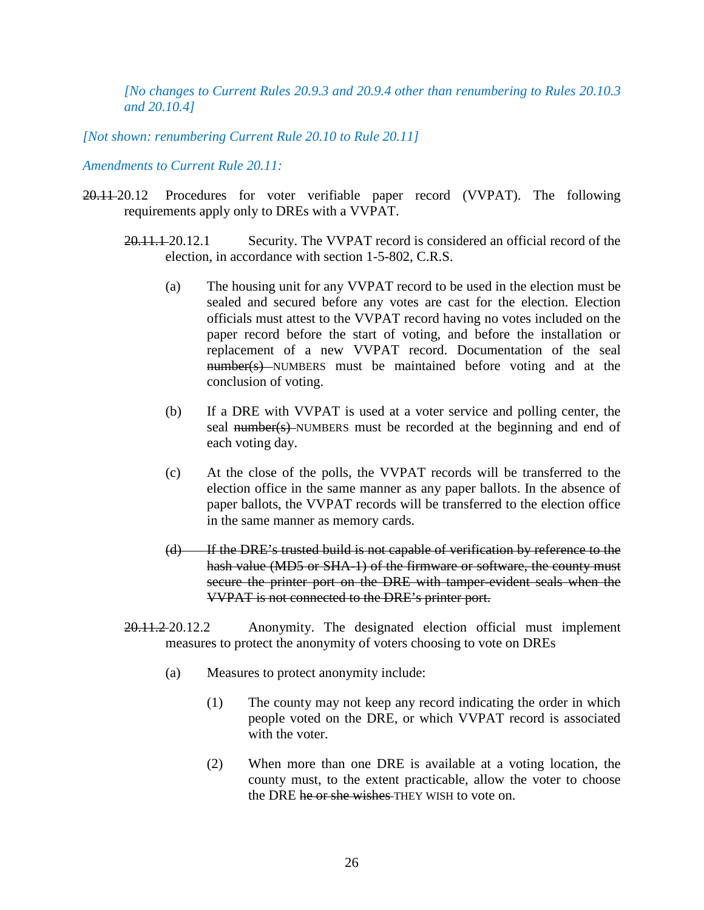*[No changes to Current Rules 20.9.3 and 20.9.4 other than renumbering to Rules 20.10.3 and 20.10.4]*

*[Not shown: renumbering Current Rule 20.10 to Rule 20.11]*

*Amendments to Current Rule 20.11:*

- 20.11 20.12 Procedures for voter verifiable paper record (VVPAT). The following requirements apply only to DREs with a VVPAT.
	- 20.11.1 20.12.1 Security. The VVPAT record is considered an official record of the election, in accordance with section 1-5-802, C.R.S.
		- (a) The housing unit for any VVPAT record to be used in the election must be sealed and secured before any votes are cast for the election. Election officials must attest to the VVPAT record having no votes included on the paper record before the start of voting, and before the installation or replacement of a new VVPAT record. Documentation of the seal number(s) NUMBERS must be maintained before voting and at the conclusion of voting.
		- (b) If a DRE with VVPAT is used at a voter service and polling center, the seal number(s) NUMBERS must be recorded at the beginning and end of each voting day.
		- (c) At the close of the polls, the VVPAT records will be transferred to the election office in the same manner as any paper ballots. In the absence of paper ballots, the VVPAT records will be transferred to the election office in the same manner as memory cards.
		- (d) If the DRE's trusted build is not capable of verification by reference to the hash value (MD5 or SHA-1) of the firmware or software, the county must secure the printer port on the DRE with tamper evident seals when the VVPAT is not connected to the DRE's printer port.

20.11.2 20.12.2 Anonymity. The designated election official must implement measures to protect the anonymity of voters choosing to vote on DREs

- (a) Measures to protect anonymity include:
	- (1) The county may not keep any record indicating the order in which people voted on the DRE, or which VVPAT record is associated with the voter.
	- (2) When more than one DRE is available at a voting location, the county must, to the extent practicable, allow the voter to choose the DRE he or she wishes THEY WISH to vote on.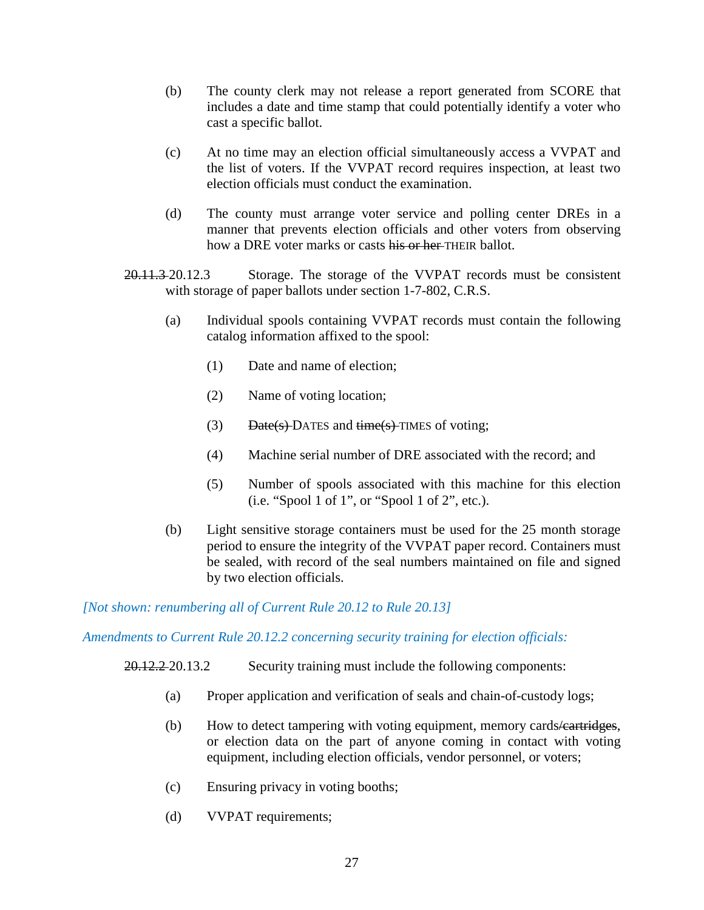- (b) The county clerk may not release a report generated from SCORE that includes a date and time stamp that could potentially identify a voter who cast a specific ballot.
- (c) At no time may an election official simultaneously access a VVPAT and the list of voters. If the VVPAT record requires inspection, at least two election officials must conduct the examination.
- (d) The county must arrange voter service and polling center DREs in a manner that prevents election officials and other voters from observing how a DRE voter marks or casts his or her THEIR ballot.
- 20.11.3 20.12.3 Storage. The storage of the VVPAT records must be consistent with storage of paper ballots under section 1-7-802, C.R.S.
	- (a) Individual spools containing VVPAT records must contain the following catalog information affixed to the spool:
		- (1) Date and name of election;
		- (2) Name of voting location;
		- (3) Date(s)-DATES and  $time(s)$ -TIMES of voting;
		- (4) Machine serial number of DRE associated with the record; and
		- (5) Number of spools associated with this machine for this election (i.e. "Spool 1 of 1", or "Spool 1 of 2", etc.).
	- (b) Light sensitive storage containers must be used for the 25 month storage period to ensure the integrity of the VVPAT paper record. Containers must be sealed, with record of the seal numbers maintained on file and signed by two election officials.

*[Not shown: renumbering all of Current Rule 20.12 to Rule 20.13]*

*Amendments to Current Rule 20.12.2 concerning security training for election officials:*

20.12.2 20.13.2 Security training must include the following components:

- (a) Proper application and verification of seals and chain-of-custody logs;
- (b) How to detect tampering with voting equipment, memory cards/eartridges, or election data on the part of anyone coming in contact with voting equipment, including election officials, vendor personnel, or voters;
- (c) Ensuring privacy in voting booths;
- (d) VVPAT requirements;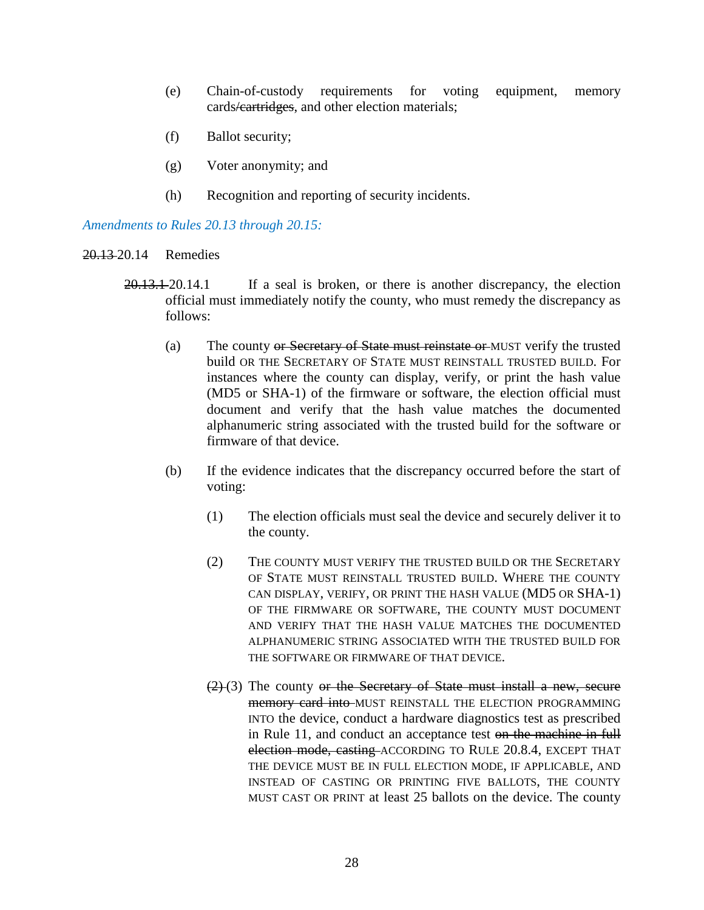- (e) Chain-of-custody requirements for voting equipment, memory cards/cartridges, and other election materials;
- (f) Ballot security;
- (g) Voter anonymity; and
- (h) Recognition and reporting of security incidents.

## *Amendments to Rules 20.13 through 20.15:*

- 20.13 20.14 Remedies
	- 20.13.1 20.14.1 If a seal is broken, or there is another discrepancy, the election official must immediately notify the county, who must remedy the discrepancy as follows:
		- (a) The county or Secretary of State must reinstate or MUST verify the trusted build OR THE SECRETARY OF STATE MUST REINSTALL TRUSTED BUILD. For instances where the county can display, verify, or print the hash value (MD5 or SHA-1) of the firmware or software, the election official must document and verify that the hash value matches the documented alphanumeric string associated with the trusted build for the software or firmware of that device.
		- (b) If the evidence indicates that the discrepancy occurred before the start of voting:
			- (1) The election officials must seal the device and securely deliver it to the county.
			- (2) THE COUNTY MUST VERIFY THE TRUSTED BUILD OR THE SECRETARY OF STATE MUST REINSTALL TRUSTED BUILD. WHERE THE COUNTY CAN DISPLAY, VERIFY, OR PRINT THE HASH VALUE (MD5 OR SHA-1) OF THE FIRMWARE OR SOFTWARE, THE COUNTY MUST DOCUMENT AND VERIFY THAT THE HASH VALUE MATCHES THE DOCUMENTED ALPHANUMERIC STRING ASSOCIATED WITH THE TRUSTED BUILD FOR THE SOFTWARE OR FIRMWARE OF THAT DEVICE.
			- $(2)$  (3) The county or the Secretary of State must install a new, secure memory card into MUST REINSTALL THE ELECTION PROGRAMMING INTO the device, conduct a hardware diagnostics test as prescribed in Rule 11, and conduct an acceptance test on the machine in full election mode, casting ACCORDING TO RULE 20.8.4, EXCEPT THAT THE DEVICE MUST BE IN FULL ELECTION MODE, IF APPLICABLE, AND INSTEAD OF CASTING OR PRINTING FIVE BALLOTS, THE COUNTY MUST CAST OR PRINT at least 25 ballots on the device. The county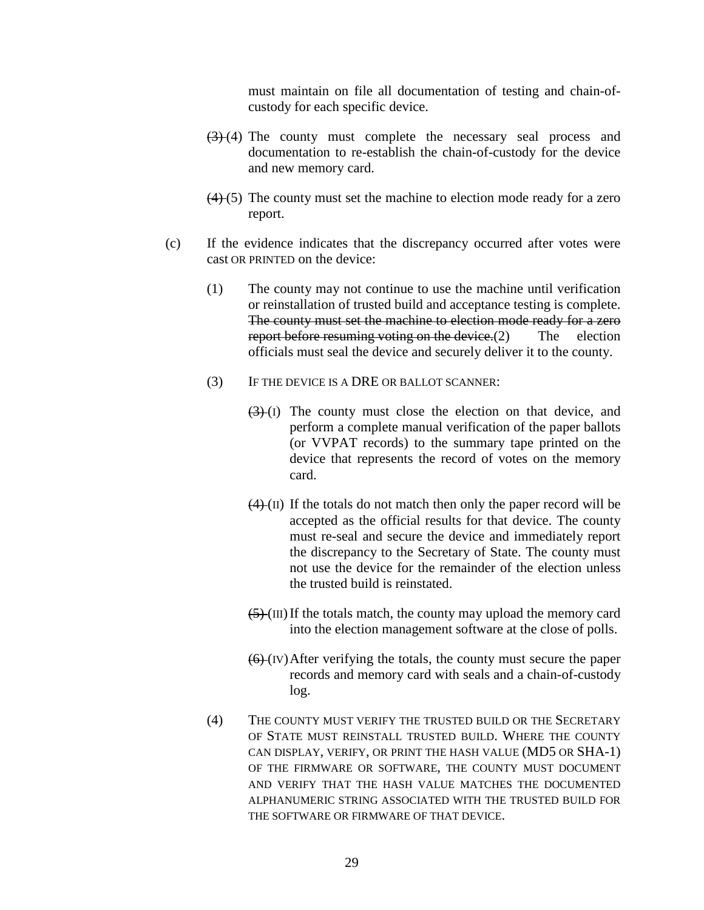must maintain on file all documentation of testing and chain-ofcustody for each specific device.

- $(3)$  (4) The county must complete the necessary seal process and documentation to re-establish the chain-of-custody for the device and new memory card.
- $(4)$  (5) The county must set the machine to election mode ready for a zero report.
- (c) If the evidence indicates that the discrepancy occurred after votes were cast OR PRINTED on the device:
	- (1) The county may not continue to use the machine until verification or reinstallation of trusted build and acceptance testing is complete. The county must set the machine to election mode ready for a zero report before resuming voting on the device. (2) The election officials must seal the device and securely deliver it to the county.
	- (3) IF THE DEVICE IS A DRE OR BALLOT SCANNER:
		- $(3)(1)$  The county must close the election on that device, and perform a complete manual verification of the paper ballots (or VVPAT records) to the summary tape printed on the device that represents the record of votes on the memory card.
		- $(4)$  (II) If the totals do not match then only the paper record will be accepted as the official results for that device. The county must re-seal and secure the device and immediately report the discrepancy to the Secretary of State. The county must not use the device for the remainder of the election unless the trusted build is reinstated.
		- $(5)$  (III) If the totals match, the county may upload the memory card into the election management software at the close of polls.
		- $(6)$  (IV) After verifying the totals, the county must secure the paper records and memory card with seals and a chain-of-custody log.
	- (4) THE COUNTY MUST VERIFY THE TRUSTED BUILD OR THE SECRETARY OF STATE MUST REINSTALL TRUSTED BUILD. WHERE THE COUNTY CAN DISPLAY, VERIFY, OR PRINT THE HASH VALUE (MD5 OR SHA-1) OF THE FIRMWARE OR SOFTWARE, THE COUNTY MUST DOCUMENT AND VERIFY THAT THE HASH VALUE MATCHES THE DOCUMENTED ALPHANUMERIC STRING ASSOCIATED WITH THE TRUSTED BUILD FOR THE SOFTWARE OR FIRMWARE OF THAT DEVICE.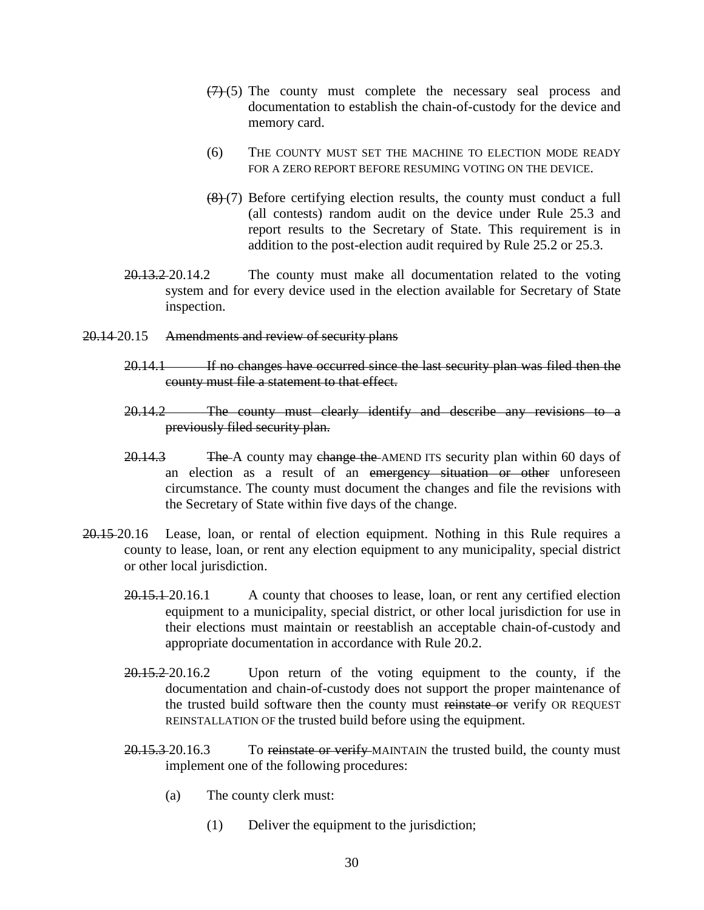- $(7)$  (5) The county must complete the necessary seal process and documentation to establish the chain-of-custody for the device and memory card.
- (6) THE COUNTY MUST SET THE MACHINE TO ELECTION MODE READY FOR A ZERO REPORT BEFORE RESUMING VOTING ON THE DEVICE.
- $(8)$  (7) Before certifying election results, the county must conduct a full (all contests) random audit on the device under Rule 25.3 and report results to the Secretary of State. This requirement is in addition to the post-election audit required by Rule 25.2 or 25.3.
- 20.13.2 20.14.2 The county must make all documentation related to the voting system and for every device used in the election available for Secretary of State inspection.
- 20.14 20.15 Amendments and review of security plans
	- 20.14.1 If no changes have occurred since the last security plan was filed then the county must file a statement to that effect.
	- 20.14.2 The county must clearly identify and describe any revisions to a previously filed security plan.
	- 20.14.3 The A county may change the AMEND ITS security plan within 60 days of an election as a result of an emergency situation or other unforeseen circumstance. The county must document the changes and file the revisions with the Secretary of State within five days of the change.
- 20.15 20.16 Lease, loan, or rental of election equipment. Nothing in this Rule requires a county to lease, loan, or rent any election equipment to any municipality, special district or other local jurisdiction.
	- 20.15.1 20.16.1 A county that chooses to lease, loan, or rent any certified election equipment to a municipality, special district, or other local jurisdiction for use in their elections must maintain or reestablish an acceptable chain-of-custody and appropriate documentation in accordance with Rule 20.2.
	- 20.15.2 20.16.2 Upon return of the voting equipment to the county, if the documentation and chain-of-custody does not support the proper maintenance of the trusted build software then the county must reinstate or verify OR REQUEST REINSTALLATION OF the trusted build before using the equipment.
	- 20.15.3 20.16.3 To reinstate or verify MAINTAIN the trusted build, the county must implement one of the following procedures:
		- (a) The county clerk must:
			- (1) Deliver the equipment to the jurisdiction;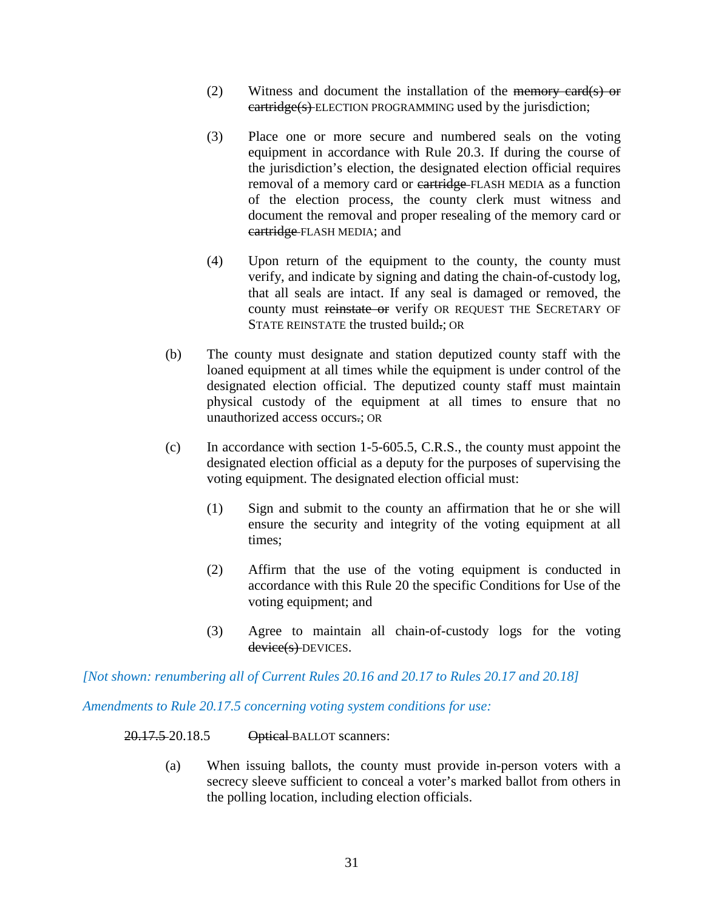- (2) Witness and document the installation of the memory card(s) or eartridge(s) ELECTION PROGRAMMING used by the jurisdiction;
- (3) Place one or more secure and numbered seals on the voting equipment in accordance with Rule 20.3. If during the course of the jurisdiction's election, the designated election official requires removal of a memory card or eartridge FLASH MEDIA as a function of the election process, the county clerk must witness and document the removal and proper resealing of the memory card or cartridge FLASH MEDIA; and
- (4) Upon return of the equipment to the county, the county must verify, and indicate by signing and dating the chain-of-custody log, that all seals are intact. If any seal is damaged or removed, the county must reinstate or verify OR REQUEST THE SECRETARY OF STATE REINSTATE the trusted build.: OR
- (b) The county must designate and station deputized county staff with the loaned equipment at all times while the equipment is under control of the designated election official. The deputized county staff must maintain physical custody of the equipment at all times to ensure that no unauthorized access occurs.; OR
- (c) In accordance with section 1-5-605.5, C.R.S., the county must appoint the designated election official as a deputy for the purposes of supervising the voting equipment. The designated election official must:
	- (1) Sign and submit to the county an affirmation that he or she will ensure the security and integrity of the voting equipment at all times;
	- (2) Affirm that the use of the voting equipment is conducted in accordance with this Rule 20 the specific Conditions for Use of the voting equipment; and
	- (3) Agree to maintain all chain-of-custody logs for the voting device(s) DEVICES.

*[Not shown: renumbering all of Current Rules 20.16 and 20.17 to Rules 20.17 and 20.18]*

*Amendments to Rule 20.17.5 concerning voting system conditions for use:*

#### 20.17.5 20.18.5 Optical BALLOT scanners:

(a) When issuing ballots, the county must provide in-person voters with a secrecy sleeve sufficient to conceal a voter's marked ballot from others in the polling location, including election officials.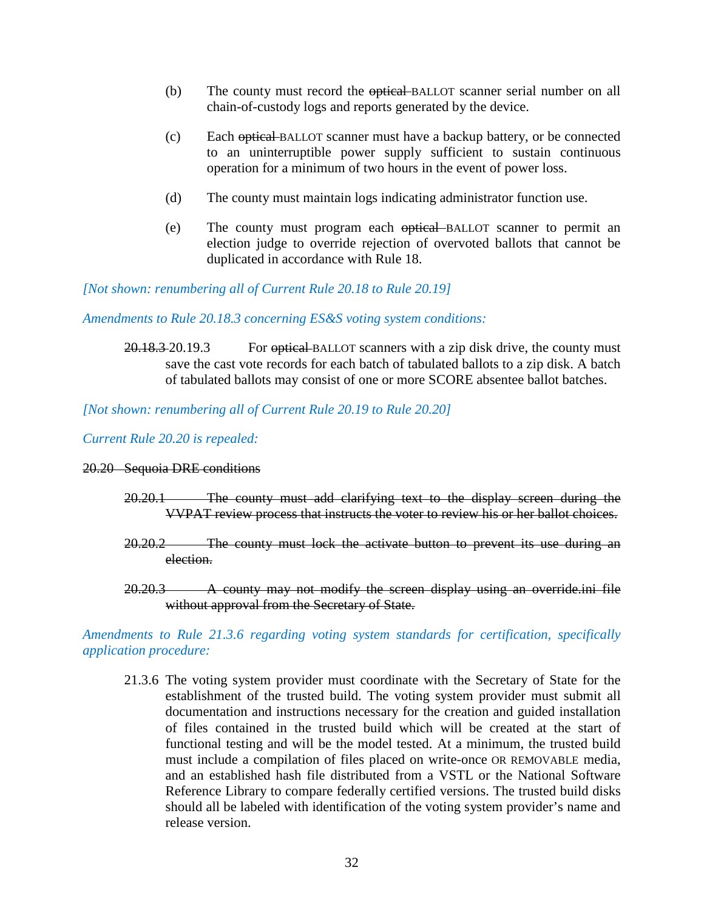- (b) The county must record the optical BALLOT scanner serial number on all chain-of-custody logs and reports generated by the device.
- (c) Each optical BALLOT scanner must have a backup battery, or be connected to an uninterruptible power supply sufficient to sustain continuous operation for a minimum of two hours in the event of power loss.
- (d) The county must maintain logs indicating administrator function use.
- (e) The county must program each optical BALLOT scanner to permit an election judge to override rejection of overvoted ballots that cannot be duplicated in accordance with Rule 18.

*[Not shown: renumbering all of Current Rule 20.18 to Rule 20.19]*

*Amendments to Rule 20.18.3 concerning ES&S voting system conditions:*

20.18.3 20.19.3 For optical BALLOT scanners with a zip disk drive, the county must save the cast vote records for each batch of tabulated ballots to a zip disk. A batch of tabulated ballots may consist of one or more SCORE absentee ballot batches.

*[Not shown: renumbering all of Current Rule 20.19 to Rule 20.20]*

*Current Rule 20.20 is repealed:*

#### 20.20 Sequoia DRE conditions

- 20.20.1 The county must add clarifying text to the display screen during the VVPAT review process that instructs the voter to review his or her ballot choices.
- 20.20.2 The county must lock the activate button to prevent its use during an election.
- 20.20.3 A county may not modify the screen display using an override.ini file without approval from the Secretary of State.

## *Amendments to Rule 21.3.6 regarding voting system standards for certification, specifically application procedure:*

21.3.6 The voting system provider must coordinate with the Secretary of State for the establishment of the trusted build. The voting system provider must submit all documentation and instructions necessary for the creation and guided installation of files contained in the trusted build which will be created at the start of functional testing and will be the model tested. At a minimum, the trusted build must include a compilation of files placed on write-once OR REMOVABLE media, and an established hash file distributed from a VSTL or the National Software Reference Library to compare federally certified versions. The trusted build disks should all be labeled with identification of the voting system provider's name and release version.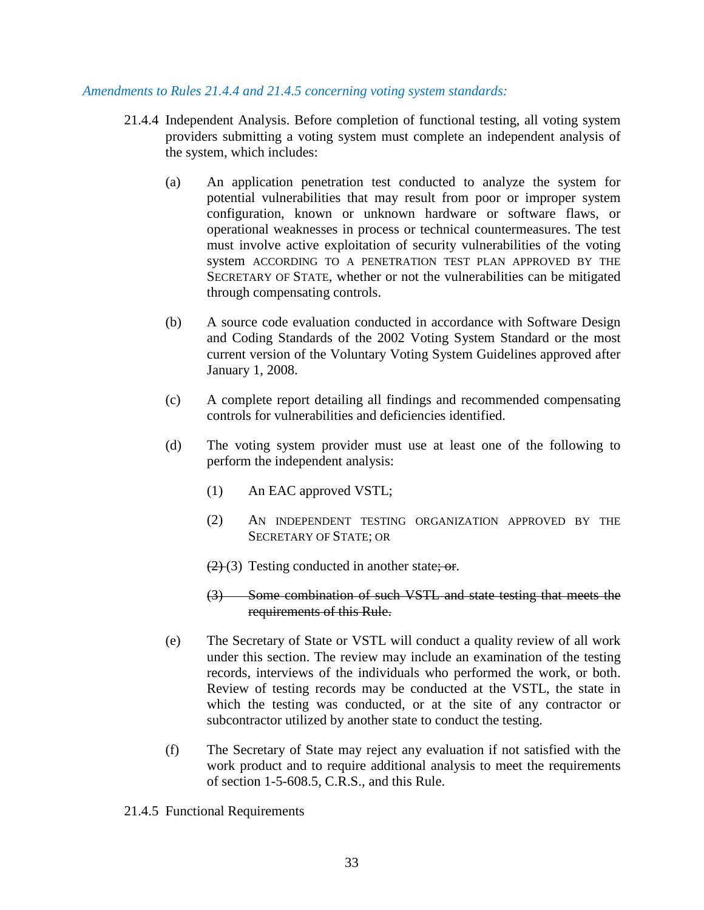#### *Amendments to Rules 21.4.4 and 21.4.5 concerning voting system standards:*

- 21.4.4 Independent Analysis. Before completion of functional testing, all voting system providers submitting a voting system must complete an independent analysis of the system, which includes:
	- (a) An application penetration test conducted to analyze the system for potential vulnerabilities that may result from poor or improper system configuration, known or unknown hardware or software flaws, or operational weaknesses in process or technical countermeasures. The test must involve active exploitation of security vulnerabilities of the voting system ACCORDING TO A PENETRATION TEST PLAN APPROVED BY THE SECRETARY OF STATE, whether or not the vulnerabilities can be mitigated through compensating controls.
	- (b) A source code evaluation conducted in accordance with Software Design and Coding Standards of the 2002 Voting System Standard or the most current version of the Voluntary Voting System Guidelines approved after January 1, 2008.
	- (c) A complete report detailing all findings and recommended compensating controls for vulnerabilities and deficiencies identified.
	- (d) The voting system provider must use at least one of the following to perform the independent analysis:
		- (1) An EAC approved VSTL;
		- (2) AN INDEPENDENT TESTING ORGANIZATION APPROVED BY THE SECRETARY OF STATE; OR
		- $(2)(3)$  Testing conducted in another state; or.
		- (3) Some combination of such VSTL and state testing that meets the requirements of this Rule.
	- (e) The Secretary of State or VSTL will conduct a quality review of all work under this section. The review may include an examination of the testing records, interviews of the individuals who performed the work, or both. Review of testing records may be conducted at the VSTL, the state in which the testing was conducted, or at the site of any contractor or subcontractor utilized by another state to conduct the testing.
	- (f) The Secretary of State may reject any evaluation if not satisfied with the work product and to require additional analysis to meet the requirements of section 1-5-608.5, C.R.S., and this Rule.
- 21.4.5 Functional Requirements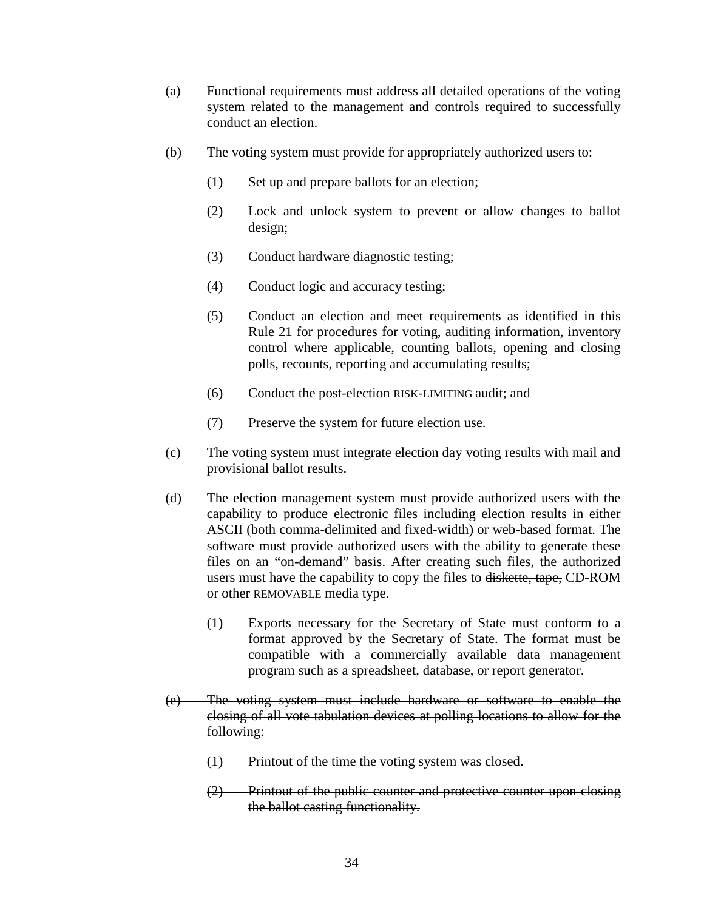- (a) Functional requirements must address all detailed operations of the voting system related to the management and controls required to successfully conduct an election.
- (b) The voting system must provide for appropriately authorized users to:
	- (1) Set up and prepare ballots for an election;
	- (2) Lock and unlock system to prevent or allow changes to ballot design;
	- (3) Conduct hardware diagnostic testing;
	- (4) Conduct logic and accuracy testing;
	- (5) Conduct an election and meet requirements as identified in this Rule 21 for procedures for voting, auditing information, inventory control where applicable, counting ballots, opening and closing polls, recounts, reporting and accumulating results;
	- (6) Conduct the post-election RISK-LIMITING audit; and
	- (7) Preserve the system for future election use.
- (c) The voting system must integrate election day voting results with mail and provisional ballot results.
- (d) The election management system must provide authorized users with the capability to produce electronic files including election results in either ASCII (both comma-delimited and fixed-width) or web-based format. The software must provide authorized users with the ability to generate these files on an "on-demand" basis. After creating such files, the authorized users must have the capability to copy the files to diskette, tape, CD-ROM or other REMOVABLE media type.
	- (1) Exports necessary for the Secretary of State must conform to a format approved by the Secretary of State. The format must be compatible with a commercially available data management program such as a spreadsheet, database, or report generator.
- (e) The voting system must include hardware or software to enable the closing of all vote tabulation devices at polling locations to allow for the following:
	- (1) Printout of the time the voting system was closed.
	- (2) Printout of the public counter and protective counter upon closing the ballot casting functionality.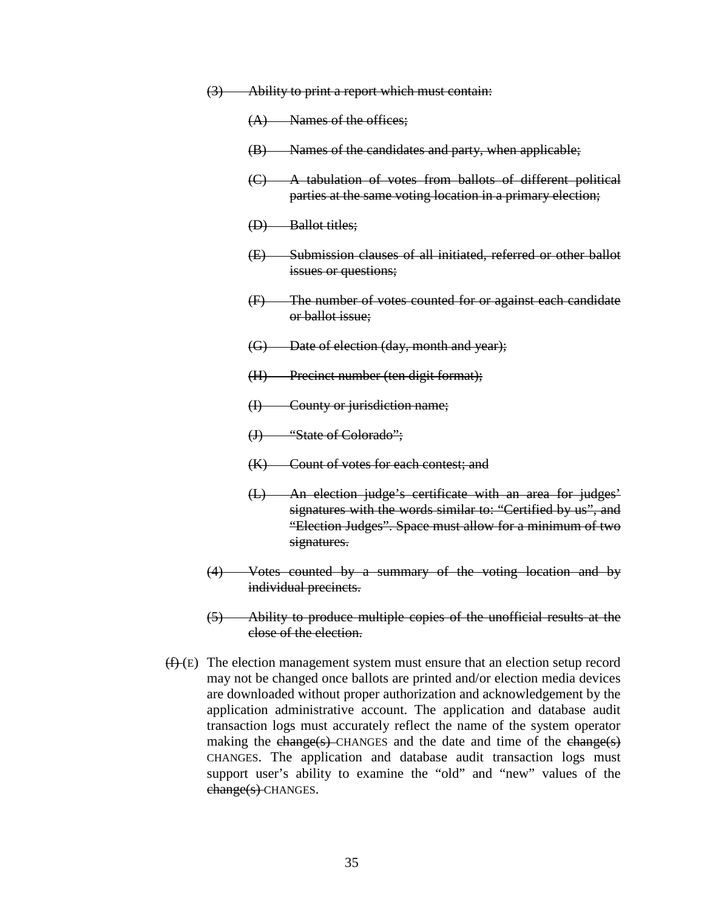| (3) |  | Ability to print a report which must contain        |
|-----|--|-----------------------------------------------------|
| ज   |  | <u>Tromty to print a report which must contain.</u> |

- (A) Names of the offices;
- (B) Names of the candidates and party, when applicable;
- (C) A tabulation of votes from ballots of different political parties at the same voting location in a primary election;
- (D) Ballot titles;
- (E) Submission clauses of all initiated, referred or other ballot issues or questions;
- (F) The number of votes counted for or against each candidate or ballot issue;
- (G) Date of election (day, month and year);
- (H) Precinct number (ten digit format);
- (I) County or jurisdiction name;
- (J) "State of Colorado";
- (K) Count of votes for each contest; and
- (L) An election judge's certificate with an area for judges' signatures with the words similar to: "Certified by us", and "Election Judges". Space must allow for a minimum of two signatures.
- (4) Votes counted by a summary of the voting location and by individual precincts.
- (5) Ability to produce multiple copies of the unofficial results at the close of the election.
- $(f)$  (E) The election management system must ensure that an election setup record may not be changed once ballots are printed and/or election media devices are downloaded without proper authorization and acknowledgement by the application administrative account. The application and database audit transaction logs must accurately reflect the name of the system operator making the change(s) CHANGES and the date and time of the change(s) CHANGES. The application and database audit transaction logs must support user's ability to examine the "old" and "new" values of the change(s) CHANGES.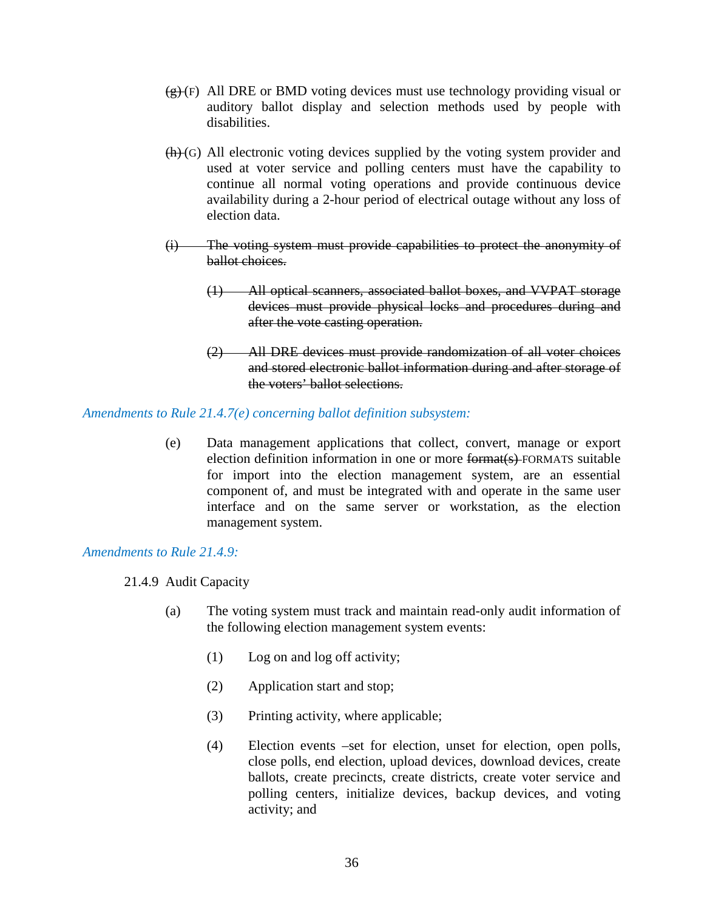- $(g)(F)$  All DRE or BMD voting devices must use technology providing visual or auditory ballot display and selection methods used by people with disabilities.
- $(h)(G)$  All electronic voting devices supplied by the voting system provider and used at voter service and polling centers must have the capability to continue all normal voting operations and provide continuous device availability during a 2-hour period of electrical outage without any loss of election data.
- (i) The voting system must provide capabilities to protect the anonymity of ballot choices.
	- (1) All optical scanners, associated ballot boxes, and VVPAT storage devices must provide physical locks and procedures during and after the vote casting operation.
	- (2) All DRE devices must provide randomization of all voter choices and stored electronic ballot information during and after storage of the voters' ballot selections.

## *Amendments to Rule 21.4.7(e) concerning ballot definition subsystem:*

(e) Data management applications that collect, convert, manage or export election definition information in one or more format(s) FORMATS suitable for import into the election management system, are an essential component of, and must be integrated with and operate in the same user interface and on the same server or workstation, as the election management system.

## *Amendments to Rule 21.4.9:*

- 21.4.9 Audit Capacity
	- (a) The voting system must track and maintain read-only audit information of the following election management system events:
		- (1) Log on and log off activity;
		- (2) Application start and stop;
		- (3) Printing activity, where applicable;
		- (4) Election events –set for election, unset for election, open polls, close polls, end election, upload devices, download devices, create ballots, create precincts, create districts, create voter service and polling centers, initialize devices, backup devices, and voting activity; and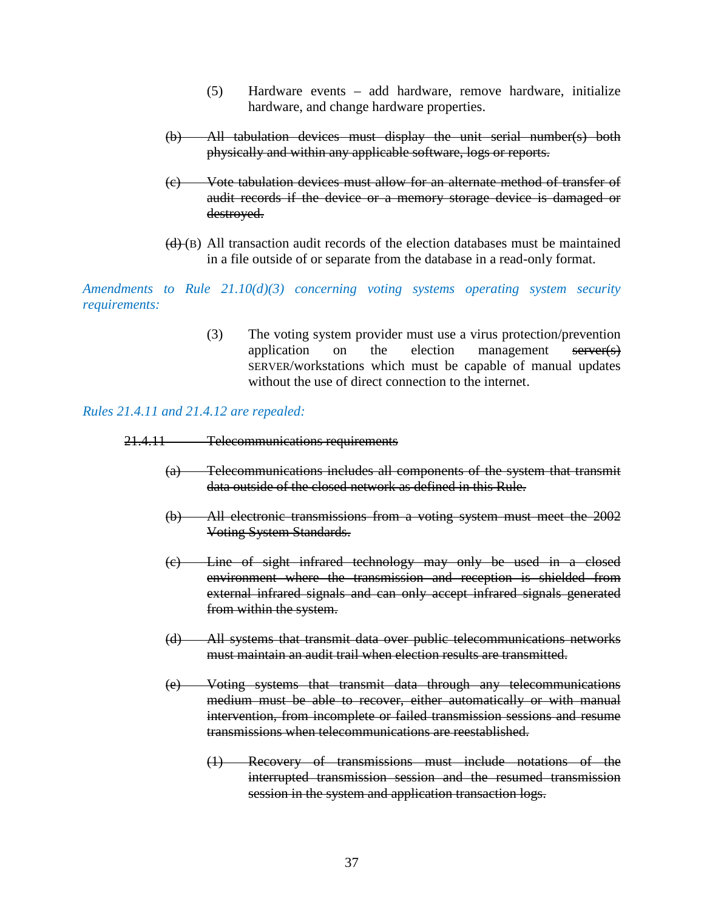- (5) Hardware events add hardware, remove hardware, initialize hardware, and change hardware properties.
- (b) All tabulation devices must display the unit serial number(s) both physically and within any applicable software, logs or reports.
- (c) Vote tabulation devices must allow for an alternate method of transfer of audit records if the device or a memory storage device is damaged or destroyed.
- $(d)$  (B) All transaction audit records of the election databases must be maintained in a file outside of or separate from the database in a read-only format.

*Amendments to Rule 21.10(d)(3) concerning voting systems operating system security requirements:* 

> (3) The voting system provider must use a virus protection/prevention application on the election management server(s) SERVER/workstations which must be capable of manual updates without the use of direct connection to the internet.

#### *Rules 21.4.11 and 21.4.12 are repealed:*

21.4.11 Telecommunications requirements

- (a) Telecommunications includes all components of the system that transmit data outside of the closed network as defined in this Rule.
- (b) All electronic transmissions from a voting system must meet the 2002 Voting System Standards.
- (c) Line of sight infrared technology may only be used in a closed environment where the transmission and reception is shielded from external infrared signals and can only accept infrared signals generated from within the system.
- (d) All systems that transmit data over public telecommunications networks must maintain an audit trail when election results are transmitted.
- (e) Voting systems that transmit data through any telecommunications medium must be able to recover, either automatically or with manual intervention, from incomplete or failed transmission sessions and resume transmissions when telecommunications are reestablished.
	- (1) Recovery of transmissions must include notations of the interrupted transmission session and the resumed transmission session in the system and application transaction logs.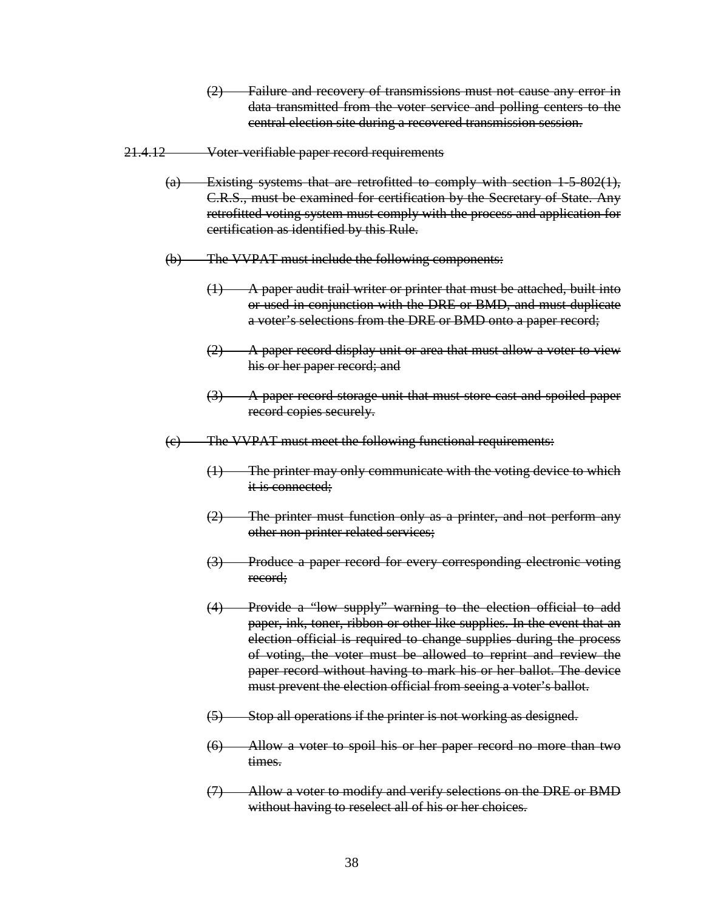(2) Failure and recovery of transmissions must not cause any error in data transmitted from the voter service and polling centers to the central election site during a recovered transmission session.

#### 21.4.12 Voter-verifiable paper record requirements

- $\overline{a}$  Existing systems that are retrofitted to comply with section 1-5-802(1), C.R.S., must be examined for certification by the Secretary of State. Any retrofitted voting system must comply with the process and application for certification as identified by this Rule.
- (b) The VVPAT must include the following components:
	- $(1)$  A paper audit trail writer or printer that must be attached, built into or used in conjunction with the DRE or BMD, and must duplicate a voter's selections from the DRE or BMD onto a paper record;
	- $(2)$  A paper record display unit or area that must allow a voter to view his or her paper record; and
	- (3) A paper record storage unit that must store cast and spoiled paper record copies securely.
- (c) The VVPAT must meet the following functional requirements:
	- (1) The printer may only communicate with the voting device to which it is connected;
	- (2) The printer must function only as a printer, and not perform any other non-printer related services;
	- (3) Produce a paper record for every corresponding electronic voting record;
	- (4) Provide a "low supply" warning to the election official to add paper, ink, toner, ribbon or other like supplies. In the event that an election official is required to change supplies during the process of voting, the voter must be allowed to reprint and review the paper record without having to mark his or her ballot. The device must prevent the election official from seeing a voter's ballot.
	- (5) Stop all operations if the printer is not working as designed.
	- (6) Allow a voter to spoil his or her paper record no more than two times.
	- (7) Allow a voter to modify and verify selections on the DRE or BMD without having to reselect all of his or her choices.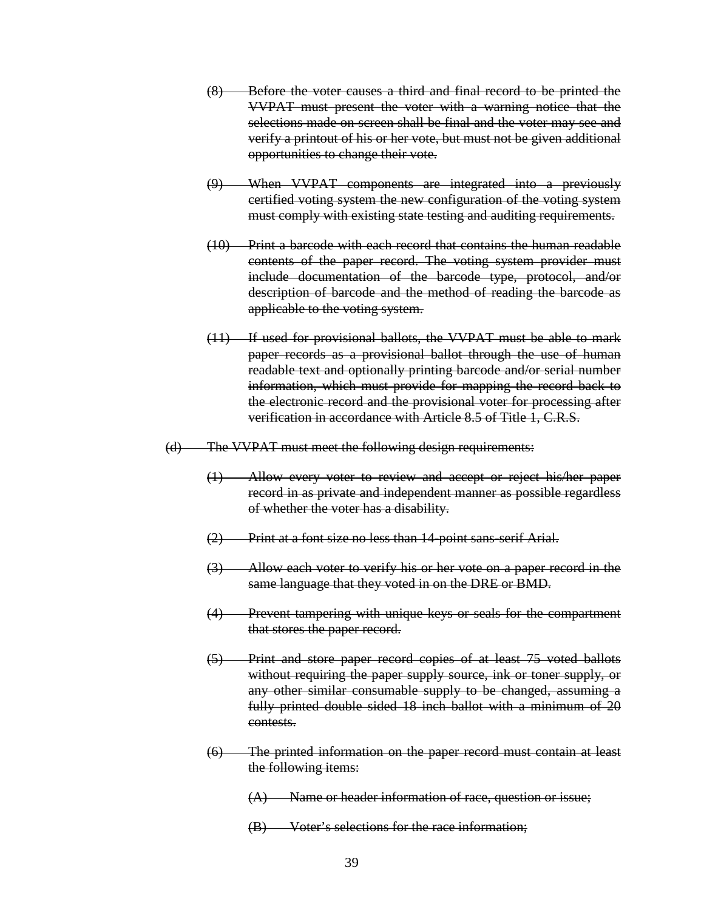- (8) Before the voter causes a third and final record to be printed the VVPAT must present the voter with a warning notice that the selections made on screen shall be final and the voter may see and verify a printout of his or her vote, but must not be given additional opportunities to change their vote.
- (9) When VVPAT components are integrated into a previously certified voting system the new configuration of the voting system must comply with existing state testing and auditing requirements.
- (10) Print a barcode with each record that contains the human readable contents of the paper record. The voting system provider must include documentation of the barcode type, protocol, and/or description of barcode and the method of reading the barcode as applicable to the voting system.
- (11) If used for provisional ballots, the VVPAT must be able to mark paper records as a provisional ballot through the use of human readable text and optionally printing barcode and/or serial number information, which must provide for mapping the record back to the electronic record and the provisional voter for processing after verification in accordance with Article 8.5 of Title 1, C.R.S.
- (d) The VVPAT must meet the following design requirements:
	- (1) Allow every voter to review and accept or reject his/her paper record in as private and independent manner as possible regardless of whether the voter has a disability.
	- (2) Print at a font size no less than 14-point sans-serif Arial.
	- (3) Allow each voter to verify his or her vote on a paper record in the same language that they voted in on the DRE or BMD.
	- (4) Prevent tampering with unique keys or seals for the compartment that stores the paper record.
	- (5) Print and store paper record copies of at least 75 voted ballots without requiring the paper supply source, ink or toner supply, or any other similar consumable supply to be changed, assuming a fully printed double sided 18 inch ballot with a minimum of 20 contests.
	- (6) The printed information on the paper record must contain at least the following items:
		- $(A)$  Name or header information of race, question or issue;
		- (B) Voter's selections for the race information;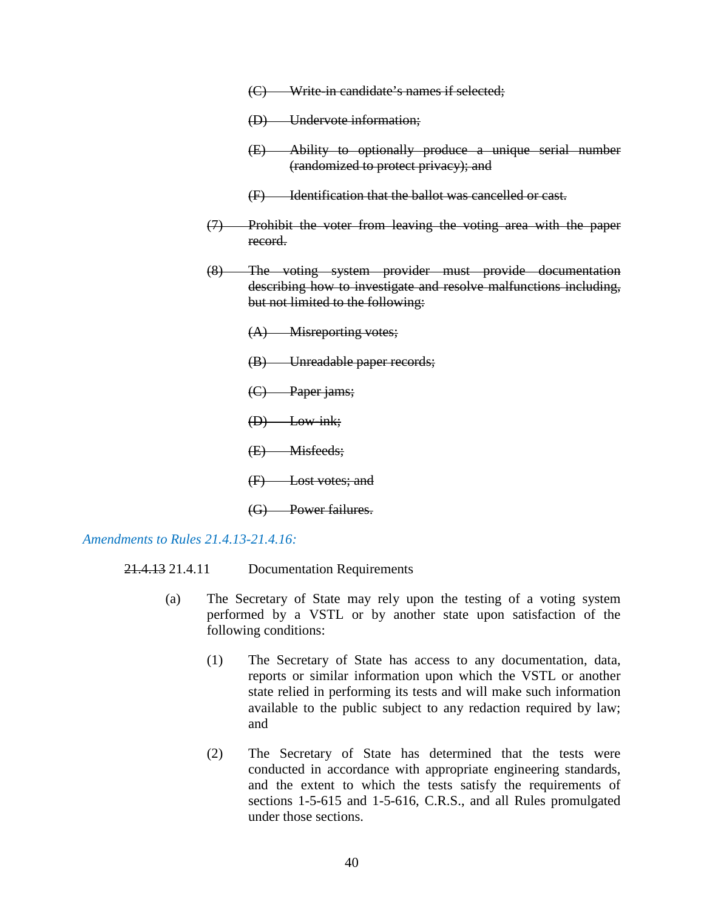- (C) Write-in candidate's names if selected;
- (D) Undervote information;
- (E) Ability to optionally produce a unique serial number (randomized to protect privacy); and
- (F) Identification that the ballot was cancelled or cast.
- (7) Prohibit the voter from leaving the voting area with the paper record.
- (8) The voting system provider must provide documentation describing how to investigate and resolve malfunctions including, but not limited to the following:
	- (A) Misreporting votes;
	- (B) Unreadable paper records;
	- (C) Paper jams;
	- (D) Low-ink;
	- (E) Misfeeds;
	- (F) Lost votes; and
	- (G) Power failures.

*Amendments to Rules 21.4.13-21.4.16:*

- 21.4.13 21.4.11 Documentation Requirements
	- (a) The Secretary of State may rely upon the testing of a voting system performed by a VSTL or by another state upon satisfaction of the following conditions:
		- (1) The Secretary of State has access to any documentation, data, reports or similar information upon which the VSTL or another state relied in performing its tests and will make such information available to the public subject to any redaction required by law; and
		- (2) The Secretary of State has determined that the tests were conducted in accordance with appropriate engineering standards, and the extent to which the tests satisfy the requirements of sections 1-5-615 and 1-5-616, C.R.S., and all Rules promulgated under those sections.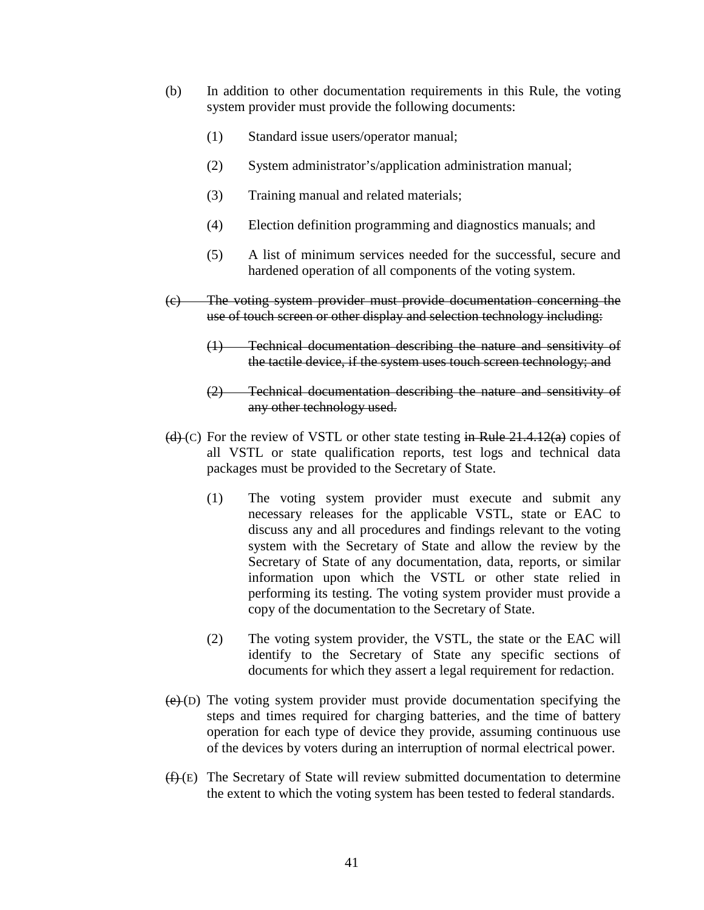- (b) In addition to other documentation requirements in this Rule, the voting system provider must provide the following documents:
	- (1) Standard issue users/operator manual;
	- (2) System administrator's/application administration manual;
	- (3) Training manual and related materials;
	- (4) Election definition programming and diagnostics manuals; and
	- (5) A list of minimum services needed for the successful, secure and hardened operation of all components of the voting system.
- (c) The voting system provider must provide documentation concerning the use of touch screen or other display and selection technology including:
	- (1) Technical documentation describing the nature and sensitivity of the tactile device, if the system uses touch screen technology; and
	- (2) Technical documentation describing the nature and sensitivity of any other technology used.
- (d) (c) For the review of VSTL or other state testing in Rule  $21.4.12(a)$  copies of all VSTL or state qualification reports, test logs and technical data packages must be provided to the Secretary of State.
	- (1) The voting system provider must execute and submit any necessary releases for the applicable VSTL, state or EAC to discuss any and all procedures and findings relevant to the voting system with the Secretary of State and allow the review by the Secretary of State of any documentation, data, reports, or similar information upon which the VSTL or other state relied in performing its testing. The voting system provider must provide a copy of the documentation to the Secretary of State.
	- (2) The voting system provider, the VSTL, the state or the EAC will identify to the Secretary of State any specific sections of documents for which they assert a legal requirement for redaction.
- $(e)(D)$  The voting system provider must provide documentation specifying the steps and times required for charging batteries, and the time of battery operation for each type of device they provide, assuming continuous use of the devices by voters during an interruption of normal electrical power.
- $(f)$  (E) The Secretary of State will review submitted documentation to determine the extent to which the voting system has been tested to federal standards.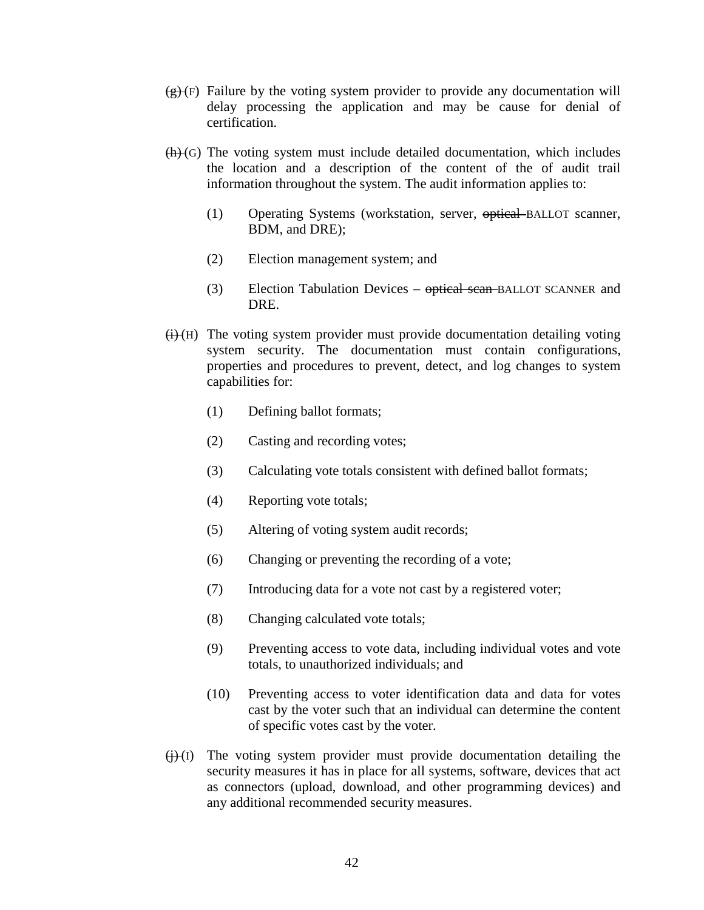- $(g)(F)$  Failure by the voting system provider to provide any documentation will delay processing the application and may be cause for denial of certification.
- $(h)(G)$  The voting system must include detailed documentation, which includes the location and a description of the content of the of audit trail information throughout the system. The audit information applies to:
	- (1) Operating Systems (workstation, server, optical BALLOT scanner, BDM, and DRE);
	- (2) Election management system; and
	- (3) Election Tabulation Devices optical scan BALLOT SCANNER and DRE.
- $(H)$  The voting system provider must provide documentation detailing voting system security. The documentation must contain configurations, properties and procedures to prevent, detect, and log changes to system capabilities for:
	- (1) Defining ballot formats;
	- (2) Casting and recording votes;
	- (3) Calculating vote totals consistent with defined ballot formats;
	- (4) Reporting vote totals;
	- (5) Altering of voting system audit records;
	- (6) Changing or preventing the recording of a vote;
	- (7) Introducing data for a vote not cast by a registered voter;
	- (8) Changing calculated vote totals;
	- (9) Preventing access to vote data, including individual votes and vote totals, to unauthorized individuals; and
	- (10) Preventing access to voter identification data and data for votes cast by the voter such that an individual can determine the content of specific votes cast by the voter.
- $\leftrightarrow$  (i) The voting system provider must provide documentation detailing the security measures it has in place for all systems, software, devices that act as connectors (upload, download, and other programming devices) and any additional recommended security measures.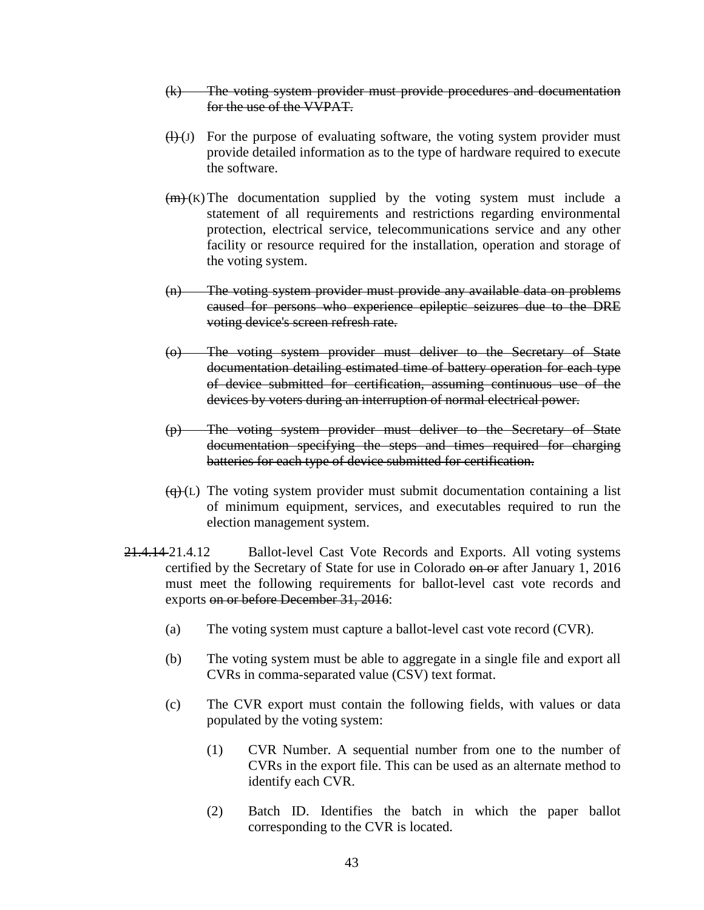- (k) The voting system provider must provide procedures and documentation for the use of the VVPAT.
- $(H)(J)$  For the purpose of evaluating software, the voting system provider must provide detailed information as to the type of hardware required to execute the software.
- $(m)$  (K) The documentation supplied by the voting system must include a statement of all requirements and restrictions regarding environmental protection, electrical service, telecommunications service and any other facility or resource required for the installation, operation and storage of the voting system.
- (n) The voting system provider must provide any available data on problems caused for persons who experience epileptic seizures due to the DRE voting device's screen refresh rate.
- (o) The voting system provider must deliver to the Secretary of State documentation detailing estimated time of battery operation for each type of device submitted for certification, assuming continuous use of the devices by voters during an interruption of normal electrical power.
- (p) The voting system provider must deliver to the Secretary of State documentation specifying the steps and times required for charging batteries for each type of device submitted for certification.
- $\overline{(q)}$  (L) The voting system provider must submit documentation containing a list of minimum equipment, services, and executables required to run the election management system.
- 21.4.14-21.4.12 Ballot-level Cast Vote Records and Exports. All voting systems certified by the Secretary of State for use in Colorado on or after January 1, 2016 must meet the following requirements for ballot-level cast vote records and exports on or before December 31, 2016:
	- (a) The voting system must capture a ballot-level cast vote record (CVR).
	- (b) The voting system must be able to aggregate in a single file and export all CVRs in comma-separated value (CSV) text format.
	- (c) The CVR export must contain the following fields, with values or data populated by the voting system:
		- (1) CVR Number. A sequential number from one to the number of CVRs in the export file. This can be used as an alternate method to identify each CVR.
		- (2) Batch ID. Identifies the batch in which the paper ballot corresponding to the CVR is located.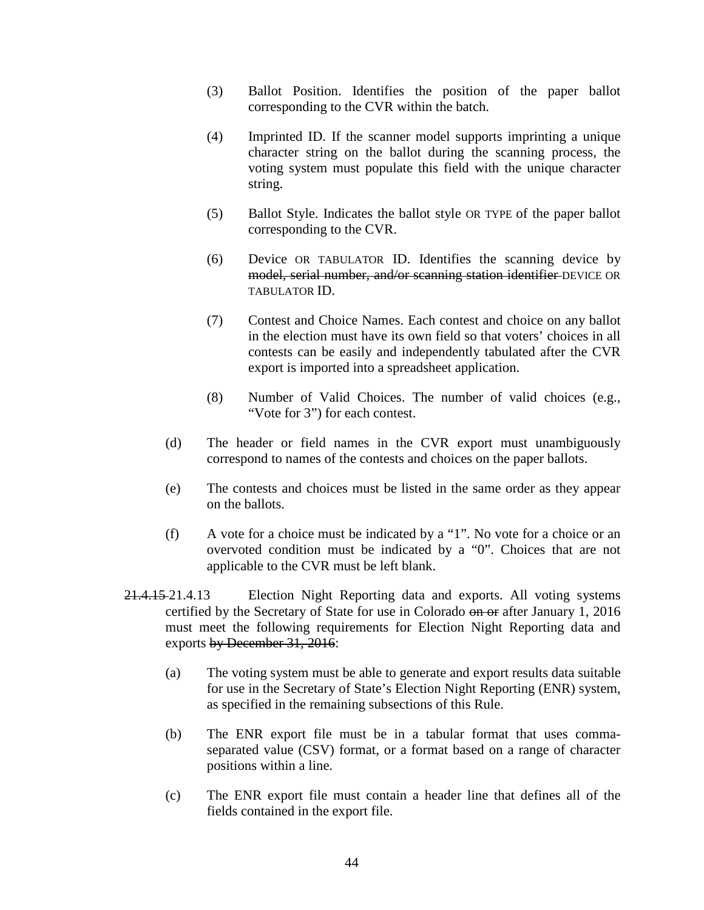- (3) Ballot Position. Identifies the position of the paper ballot corresponding to the CVR within the batch.
- (4) Imprinted ID. If the scanner model supports imprinting a unique character string on the ballot during the scanning process, the voting system must populate this field with the unique character string.
- (5) Ballot Style. Indicates the ballot style OR TYPE of the paper ballot corresponding to the CVR.
- (6) Device OR TABULATOR ID. Identifies the scanning device by model, serial number, and/or scanning station identifier DEVICE OR TABULATOR ID.
- (7) Contest and Choice Names. Each contest and choice on any ballot in the election must have its own field so that voters' choices in all contests can be easily and independently tabulated after the CVR export is imported into a spreadsheet application.
- (8) Number of Valid Choices. The number of valid choices (e.g., "Vote for 3") for each contest.
- (d) The header or field names in the CVR export must unambiguously correspond to names of the contests and choices on the paper ballots.
- (e) The contests and choices must be listed in the same order as they appear on the ballots.
- (f) A vote for a choice must be indicated by a "1". No vote for a choice or an overvoted condition must be indicated by a "0". Choices that are not applicable to the CVR must be left blank.
- 21.4.15 21.4.13 Election Night Reporting data and exports. All voting systems certified by the Secretary of State for use in Colorado on or after January 1, 2016 must meet the following requirements for Election Night Reporting data and exports by December 31, 2016:
	- (a) The voting system must be able to generate and export results data suitable for use in the Secretary of State's Election Night Reporting (ENR) system, as specified in the remaining subsections of this Rule.
	- (b) The ENR export file must be in a tabular format that uses commaseparated value (CSV) format, or a format based on a range of character positions within a line.
	- (c) The ENR export file must contain a header line that defines all of the fields contained in the export file.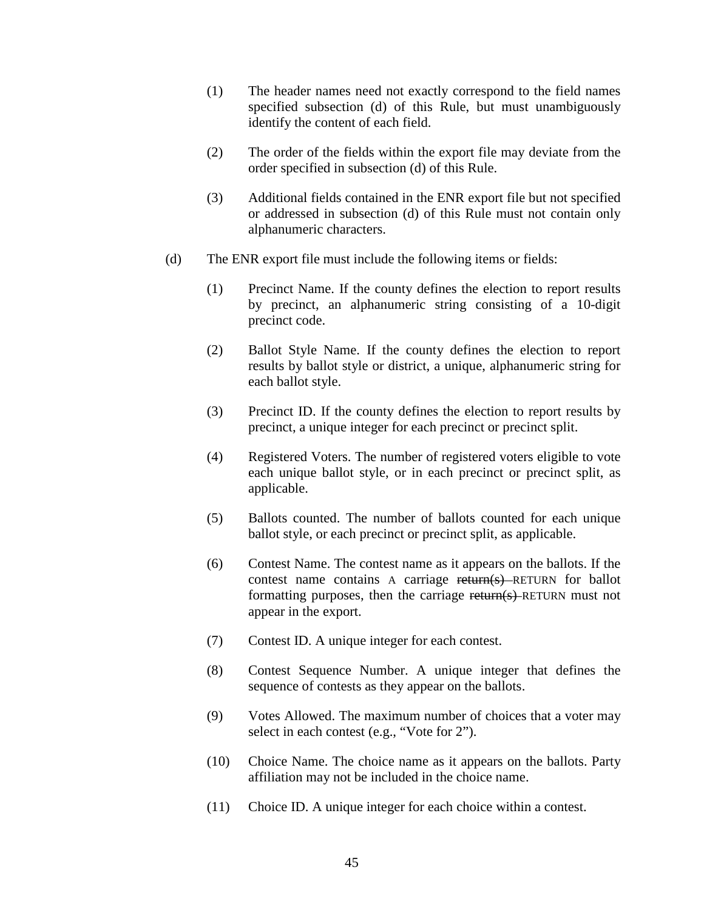- (1) The header names need not exactly correspond to the field names specified subsection (d) of this Rule, but must unambiguously identify the content of each field.
- (2) The order of the fields within the export file may deviate from the order specified in subsection (d) of this Rule.
- (3) Additional fields contained in the ENR export file but not specified or addressed in subsection (d) of this Rule must not contain only alphanumeric characters.
- (d) The ENR export file must include the following items or fields:
	- (1) Precinct Name. If the county defines the election to report results by precinct, an alphanumeric string consisting of a 10-digit precinct code.
	- (2) Ballot Style Name. If the county defines the election to report results by ballot style or district, a unique, alphanumeric string for each ballot style.
	- (3) Precinct ID. If the county defines the election to report results by precinct, a unique integer for each precinct or precinct split.
	- (4) Registered Voters. The number of registered voters eligible to vote each unique ballot style, or in each precinct or precinct split, as applicable.
	- (5) Ballots counted. The number of ballots counted for each unique ballot style, or each precinct or precinct split, as applicable.
	- (6) Contest Name. The contest name as it appears on the ballots. If the contest name contains A carriage return(s) RETURN for ballot formatting purposes, then the carriage return(s) RETURN must not appear in the export.
	- (7) Contest ID. A unique integer for each contest.
	- (8) Contest Sequence Number. A unique integer that defines the sequence of contests as they appear on the ballots.
	- (9) Votes Allowed. The maximum number of choices that a voter may select in each contest (e.g., "Vote for 2").
	- (10) Choice Name. The choice name as it appears on the ballots. Party affiliation may not be included in the choice name.
	- (11) Choice ID. A unique integer for each choice within a contest.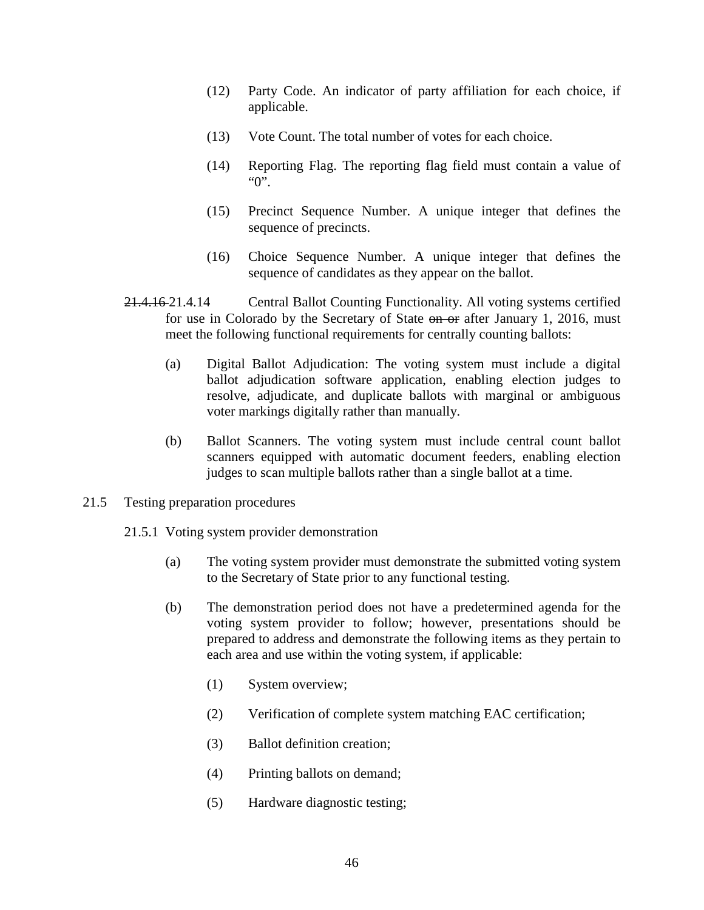- (12) Party Code. An indicator of party affiliation for each choice, if applicable.
- (13) Vote Count. The total number of votes for each choice.
- (14) Reporting Flag. The reporting flag field must contain a value of "0".
- (15) Precinct Sequence Number. A unique integer that defines the sequence of precincts.
- (16) Choice Sequence Number. A unique integer that defines the sequence of candidates as they appear on the ballot.
- 21.4.16 21.4.14 Central Ballot Counting Functionality. All voting systems certified for use in Colorado by the Secretary of State on or after January 1, 2016, must meet the following functional requirements for centrally counting ballots:
	- (a) Digital Ballot Adjudication: The voting system must include a digital ballot adjudication software application, enabling election judges to resolve, adjudicate, and duplicate ballots with marginal or ambiguous voter markings digitally rather than manually.
	- (b) Ballot Scanners. The voting system must include central count ballot scanners equipped with automatic document feeders, enabling election judges to scan multiple ballots rather than a single ballot at a time.
- 21.5 Testing preparation procedures
	- 21.5.1 Voting system provider demonstration
		- (a) The voting system provider must demonstrate the submitted voting system to the Secretary of State prior to any functional testing.
		- (b) The demonstration period does not have a predetermined agenda for the voting system provider to follow; however, presentations should be prepared to address and demonstrate the following items as they pertain to each area and use within the voting system, if applicable:
			- (1) System overview;
			- (2) Verification of complete system matching EAC certification;
			- (3) Ballot definition creation;
			- (4) Printing ballots on demand;
			- (5) Hardware diagnostic testing;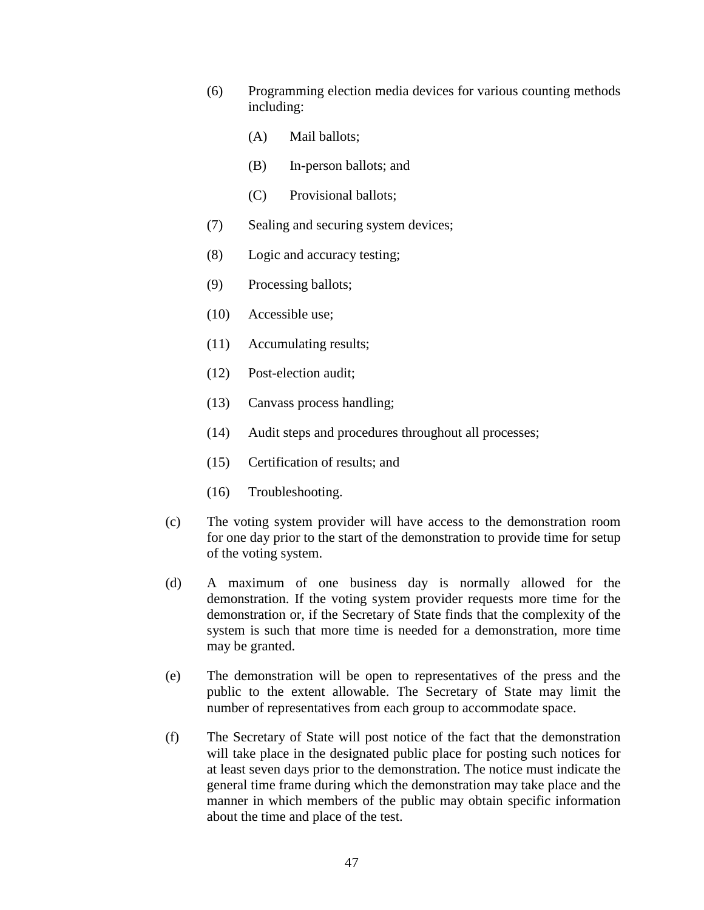- (6) Programming election media devices for various counting methods including:
	- (A) Mail ballots;
	- (B) In-person ballots; and
	- (C) Provisional ballots;
- (7) Sealing and securing system devices;
- (8) Logic and accuracy testing;
- (9) Processing ballots;
- (10) Accessible use;
- (11) Accumulating results;
- (12) Post-election audit;
- (13) Canvass process handling;
- (14) Audit steps and procedures throughout all processes;
- (15) Certification of results; and
- (16) Troubleshooting.
- (c) The voting system provider will have access to the demonstration room for one day prior to the start of the demonstration to provide time for setup of the voting system.
- (d) A maximum of one business day is normally allowed for the demonstration. If the voting system provider requests more time for the demonstration or, if the Secretary of State finds that the complexity of the system is such that more time is needed for a demonstration, more time may be granted.
- (e) The demonstration will be open to representatives of the press and the public to the extent allowable. The Secretary of State may limit the number of representatives from each group to accommodate space.
- (f) The Secretary of State will post notice of the fact that the demonstration will take place in the designated public place for posting such notices for at least seven days prior to the demonstration. The notice must indicate the general time frame during which the demonstration may take place and the manner in which members of the public may obtain specific information about the time and place of the test.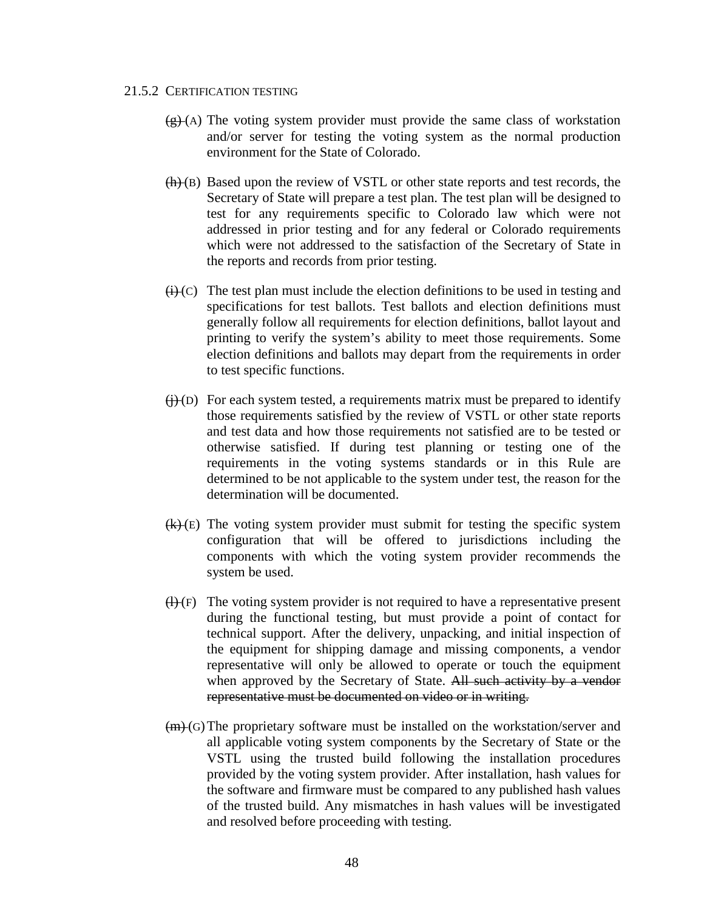#### 21.5.2 CERTIFICATION TESTING

- $(g)$  (A) The voting system provider must provide the same class of workstation and/or server for testing the voting system as the normal production environment for the State of Colorado.
- $(h)(B)$  Based upon the review of VSTL or other state reports and test records, the Secretary of State will prepare a test plan. The test plan will be designed to test for any requirements specific to Colorado law which were not addressed in prior testing and for any federal or Colorado requirements which were not addressed to the satisfaction of the Secretary of State in the reports and records from prior testing.
- $(i)$  (c) The test plan must include the election definitions to be used in testing and specifications for test ballots. Test ballots and election definitions must generally follow all requirements for election definitions, ballot layout and printing to verify the system's ability to meet those requirements. Some election definitions and ballots may depart from the requirements in order to test specific functions.
- $(j)(D)$  For each system tested, a requirements matrix must be prepared to identify those requirements satisfied by the review of VSTL or other state reports and test data and how those requirements not satisfied are to be tested or otherwise satisfied. If during test planning or testing one of the requirements in the voting systems standards or in this Rule are determined to be not applicable to the system under test, the reason for the determination will be documented.
- $(k)(E)$  The voting system provider must submit for testing the specific system configuration that will be offered to jurisdictions including the components with which the voting system provider recommends the system be used.
- $(H)(F)$  The voting system provider is not required to have a representative present during the functional testing, but must provide a point of contact for technical support. After the delivery, unpacking, and initial inspection of the equipment for shipping damage and missing components, a vendor representative will only be allowed to operate or touch the equipment when approved by the Secretary of State. All such activity by a vendor representative must be documented on video or in writing.
- (m) (G)The proprietary software must be installed on the workstation/server and all applicable voting system components by the Secretary of State or the VSTL using the trusted build following the installation procedures provided by the voting system provider. After installation, hash values for the software and firmware must be compared to any published hash values of the trusted build. Any mismatches in hash values will be investigated and resolved before proceeding with testing.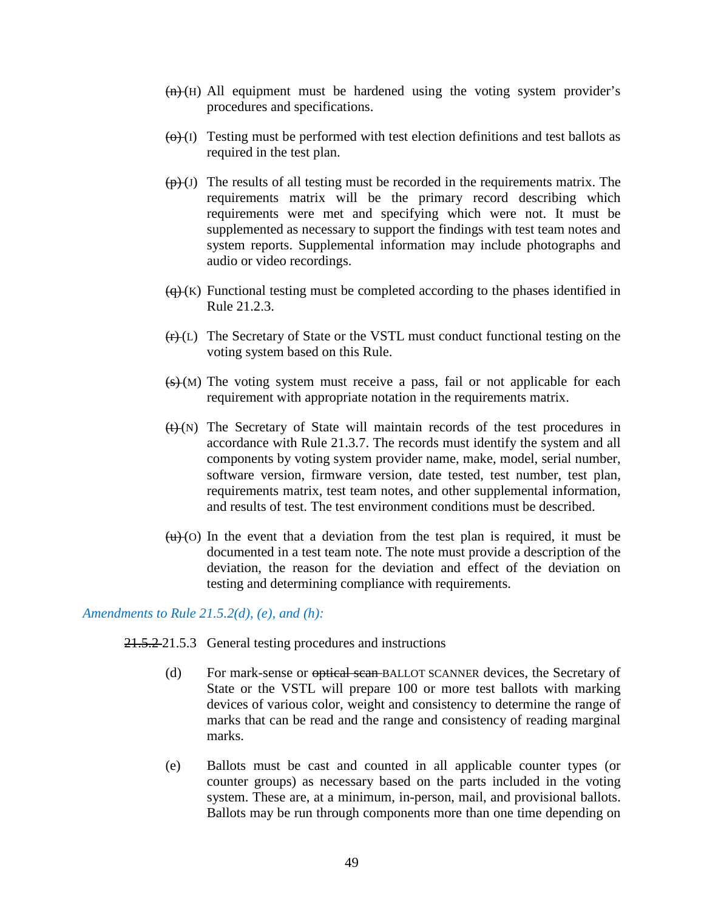- $(n)(H)$  All equipment must be hardened using the voting system provider's procedures and specifications.
- $\overline{(0)}$  (I) Testing must be performed with test election definitions and test ballots as required in the test plan.
- $(\theta)$  (J) The results of all testing must be recorded in the requirements matrix. The requirements matrix will be the primary record describing which requirements were met and specifying which were not. It must be supplemented as necessary to support the findings with test team notes and system reports. Supplemental information may include photographs and audio or video recordings.
- $\overline{(q)}(K)$  Functional testing must be completed according to the phases identified in Rule 21.2.3.
- $(r)(L)$  The Secretary of State or the VSTL must conduct functional testing on the voting system based on this Rule.
- $(s)$  (M) The voting system must receive a pass, fail or not applicable for each requirement with appropriate notation in the requirements matrix.
- $H(N)$  The Secretary of State will maintain records of the test procedures in accordance with Rule 21.3.7. The records must identify the system and all components by voting system provider name, make, model, serial number, software version, firmware version, date tested, test number, test plan, requirements matrix, test team notes, and other supplemental information, and results of test. The test environment conditions must be described.
- $(u)$  (o) In the event that a deviation from the test plan is required, it must be documented in a test team note. The note must provide a description of the deviation, the reason for the deviation and effect of the deviation on testing and determining compliance with requirements.

## *Amendments to Rule 21.5.2(d), (e), and (h):*

21.5.2 21.5.3 General testing procedures and instructions

- (d) For mark-sense or optical scan BALLOT SCANNER devices, the Secretary of State or the VSTL will prepare 100 or more test ballots with marking devices of various color, weight and consistency to determine the range of marks that can be read and the range and consistency of reading marginal marks.
- (e) Ballots must be cast and counted in all applicable counter types (or counter groups) as necessary based on the parts included in the voting system. These are, at a minimum, in-person, mail, and provisional ballots. Ballots may be run through components more than one time depending on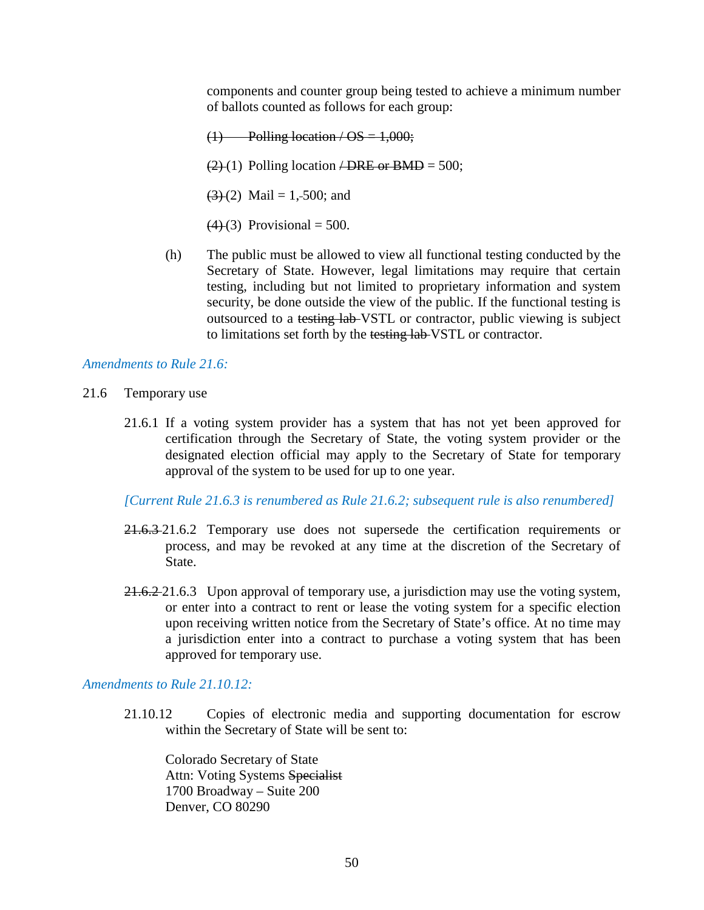components and counter group being tested to achieve a minimum number of ballots counted as follows for each group:

 $(1)$  Polling location / OS = 1,000;  $(2)(1)$  Polling location  $\angle$ DRE or BMD = 500;  $(3)(2)$  Mail = 1,-500; and  $(4)(3)$  Provisional = 500.

(h) The public must be allowed to view all functional testing conducted by the Secretary of State. However, legal limitations may require that certain testing, including but not limited to proprietary information and system security, be done outside the view of the public. If the functional testing is outsourced to a testing lab VSTL or contractor, public viewing is subject to limitations set forth by the testing lab VSTL or contractor.

#### *Amendments to Rule 21.6:*

- 21.6 Temporary use
	- 21.6.1 If a voting system provider has a system that has not yet been approved for certification through the Secretary of State, the voting system provider or the designated election official may apply to the Secretary of State for temporary approval of the system to be used for up to one year.

*[Current Rule 21.6.3 is renumbered as Rule 21.6.2; subsequent rule is also renumbered]*

- 21.6.3 21.6.2 Temporary use does not supersede the certification requirements or process, and may be revoked at any time at the discretion of the Secretary of State.
- 21.6.2-21.6.3 Upon approval of temporary use, a jurisdiction may use the voting system, or enter into a contract to rent or lease the voting system for a specific election upon receiving written notice from the Secretary of State's office. At no time may a jurisdiction enter into a contract to purchase a voting system that has been approved for temporary use.

## *Amendments to Rule 21.10.12:*

21.10.12 Copies of electronic media and supporting documentation for escrow within the Secretary of State will be sent to:

Colorado Secretary of State Attn: Voting Systems Specialist 1700 Broadway – Suite 200 Denver, CO 80290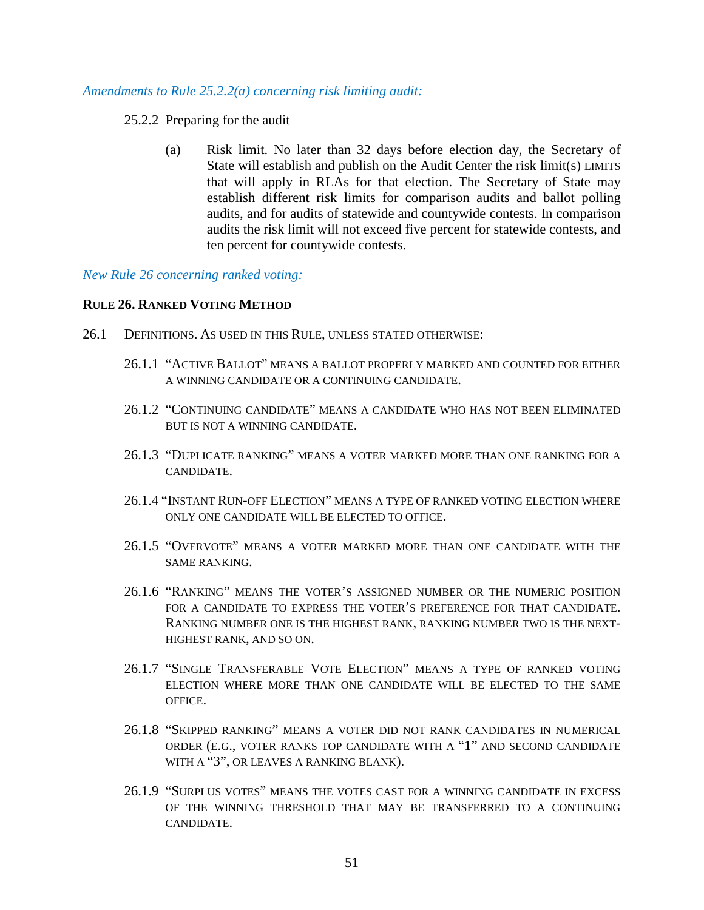#### *Amendments to Rule 25.2.2(a) concerning risk limiting audit:*

#### 25.2.2 Preparing for the audit

(a) Risk limit. No later than 32 days before election day, the Secretary of State will establish and publish on the Audit Center the risk  $\overline{\text{limit}}(s)$ -LIMITS that will apply in RLAs for that election. The Secretary of State may establish different risk limits for comparison audits and ballot polling audits, and for audits of statewide and countywide contests. In comparison audits the risk limit will not exceed five percent for statewide contests, and ten percent for countywide contests.

#### *New Rule 26 concerning ranked voting:*

#### **RULE 26. RANKED VOTING METHOD**

- 26.1 DEFINITIONS. AS USED IN THIS RULE, UNLESS STATED OTHERWISE:
	- 26.1.1 "ACTIVE BALLOT" MEANS A BALLOT PROPERLY MARKED AND COUNTED FOR EITHER A WINNING CANDIDATE OR A CONTINUING CANDIDATE.
	- 26.1.2 "CONTINUING CANDIDATE" MEANS A CANDIDATE WHO HAS NOT BEEN ELIMINATED BUT IS NOT A WINNING CANDIDATE.
	- 26.1.3 "DUPLICATE RANKING" MEANS A VOTER MARKED MORE THAN ONE RANKING FOR A CANDIDATE.
	- 26.1.4 "INSTANT RUN-OFF ELECTION" MEANS A TYPE OF RANKED VOTING ELECTION WHERE ONLY ONE CANDIDATE WILL BE ELECTED TO OFFICE.
	- 26.1.5 "OVERVOTE" MEANS A VOTER MARKED MORE THAN ONE CANDIDATE WITH THE SAME RANKING.
	- 26.1.6 "RANKING" MEANS THE VOTER'S ASSIGNED NUMBER OR THE NUMERIC POSITION FOR A CANDIDATE TO EXPRESS THE VOTER'S PREFERENCE FOR THAT CANDIDATE. RANKING NUMBER ONE IS THE HIGHEST RANK, RANKING NUMBER TWO IS THE NEXT-HIGHEST RANK, AND SO ON.
	- 26.1.7 "SINGLE TRANSFERABLE VOTE ELECTION" MEANS A TYPE OF RANKED VOTING ELECTION WHERE MORE THAN ONE CANDIDATE WILL BE ELECTED TO THE SAME OFFICE.
	- 26.1.8 "SKIPPED RANKING" MEANS A VOTER DID NOT RANK CANDIDATES IN NUMERICAL ORDER (E.G., VOTER RANKS TOP CANDIDATE WITH A "1" AND SECOND CANDIDATE WITH A "3", OR LEAVES A RANKING BLANK).
	- 26.1.9 "SURPLUS VOTES" MEANS THE VOTES CAST FOR A WINNING CANDIDATE IN EXCESS OF THE WINNING THRESHOLD THAT MAY BE TRANSFERRED TO A CONTINUING CANDIDATE.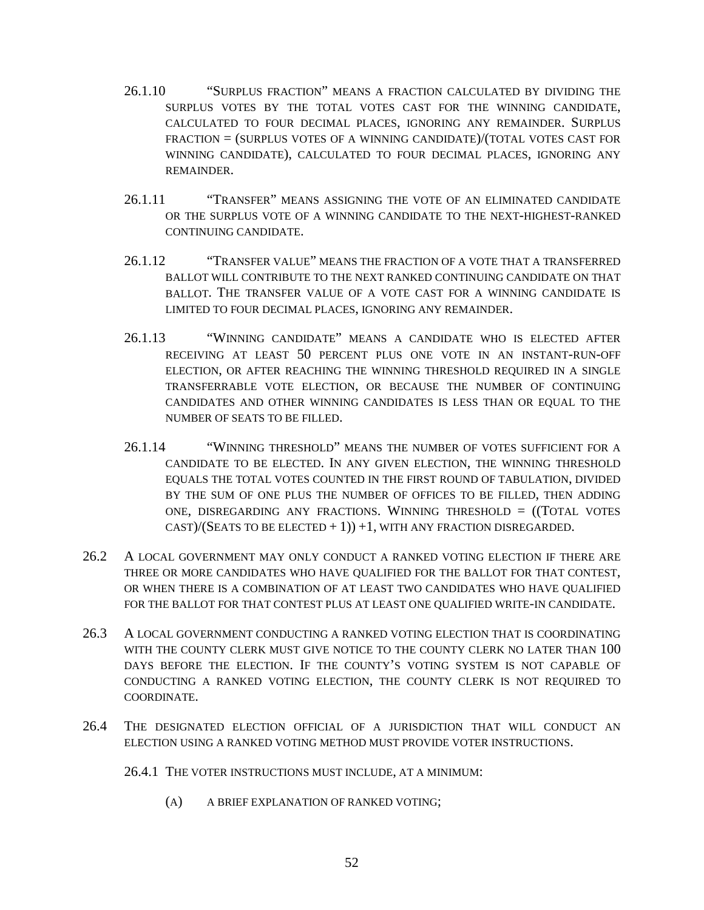- 26.1.10 "SURPLUS FRACTION" MEANS A FRACTION CALCULATED BY DIVIDING THE SURPLUS VOTES BY THE TOTAL VOTES CAST FOR THE WINNING CANDIDATE, CALCULATED TO FOUR DECIMAL PLACES, IGNORING ANY REMAINDER. SURPLUS FRACTION = (SURPLUS VOTES OF A WINNING CANDIDATE)/(TOTAL VOTES CAST FOR WINNING CANDIDATE), CALCULATED TO FOUR DECIMAL PLACES, IGNORING ANY REMAINDER.
- 26.1.11 "TRANSFER" MEANS ASSIGNING THE VOTE OF AN ELIMINATED CANDIDATE OR THE SURPLUS VOTE OF A WINNING CANDIDATE TO THE NEXT-HIGHEST-RANKED CONTINUING CANDIDATE.
- 26.1.12 "TRANSFER VALUE" MEANS THE FRACTION OF A VOTE THAT A TRANSFERRED BALLOT WILL CONTRIBUTE TO THE NEXT RANKED CONTINUING CANDIDATE ON THAT BALLOT. THE TRANSFER VALUE OF A VOTE CAST FOR A WINNING CANDIDATE IS LIMITED TO FOUR DECIMAL PLACES, IGNORING ANY REMAINDER.
- 26.1.13 "WINNING CANDIDATE" MEANS A CANDIDATE WHO IS ELECTED AFTER RECEIVING AT LEAST 50 PERCENT PLUS ONE VOTE IN AN INSTANT-RUN-OFF ELECTION, OR AFTER REACHING THE WINNING THRESHOLD REQUIRED IN A SINGLE TRANSFERRABLE VOTE ELECTION, OR BECAUSE THE NUMBER OF CONTINUING CANDIDATES AND OTHER WINNING CANDIDATES IS LESS THAN OR EQUAL TO THE NUMBER OF SEATS TO BE FILLED.
- 26.1.14 "WINNING THRESHOLD" MEANS THE NUMBER OF VOTES SUFFICIENT FOR A CANDIDATE TO BE ELECTED. IN ANY GIVEN ELECTION, THE WINNING THRESHOLD EQUALS THE TOTAL VOTES COUNTED IN THE FIRST ROUND OF TABULATION, DIVIDED BY THE SUM OF ONE PLUS THE NUMBER OF OFFICES TO BE FILLED, THEN ADDING ONE, DISREGARDING ANY FRACTIONS. WINNING THRESHOLD = ((TOTAL VOTES  $CAST)/(SEATS TO BE ELECTED + 1) + 1, WITH ANY FRACTION DISREGARDED.$
- 26.2 A LOCAL GOVERNMENT MAY ONLY CONDUCT A RANKED VOTING ELECTION IF THERE ARE THREE OR MORE CANDIDATES WHO HAVE QUALIFIED FOR THE BALLOT FOR THAT CONTEST, OR WHEN THERE IS A COMBINATION OF AT LEAST TWO CANDIDATES WHO HAVE QUALIFIED FOR THE BALLOT FOR THAT CONTEST PLUS AT LEAST ONE QUALIFIED WRITE-IN CANDIDATE.
- 26.3 A LOCAL GOVERNMENT CONDUCTING A RANKED VOTING ELECTION THAT IS COORDINATING WITH THE COUNTY CLERK MUST GIVE NOTICE TO THE COUNTY CLERK NO LATER THAN 100 DAYS BEFORE THE ELECTION. IF THE COUNTY'S VOTING SYSTEM IS NOT CAPABLE OF CONDUCTING A RANKED VOTING ELECTION, THE COUNTY CLERK IS NOT REQUIRED TO COORDINATE.
- 26.4 THE DESIGNATED ELECTION OFFICIAL OF A JURISDICTION THAT WILL CONDUCT AN ELECTION USING A RANKED VOTING METHOD MUST PROVIDE VOTER INSTRUCTIONS.
	- 26.4.1 THE VOTER INSTRUCTIONS MUST INCLUDE, AT A MINIMUM:
		- (A) A BRIEF EXPLANATION OF RANKED VOTING;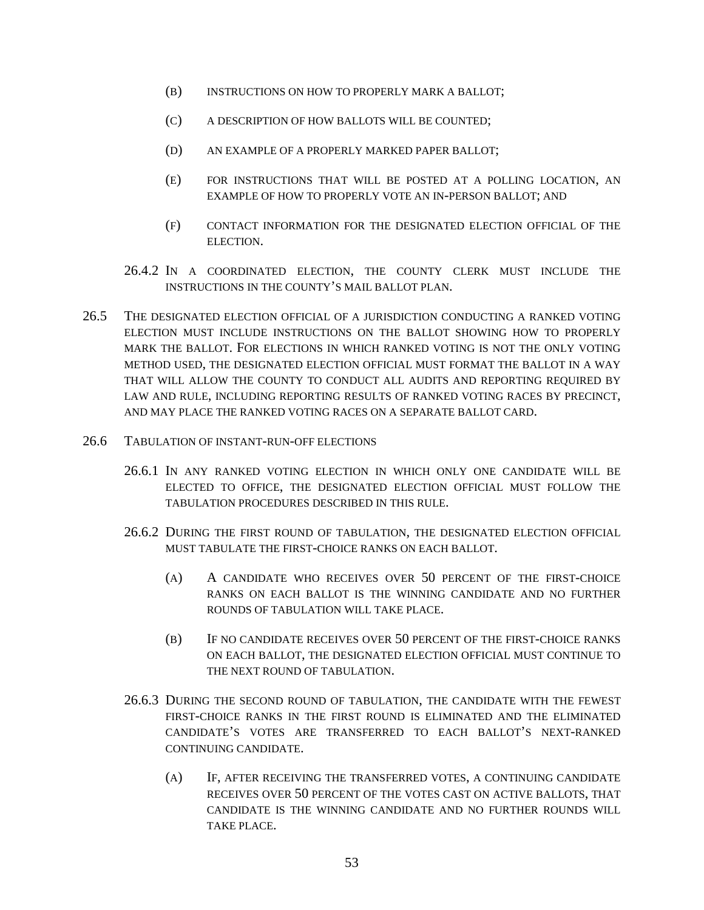- (B) INSTRUCTIONS ON HOW TO PROPERLY MARK A BALLOT;
- (C) A DESCRIPTION OF HOW BALLOTS WILL BE COUNTED;
- (D) AN EXAMPLE OF A PROPERLY MARKED PAPER BALLOT;
- (E) FOR INSTRUCTIONS THAT WILL BE POSTED AT A POLLING LOCATION, AN EXAMPLE OF HOW TO PROPERLY VOTE AN IN-PERSON BALLOT; AND
- (F) CONTACT INFORMATION FOR THE DESIGNATED ELECTION OFFICIAL OF THE ELECTION.
- 26.4.2 IN A COORDINATED ELECTION, THE COUNTY CLERK MUST INCLUDE THE INSTRUCTIONS IN THE COUNTY'S MAIL BALLOT PLAN.
- 26.5 THE DESIGNATED ELECTION OFFICIAL OF A JURISDICTION CONDUCTING A RANKED VOTING ELECTION MUST INCLUDE INSTRUCTIONS ON THE BALLOT SHOWING HOW TO PROPERLY MARK THE BALLOT. FOR ELECTIONS IN WHICH RANKED VOTING IS NOT THE ONLY VOTING METHOD USED, THE DESIGNATED ELECTION OFFICIAL MUST FORMAT THE BALLOT IN A WAY THAT WILL ALLOW THE COUNTY TO CONDUCT ALL AUDITS AND REPORTING REQUIRED BY LAW AND RULE, INCLUDING REPORTING RESULTS OF RANKED VOTING RACES BY PRECINCT, AND MAY PLACE THE RANKED VOTING RACES ON A SEPARATE BALLOT CARD.
- 26.6 TABULATION OF INSTANT-RUN-OFF ELECTIONS
	- 26.6.1 IN ANY RANKED VOTING ELECTION IN WHICH ONLY ONE CANDIDATE WILL BE ELECTED TO OFFICE, THE DESIGNATED ELECTION OFFICIAL MUST FOLLOW THE TABULATION PROCEDURES DESCRIBED IN THIS RULE.
	- 26.6.2 DURING THE FIRST ROUND OF TABULATION, THE DESIGNATED ELECTION OFFICIAL MUST TABULATE THE FIRST-CHOICE RANKS ON EACH BALLOT.
		- (A) A CANDIDATE WHO RECEIVES OVER 50 PERCENT OF THE FIRST-CHOICE RANKS ON EACH BALLOT IS THE WINNING CANDIDATE AND NO FURTHER ROUNDS OF TABULATION WILL TAKE PLACE.
		- (B) IF NO CANDIDATE RECEIVES OVER 50 PERCENT OF THE FIRST-CHOICE RANKS ON EACH BALLOT, THE DESIGNATED ELECTION OFFICIAL MUST CONTINUE TO THE NEXT ROUND OF TABULATION.
	- 26.6.3 DURING THE SECOND ROUND OF TABULATION, THE CANDIDATE WITH THE FEWEST FIRST-CHOICE RANKS IN THE FIRST ROUND IS ELIMINATED AND THE ELIMINATED CANDIDATE'S VOTES ARE TRANSFERRED TO EACH BALLOT'S NEXT-RANKED CONTINUING CANDIDATE.
		- (A) IF, AFTER RECEIVING THE TRANSFERRED VOTES, A CONTINUING CANDIDATE RECEIVES OVER 50 PERCENT OF THE VOTES CAST ON ACTIVE BALLOTS, THAT CANDIDATE IS THE WINNING CANDIDATE AND NO FURTHER ROUNDS WILL TAKE PLACE.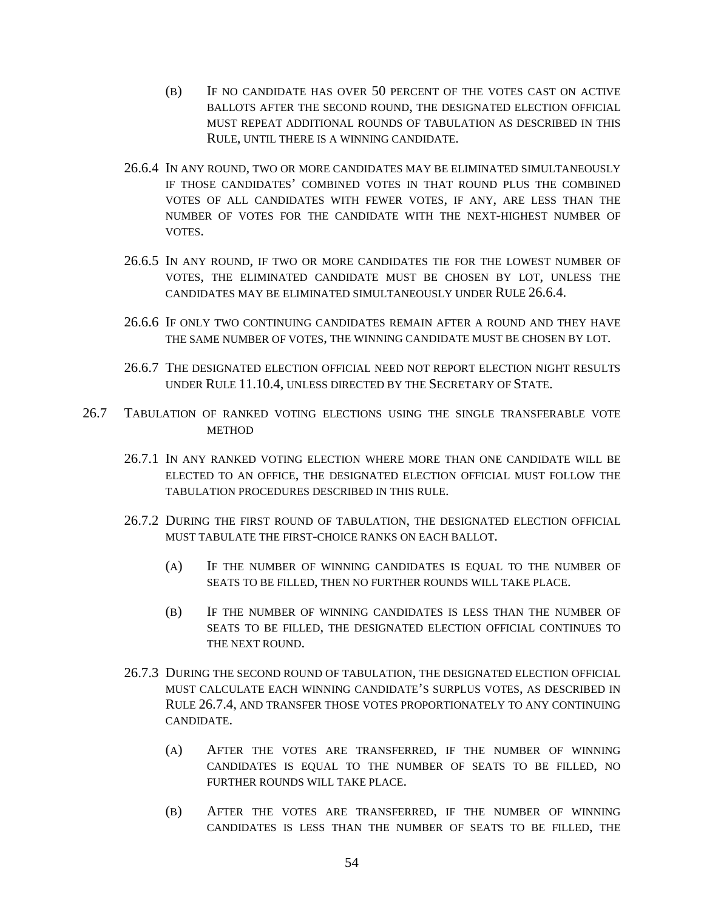- (B) IF NO CANDIDATE HAS OVER 50 PERCENT OF THE VOTES CAST ON ACTIVE BALLOTS AFTER THE SECOND ROUND, THE DESIGNATED ELECTION OFFICIAL MUST REPEAT ADDITIONAL ROUNDS OF TABULATION AS DESCRIBED IN THIS RULE, UNTIL THERE IS A WINNING CANDIDATE.
- 26.6.4 IN ANY ROUND, TWO OR MORE CANDIDATES MAY BE ELIMINATED SIMULTANEOUSLY IF THOSE CANDIDATES' COMBINED VOTES IN THAT ROUND PLUS THE COMBINED VOTES OF ALL CANDIDATES WITH FEWER VOTES, IF ANY, ARE LESS THAN THE NUMBER OF VOTES FOR THE CANDIDATE WITH THE NEXT-HIGHEST NUMBER OF VOTES.
- 26.6.5 IN ANY ROUND, IF TWO OR MORE CANDIDATES TIE FOR THE LOWEST NUMBER OF VOTES, THE ELIMINATED CANDIDATE MUST BE CHOSEN BY LOT, UNLESS THE CANDIDATES MAY BE ELIMINATED SIMULTANEOUSLY UNDER RULE 26.6.4.
- 26.6.6 IF ONLY TWO CONTINUING CANDIDATES REMAIN AFTER A ROUND AND THEY HAVE THE SAME NUMBER OF VOTES, THE WINNING CANDIDATE MUST BE CHOSEN BY LOT.
- 26.6.7 THE DESIGNATED ELECTION OFFICIAL NEED NOT REPORT ELECTION NIGHT RESULTS UNDER RULE 11.10.4, UNLESS DIRECTED BY THE SECRETARY OF STATE.
- 26.7 TABULATION OF RANKED VOTING ELECTIONS USING THE SINGLE TRANSFERABLE VOTE **METHOD** 
	- 26.7.1 IN ANY RANKED VOTING ELECTION WHERE MORE THAN ONE CANDIDATE WILL BE ELECTED TO AN OFFICE, THE DESIGNATED ELECTION OFFICIAL MUST FOLLOW THE TABULATION PROCEDURES DESCRIBED IN THIS RULE.
	- 26.7.2 DURING THE FIRST ROUND OF TABULATION, THE DESIGNATED ELECTION OFFICIAL MUST TABULATE THE FIRST-CHOICE RANKS ON EACH BALLOT.
		- (A) IF THE NUMBER OF WINNING CANDIDATES IS EQUAL TO THE NUMBER OF SEATS TO BE FILLED, THEN NO FURTHER ROUNDS WILL TAKE PLACE.
		- (B) IF THE NUMBER OF WINNING CANDIDATES IS LESS THAN THE NUMBER OF SEATS TO BE FILLED, THE DESIGNATED ELECTION OFFICIAL CONTINUES TO THE NEXT ROUND.
	- 26.7.3 DURING THE SECOND ROUND OF TABULATION, THE DESIGNATED ELECTION OFFICIAL MUST CALCULATE EACH WINNING CANDIDATE'S SURPLUS VOTES, AS DESCRIBED IN RULE 26.7.4, AND TRANSFER THOSE VOTES PROPORTIONATELY TO ANY CONTINUING CANDIDATE.
		- (A) AFTER THE VOTES ARE TRANSFERRED, IF THE NUMBER OF WINNING CANDIDATES IS EQUAL TO THE NUMBER OF SEATS TO BE FILLED, NO FURTHER ROUNDS WILL TAKE PLACE.
		- (B) AFTER THE VOTES ARE TRANSFERRED, IF THE NUMBER OF WINNING CANDIDATES IS LESS THAN THE NUMBER OF SEATS TO BE FILLED, THE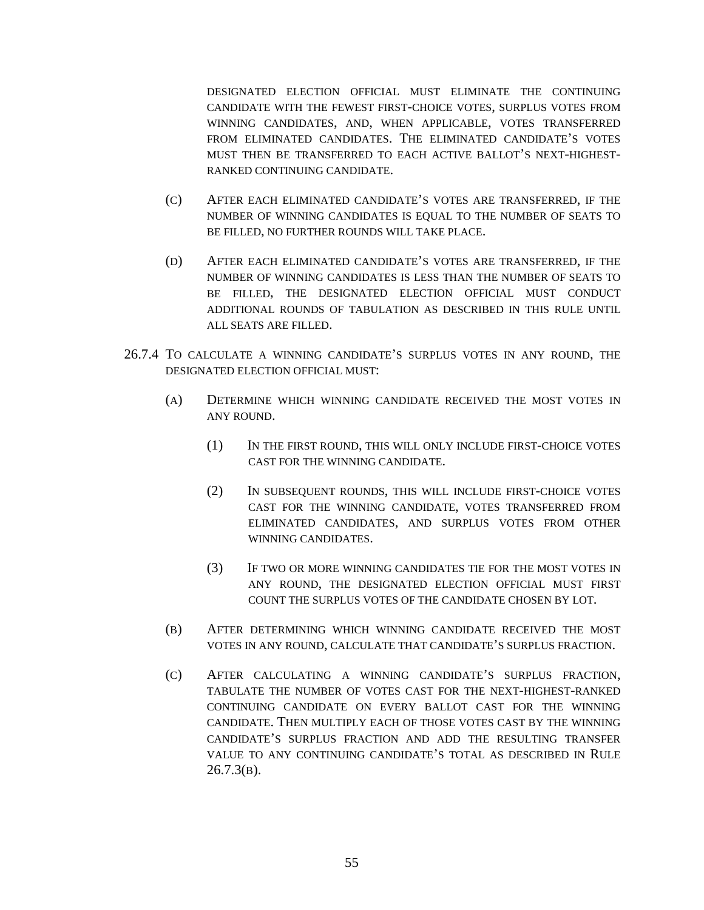DESIGNATED ELECTION OFFICIAL MUST ELIMINATE THE CONTINUING CANDIDATE WITH THE FEWEST FIRST-CHOICE VOTES, SURPLUS VOTES FROM WINNING CANDIDATES, AND, WHEN APPLICABLE, VOTES TRANSFERRED FROM ELIMINATED CANDIDATES. THE ELIMINATED CANDIDATE'S VOTES MUST THEN BE TRANSFERRED TO EACH ACTIVE BALLOT'S NEXT-HIGHEST-RANKED CONTINUING CANDIDATE.

- (C) AFTER EACH ELIMINATED CANDIDATE'S VOTES ARE TRANSFERRED, IF THE NUMBER OF WINNING CANDIDATES IS EQUAL TO THE NUMBER OF SEATS TO BE FILLED, NO FURTHER ROUNDS WILL TAKE PLACE.
- (D) AFTER EACH ELIMINATED CANDIDATE'S VOTES ARE TRANSFERRED, IF THE NUMBER OF WINNING CANDIDATES IS LESS THAN THE NUMBER OF SEATS TO BE FILLED, THE DESIGNATED ELECTION OFFICIAL MUST CONDUCT ADDITIONAL ROUNDS OF TABULATION AS DESCRIBED IN THIS RULE UNTIL ALL SEATS ARE FILLED.
- 26.7.4 TO CALCULATE A WINNING CANDIDATE'S SURPLUS VOTES IN ANY ROUND, THE DESIGNATED ELECTION OFFICIAL MUST:
	- (A) DETERMINE WHICH WINNING CANDIDATE RECEIVED THE MOST VOTES IN ANY ROUND.
		- (1) IN THE FIRST ROUND, THIS WILL ONLY INCLUDE FIRST-CHOICE VOTES CAST FOR THE WINNING CANDIDATE.
		- (2) IN SUBSEQUENT ROUNDS, THIS WILL INCLUDE FIRST-CHOICE VOTES CAST FOR THE WINNING CANDIDATE, VOTES TRANSFERRED FROM ELIMINATED CANDIDATES, AND SURPLUS VOTES FROM OTHER WINNING CANDIDATES.
		- (3) IF TWO OR MORE WINNING CANDIDATES TIE FOR THE MOST VOTES IN ANY ROUND, THE DESIGNATED ELECTION OFFICIAL MUST FIRST COUNT THE SURPLUS VOTES OF THE CANDIDATE CHOSEN BY LOT.
	- (B) AFTER DETERMINING WHICH WINNING CANDIDATE RECEIVED THE MOST VOTES IN ANY ROUND, CALCULATE THAT CANDIDATE'S SURPLUS FRACTION.
	- (C) AFTER CALCULATING A WINNING CANDIDATE'S SURPLUS FRACTION, TABULATE THE NUMBER OF VOTES CAST FOR THE NEXT-HIGHEST-RANKED CONTINUING CANDIDATE ON EVERY BALLOT CAST FOR THE WINNING CANDIDATE. THEN MULTIPLY EACH OF THOSE VOTES CAST BY THE WINNING CANDIDATE'S SURPLUS FRACTION AND ADD THE RESULTING TRANSFER VALUE TO ANY CONTINUING CANDIDATE'S TOTAL AS DESCRIBED IN RULE 26.7.3(B).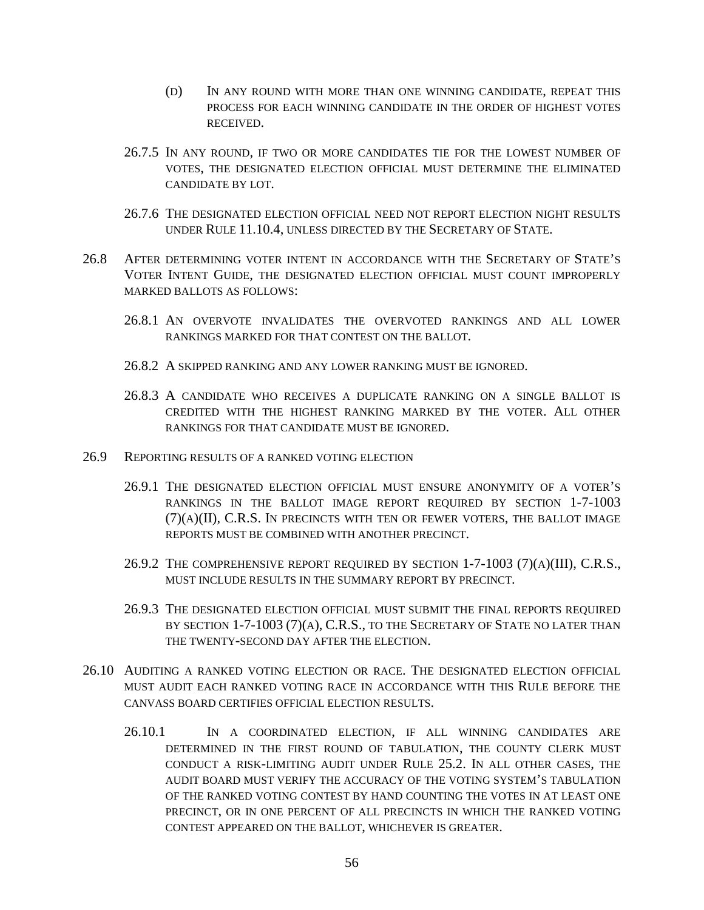- (D) IN ANY ROUND WITH MORE THAN ONE WINNING CANDIDATE, REPEAT THIS PROCESS FOR EACH WINNING CANDIDATE IN THE ORDER OF HIGHEST VOTES RECEIVED.
- 26.7.5 IN ANY ROUND, IF TWO OR MORE CANDIDATES TIE FOR THE LOWEST NUMBER OF VOTES, THE DESIGNATED ELECTION OFFICIAL MUST DETERMINE THE ELIMINATED CANDIDATE BY LOT.
- 26.7.6 THE DESIGNATED ELECTION OFFICIAL NEED NOT REPORT ELECTION NIGHT RESULTS UNDER RULE 11.10.4, UNLESS DIRECTED BY THE SECRETARY OF STATE.
- 26.8 AFTER DETERMINING VOTER INTENT IN ACCORDANCE WITH THE SECRETARY OF STATE'S VOTER INTENT GUIDE, THE DESIGNATED ELECTION OFFICIAL MUST COUNT IMPROPERLY MARKED BALLOTS AS FOLLOWS:
	- 26.8.1 AN OVERVOTE INVALIDATES THE OVERVOTED RANKINGS AND ALL LOWER RANKINGS MARKED FOR THAT CONTEST ON THE BALLOT.
	- 26.8.2 A SKIPPED RANKING AND ANY LOWER RANKING MUST BE IGNORED.
	- 26.8.3 A CANDIDATE WHO RECEIVES A DUPLICATE RANKING ON A SINGLE BALLOT IS CREDITED WITH THE HIGHEST RANKING MARKED BY THE VOTER. ALL OTHER RANKINGS FOR THAT CANDIDATE MUST BE IGNORED.
- 26.9 REPORTING RESULTS OF A RANKED VOTING ELECTION
	- 26.9.1 THE DESIGNATED ELECTION OFFICIAL MUST ENSURE ANONYMITY OF A VOTER'S RANKINGS IN THE BALLOT IMAGE REPORT REQUIRED BY SECTION 1-7-1003  $(7)(A)(II)$ , C.R.S. IN PRECINCTS WITH TEN OR FEWER VOTERS, THE BALLOT IMAGE REPORTS MUST BE COMBINED WITH ANOTHER PRECINCT.
	- 26.9.2 THE COMPREHENSIVE REPORT REQUIRED BY SECTION  $1$ -7-1003 (7)(A)(III), C.R.S., MUST INCLUDE RESULTS IN THE SUMMARY REPORT BY PRECINCT.
	- 26.9.3 THE DESIGNATED ELECTION OFFICIAL MUST SUBMIT THE FINAL REPORTS REQUIRED BY SECTION  $1-7-1003$   $(7)(A)$ , C.R.S., to the Secretary of State no later than THE TWENTY-SECOND DAY AFTER THE ELECTION.
- 26.10 AUDITING A RANKED VOTING ELECTION OR RACE. THE DESIGNATED ELECTION OFFICIAL MUST AUDIT EACH RANKED VOTING RACE IN ACCORDANCE WITH THIS RULE BEFORE THE CANVASS BOARD CERTIFIES OFFICIAL ELECTION RESULTS.
	- 26.10.1 IN A COORDINATED ELECTION, IF ALL WINNING CANDIDATES ARE DETERMINED IN THE FIRST ROUND OF TABULATION, THE COUNTY CLERK MUST CONDUCT A RISK-LIMITING AUDIT UNDER RULE 25.2. IN ALL OTHER CASES, THE AUDIT BOARD MUST VERIFY THE ACCURACY OF THE VOTING SYSTEM'S TABULATION OF THE RANKED VOTING CONTEST BY HAND COUNTING THE VOTES IN AT LEAST ONE PRECINCT, OR IN ONE PERCENT OF ALL PRECINCTS IN WHICH THE RANKED VOTING CONTEST APPEARED ON THE BALLOT, WHICHEVER IS GREATER.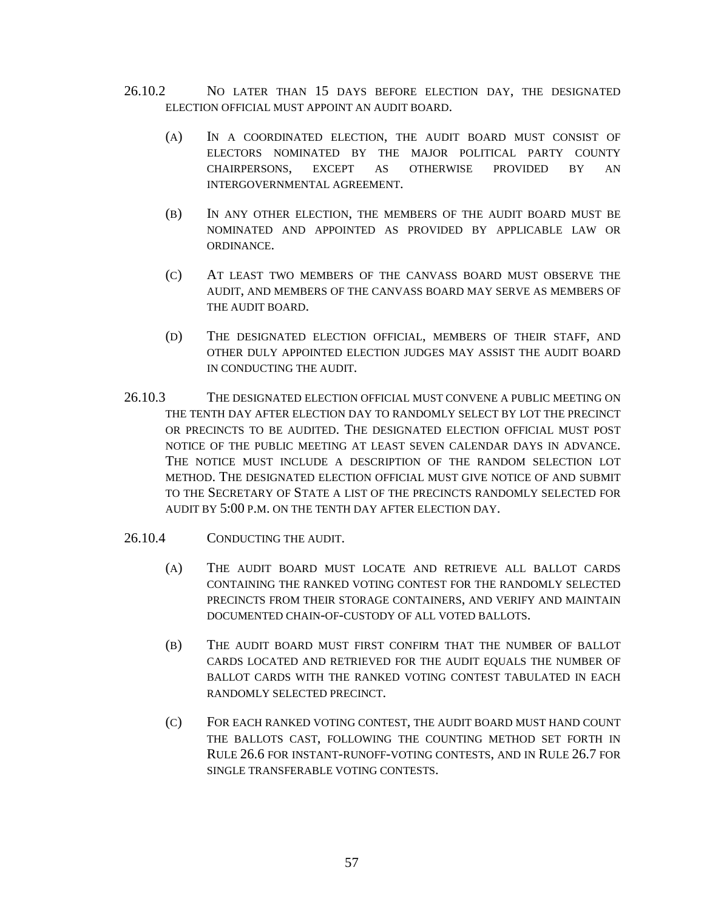- 26.10.2 NO LATER THAN 15 DAYS BEFORE ELECTION DAY, THE DESIGNATED ELECTION OFFICIAL MUST APPOINT AN AUDIT BOARD.
	- (A) IN A COORDINATED ELECTION, THE AUDIT BOARD MUST CONSIST OF ELECTORS NOMINATED BY THE MAJOR POLITICAL PARTY COUNTY CHAIRPERSONS, EXCEPT AS OTHERWISE PROVIDED BY AN INTERGOVERNMENTAL AGREEMENT.
	- (B) IN ANY OTHER ELECTION, THE MEMBERS OF THE AUDIT BOARD MUST BE NOMINATED AND APPOINTED AS PROVIDED BY APPLICABLE LAW OR ORDINANCE.
	- (C) AT LEAST TWO MEMBERS OF THE CANVASS BOARD MUST OBSERVE THE AUDIT, AND MEMBERS OF THE CANVASS BOARD MAY SERVE AS MEMBERS OF THE AUDIT BOARD.
	- (D) THE DESIGNATED ELECTION OFFICIAL, MEMBERS OF THEIR STAFF, AND OTHER DULY APPOINTED ELECTION JUDGES MAY ASSIST THE AUDIT BOARD IN CONDUCTING THE AUDIT.
- 26.10.3 THE DESIGNATED ELECTION OFFICIAL MUST CONVENE A PUBLIC MEETING ON THE TENTH DAY AFTER ELECTION DAY TO RANDOMLY SELECT BY LOT THE PRECINCT OR PRECINCTS TO BE AUDITED. THE DESIGNATED ELECTION OFFICIAL MUST POST NOTICE OF THE PUBLIC MEETING AT LEAST SEVEN CALENDAR DAYS IN ADVANCE. THE NOTICE MUST INCLUDE A DESCRIPTION OF THE RANDOM SELECTION LOT METHOD. THE DESIGNATED ELECTION OFFICIAL MUST GIVE NOTICE OF AND SUBMIT TO THE SECRETARY OF STATE A LIST OF THE PRECINCTS RANDOMLY SELECTED FOR AUDIT BY 5:00 P.M. ON THE TENTH DAY AFTER ELECTION DAY.
- 26.10.4 CONDUCTING THE AUDIT.
	- (A) THE AUDIT BOARD MUST LOCATE AND RETRIEVE ALL BALLOT CARDS CONTAINING THE RANKED VOTING CONTEST FOR THE RANDOMLY SELECTED PRECINCTS FROM THEIR STORAGE CONTAINERS, AND VERIFY AND MAINTAIN DOCUMENTED CHAIN-OF-CUSTODY OF ALL VOTED BALLOTS.
	- (B) THE AUDIT BOARD MUST FIRST CONFIRM THAT THE NUMBER OF BALLOT CARDS LOCATED AND RETRIEVED FOR THE AUDIT EQUALS THE NUMBER OF BALLOT CARDS WITH THE RANKED VOTING CONTEST TABULATED IN EACH RANDOMLY SELECTED PRECINCT.
	- (C) FOR EACH RANKED VOTING CONTEST, THE AUDIT BOARD MUST HAND COUNT THE BALLOTS CAST, FOLLOWING THE COUNTING METHOD SET FORTH IN RULE 26.6 FOR INSTANT-RUNOFF-VOTING CONTESTS, AND IN RULE 26.7 FOR SINGLE TRANSFERABLE VOTING CONTESTS.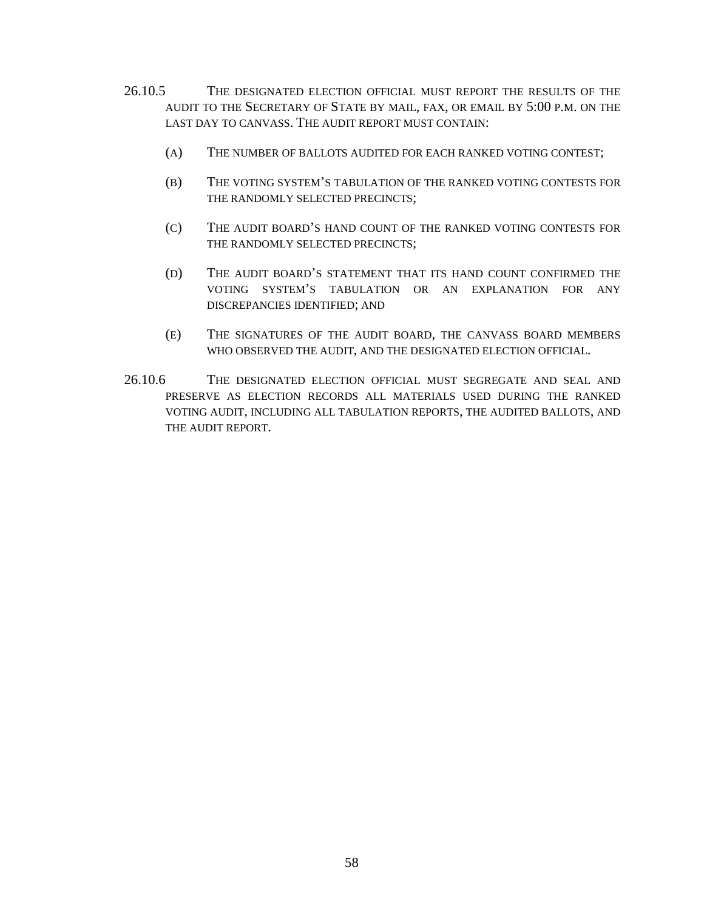- 26.10.5 THE DESIGNATED ELECTION OFFICIAL MUST REPORT THE RESULTS OF THE AUDIT TO THE SECRETARY OF STATE BY MAIL, FAX, OR EMAIL BY 5:00 P.M. ON THE LAST DAY TO CANVASS. THE AUDIT REPORT MUST CONTAIN:
	- (A) THE NUMBER OF BALLOTS AUDITED FOR EACH RANKED VOTING CONTEST;
	- (B) THE VOTING SYSTEM'S TABULATION OF THE RANKED VOTING CONTESTS FOR THE RANDOMLY SELECTED PRECINCTS;
	- (C) THE AUDIT BOARD'S HAND COUNT OF THE RANKED VOTING CONTESTS FOR THE RANDOMLY SELECTED PRECINCTS;
	- (D) THE AUDIT BOARD'S STATEMENT THAT ITS HAND COUNT CONFIRMED THE VOTING SYSTEM'S TABULATION OR AN EXPLANATION FOR ANY DISCREPANCIES IDENTIFIED; AND
	- (E) THE SIGNATURES OF THE AUDIT BOARD, THE CANVASS BOARD MEMBERS WHO OBSERVED THE AUDIT, AND THE DESIGNATED ELECTION OFFICIAL.
- 26.10.6 THE DESIGNATED ELECTION OFFICIAL MUST SEGREGATE AND SEAL AND PRESERVE AS ELECTION RECORDS ALL MATERIALS USED DURING THE RANKED VOTING AUDIT, INCLUDING ALL TABULATION REPORTS, THE AUDITED BALLOTS, AND THE AUDIT REPORT.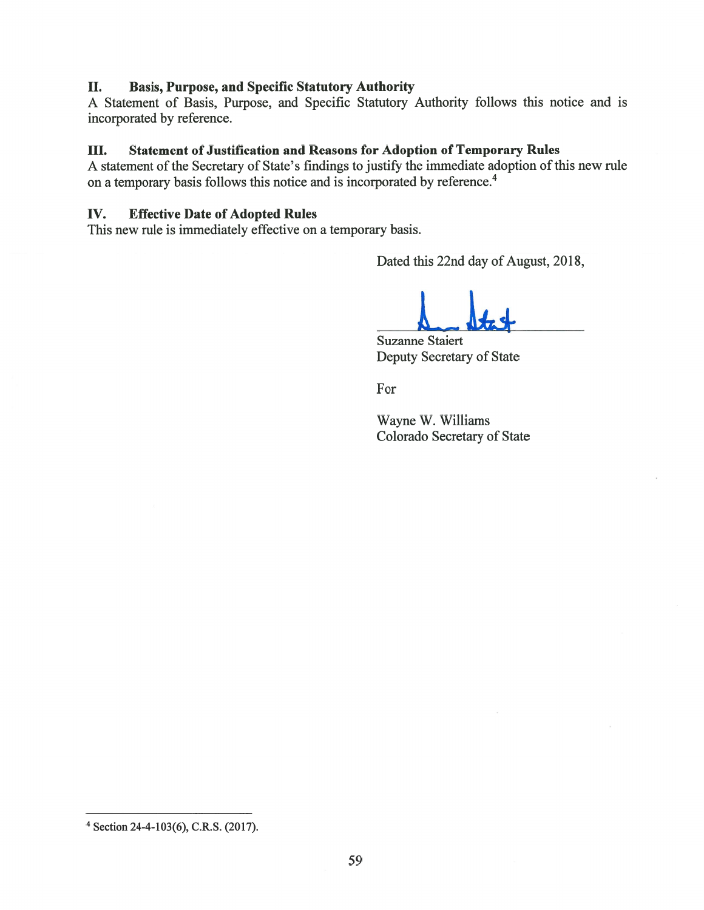## II. Basis, Purpose, and Specific Statutory Authority

A Statement of Basis, Purpose, and Specific Statutory Authority follows this notice and is incorporated by reference.

## III. Statement of Justification and Reasons for Adoption of Temporary Rules

A statement of the Secretary of State's findings to justify the immediate adoption of this new rule on <sup>a</sup> temporary basis follows this notice and is incorporated by reference.4

## Iv. Effective Date of Adopted Rules

This new rule is immediately effective on <sup>a</sup> temporary basis.

Dated this 22nd day of August, 2018,

La Stat

Suzanne Staiert Deputy Secretary of State

For

Wayne W. Williams Colorado Secretary of State

<sup>4</sup> Section 24-4-103(6), C.R.S. (2017).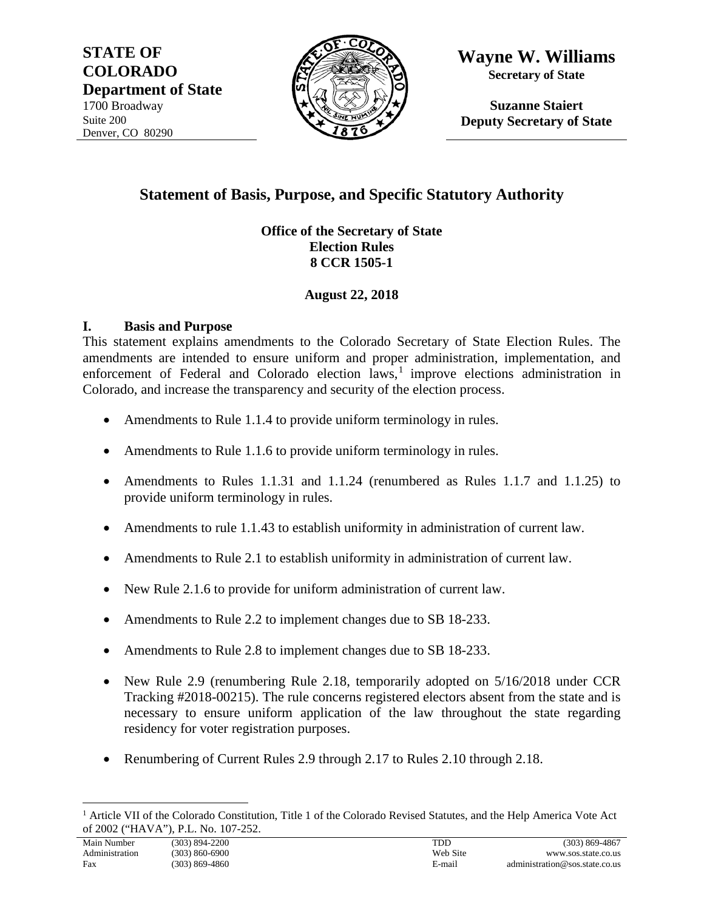**STATE OF COLORADO Department of State** 1700 Broadway Suite 200 Denver, CO 80290



**Wayne W. Williams Secretary of State**

**Suzanne Staiert Deputy Secretary of State**

# **Statement of Basis, Purpose, and Specific Statutory Authority**

## **Office of the Secretary of State Election Rules 8 CCR 1505-1**

## **August 22, 2018**

## **I. Basis and Purpose**

This statement explains amendments to the Colorado Secretary of State Election Rules. The amendments are intended to ensure uniform and proper administration, implementation, and enforcement of Federal and Colorado election  $laws<sub>i</sub>$  improve elections administration in Colorado, and increase the transparency and security of the election process.

- Amendments to Rule 1.1.4 to provide uniform terminology in rules.
- Amendments to Rule 1.1.6 to provide uniform terminology in rules.
- Amendments to Rules 1.1.31 and 1.1.24 (renumbered as Rules 1.1.7 and 1.1.25) to provide uniform terminology in rules.
- Amendments to rule 1.1.43 to establish uniformity in administration of current law.
- Amendments to Rule 2.1 to establish uniformity in administration of current law.
- New Rule 2.1.6 to provide for uniform administration of current law.
- Amendments to Rule 2.2 to implement changes due to SB 18-233.
- Amendments to Rule 2.8 to implement changes due to SB 18-233.
- New Rule 2.9 (renumbering Rule 2.18, temporarily adopted on  $5/16/2018$  under CCR Tracking #2018-00215). The rule concerns registered electors absent from the state and is necessary to ensure uniform application of the law throughout the state regarding residency for voter registration purposes.
- Renumbering of Current Rules 2.9 through 2.17 to Rules 2.10 through 2.18.

<span id="page-59-0"></span><sup>&</sup>lt;sup>1</sup> Article VII of the Colorado Constitution, Title 1 of the Colorado Revised Statutes, and the Help America Vote Act of 2002 ("HAVA"), P.L. No. 107-252.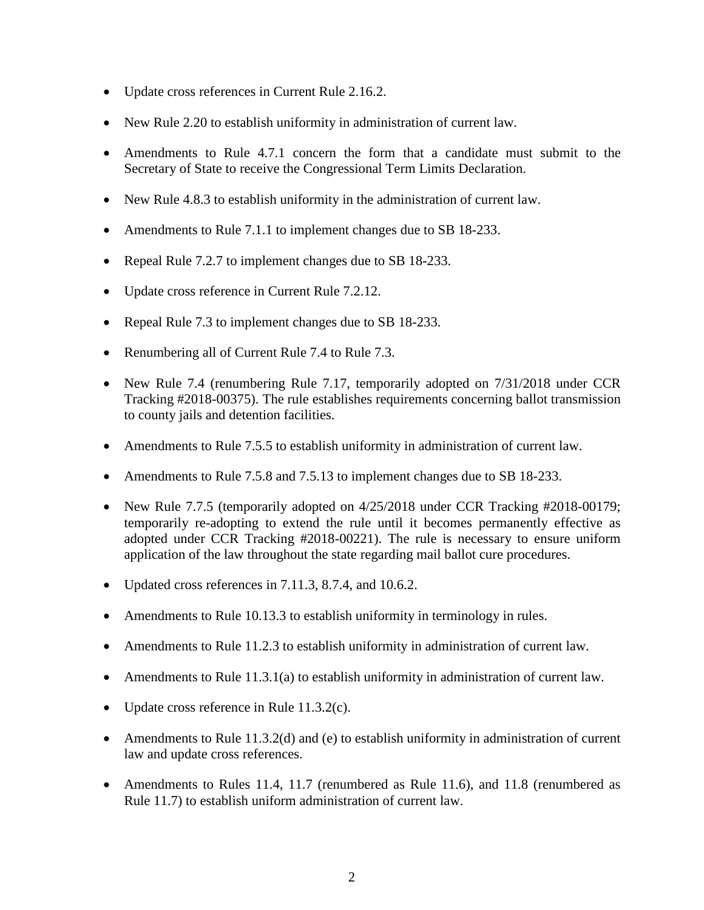- Update cross references in Current Rule 2.16.2.
- New Rule 2.20 to establish uniformity in administration of current law.
- Amendments to Rule 4.7.1 concern the form that a candidate must submit to the Secretary of State to receive the Congressional Term Limits Declaration.
- New Rule 4.8.3 to establish uniformity in the administration of current law.
- Amendments to Rule 7.1.1 to implement changes due to SB 18-233.
- Repeal Rule 7.2.7 to implement changes due to SB 18-233.
- Update cross reference in Current Rule 7.2.12.
- Repeal Rule 7.3 to implement changes due to SB 18-233.
- Renumbering all of Current Rule 7.4 to Rule 7.3.
- New Rule 7.4 (renumbering Rule 7.17, temporarily adopted on  $7/31/2018$  under CCR Tracking #2018-00375). The rule establishes requirements concerning ballot transmission to county jails and detention facilities.
- Amendments to Rule 7.5.5 to establish uniformity in administration of current law.
- Amendments to Rule 7.5.8 and 7.5.13 to implement changes due to SB 18-233.
- New Rule 7.7.5 (temporarily adopted on  $4/25/2018$  under CCR Tracking #2018-00179; temporarily re-adopting to extend the rule until it becomes permanently effective as adopted under CCR Tracking #2018-00221). The rule is necessary to ensure uniform application of the law throughout the state regarding mail ballot cure procedures.
- Updated cross references in 7.11.3, 8.7.4, and 10.6.2.
- Amendments to Rule 10.13.3 to establish uniformity in terminology in rules.
- Amendments to Rule 11.2.3 to establish uniformity in administration of current law.
- Amendments to Rule 11.3.1(a) to establish uniformity in administration of current law.
- Update cross reference in Rule 11.3.2(c).
- Amendments to Rule 11.3.2(d) and (e) to establish uniformity in administration of current law and update cross references.
- Amendments to Rules 11.4, 11.7 (renumbered as Rule 11.6), and 11.8 (renumbered as Rule 11.7) to establish uniform administration of current law.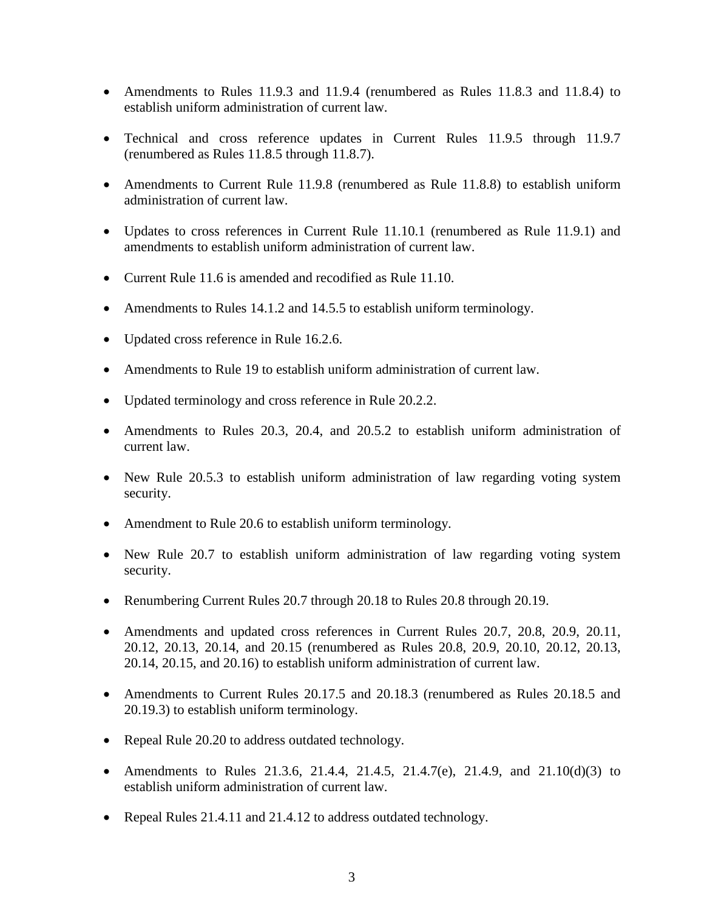- Amendments to Rules 11.9.3 and 11.9.4 (renumbered as Rules 11.8.3 and 11.8.4) to establish uniform administration of current law.
- Technical and cross reference updates in Current Rules 11.9.5 through 11.9.7 (renumbered as Rules 11.8.5 through 11.8.7).
- Amendments to Current Rule 11.9.8 (renumbered as Rule 11.8.8) to establish uniform administration of current law.
- Updates to cross references in Current Rule 11.10.1 (renumbered as Rule 11.9.1) and amendments to establish uniform administration of current law.
- Current Rule 11.6 is amended and recodified as Rule 11.10.
- Amendments to Rules 14.1.2 and 14.5.5 to establish uniform terminology.
- Updated cross reference in Rule 16.2.6.
- Amendments to Rule 19 to establish uniform administration of current law.
- Updated terminology and cross reference in Rule 20.2.2.
- Amendments to Rules 20.3, 20.4, and 20.5.2 to establish uniform administration of current law.
- New Rule 20.5.3 to establish uniform administration of law regarding voting system security.
- Amendment to Rule 20.6 to establish uniform terminology.
- New Rule 20.7 to establish uniform administration of law regarding voting system security.
- Renumbering Current Rules 20.7 through 20.18 to Rules 20.8 through 20.19.
- Amendments and updated cross references in Current Rules 20.7, 20.8, 20.9, 20.11, 20.12, 20.13, 20.14, and 20.15 (renumbered as Rules 20.8, 20.9, 20.10, 20.12, 20.13, 20.14, 20.15, and 20.16) to establish uniform administration of current law.
- Amendments to Current Rules 20.17.5 and 20.18.3 (renumbered as Rules 20.18.5 and 20.19.3) to establish uniform terminology.
- Repeal Rule 20.20 to address outdated technology.
- Amendments to Rules 21.3.6, 21.4.4, 21.4.5, 21.4.7(e), 21.4.9, and 21.10(d)(3) to establish uniform administration of current law.
- Repeal Rules 21.4.11 and 21.4.12 to address outdated technology.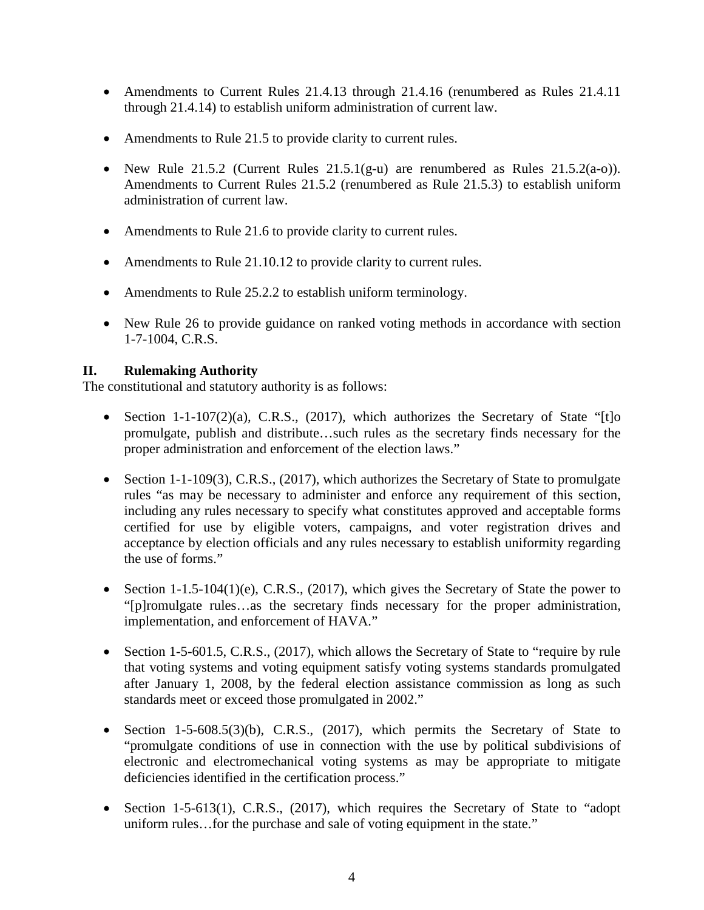- Amendments to Current Rules 21.4.13 through 21.4.16 (renumbered as Rules 21.4.11) through 21.4.14) to establish uniform administration of current law.
- Amendments to Rule 21.5 to provide clarity to current rules.
- New Rule 21.5.2 (Current Rules 21.5.1(g-u) are renumbered as Rules 21.5.2(a-o)). Amendments to Current Rules 21.5.2 (renumbered as Rule 21.5.3) to establish uniform administration of current law.
- Amendments to Rule 21.6 to provide clarity to current rules.
- Amendments to Rule 21.10.12 to provide clarity to current rules.
- Amendments to Rule 25.2.2 to establish uniform terminology.
- New Rule 26 to provide guidance on ranked voting methods in accordance with section 1-7-1004, C.R.S.

## **II. Rulemaking Authority**

The constitutional and statutory authority is as follows:

- Section 1-1-107(2)(a), C.R.S., (2017), which authorizes the Secretary of State "[t]o promulgate, publish and distribute…such rules as the secretary finds necessary for the proper administration and enforcement of the election laws."
- Section 1-1-109(3), C.R.S., (2017), which authorizes the Secretary of State to promulgate rules "as may be necessary to administer and enforce any requirement of this section, including any rules necessary to specify what constitutes approved and acceptable forms certified for use by eligible voters, campaigns, and voter registration drives and acceptance by election officials and any rules necessary to establish uniformity regarding the use of forms."
- Section 1-1.5-104(1)(e), C.R.S., (2017), which gives the Secretary of State the power to "[p]romulgate rules…as the secretary finds necessary for the proper administration, implementation, and enforcement of HAVA."
- Section 1-5-601.5, C.R.S., (2017), which allows the Secretary of State to "require by rule that voting systems and voting equipment satisfy voting systems standards promulgated after January 1, 2008, by the federal election assistance commission as long as such standards meet or exceed those promulgated in 2002."
- Section 1-5-608.5(3)(b), C.R.S., (2017), which permits the Secretary of State to "promulgate conditions of use in connection with the use by political subdivisions of electronic and electromechanical voting systems as may be appropriate to mitigate deficiencies identified in the certification process."
- Section 1-5-613(1), C.R.S., (2017), which requires the Secretary of State to "adopt" uniform rules…for the purchase and sale of voting equipment in the state."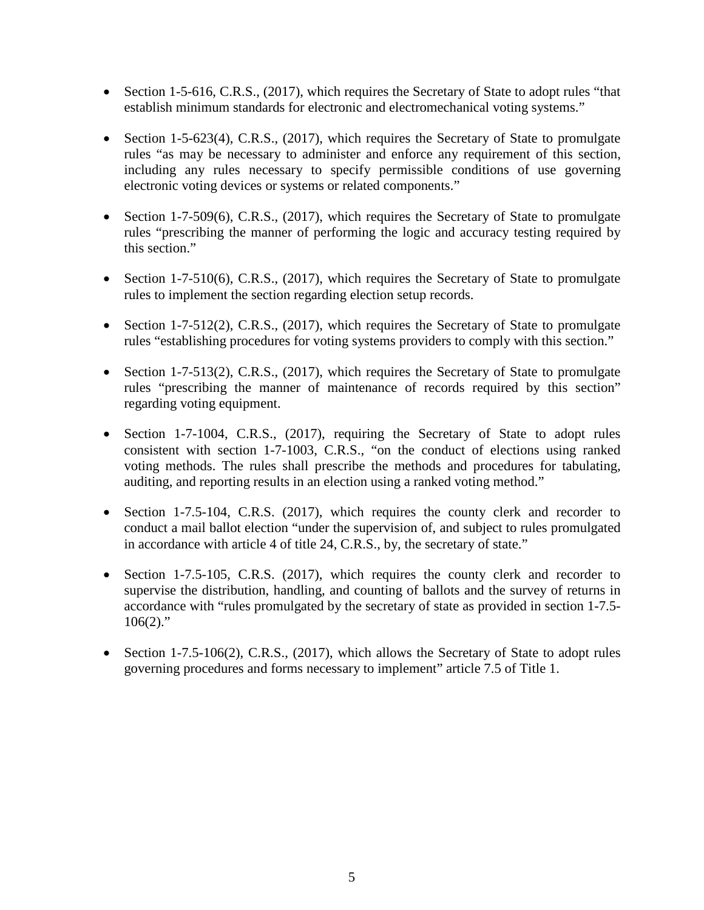- Section 1-5-616, C.R.S., (2017), which requires the Secretary of State to adopt rules "that establish minimum standards for electronic and electromechanical voting systems."
- Section 1-5-623(4), C.R.S., (2017), which requires the Secretary of State to promulgate rules "as may be necessary to administer and enforce any requirement of this section, including any rules necessary to specify permissible conditions of use governing electronic voting devices or systems or related components."
- Section 1-7-509(6), C.R.S., (2017), which requires the Secretary of State to promulgate rules "prescribing the manner of performing the logic and accuracy testing required by this section."
- Section 1-7-510(6), C.R.S., (2017), which requires the Secretary of State to promulgate rules to implement the section regarding election setup records.
- Section 1-7-512(2), C.R.S., (2017), which requires the Secretary of State to promulgate rules "establishing procedures for voting systems providers to comply with this section."
- Section 1-7-513(2), C.R.S., (2017), which requires the Secretary of State to promulgate rules "prescribing the manner of maintenance of records required by this section" regarding voting equipment.
- Section 1-7-1004, C.R.S., (2017), requiring the Secretary of State to adopt rules consistent with section 1-7-1003, C.R.S., "on the conduct of elections using ranked voting methods. The rules shall prescribe the methods and procedures for tabulating, auditing, and reporting results in an election using a ranked voting method."
- Section 1-7.5-104, C.R.S. (2017), which requires the county clerk and recorder to conduct a mail ballot election "under the supervision of, and subject to rules promulgated in accordance with article 4 of title 24, C.R.S., by, the secretary of state."
- Section 1-7.5-105, C.R.S. (2017), which requires the county clerk and recorder to supervise the distribution, handling, and counting of ballots and the survey of returns in accordance with "rules promulgated by the secretary of state as provided in section 1-7.5-  $106(2)$ ."
- Section 1-7.5-106(2), C.R.S., (2017), which allows the Secretary of State to adopt rules governing procedures and forms necessary to implement" article 7.5 of Title 1.